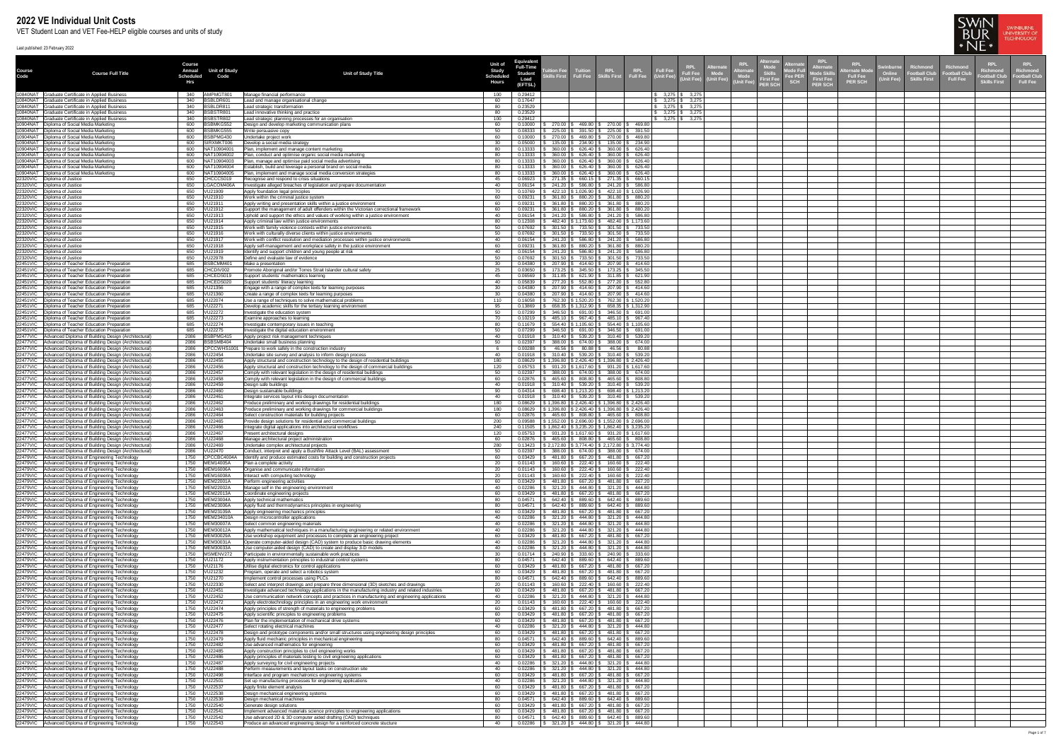| Course   | <b>Course Full Title</b>                                                                                                         | <b>Course</b><br>Annual<br><b>Scheduled</b><br>Hrs | <b>Unit of Study</b><br>Code         | <b>Unit of Study Title</b>                                                                                                                                                                         | <b>Unit of</b><br><b>Study</b><br>Scheduled<br><b>Hours</b> | <b>Equivalent</b><br><b>Full-Time</b><br><b>Student</b><br>(EFTSL) | <b>Infinition Fee</b><br>kills First | <b>Tuition</b>                                                                                                                              |                      | Full Fee<br>(Unit Fee)<br><b>Full Fee</b><br><b>Jnit Fee)</b>        | (Unit Fee) | <b>Alternate</b><br><b>KPL</b><br>Mode Fu<br>Skill <mark>s</mark><br>First Fee<br>Mode<br><b>Fee PER</b><br><b>SCH</b><br>Jnit Fee)<br><b>PER SCH</b> | <b>RPL</b><br><b>Alternate</b><br><b>First Fee</b><br><b>PER SCH</b> | <b>RPL</b><br>ternate Mod<br><b>Full Fee</b><br><b>PER SCH</b> | <b>Swinburn</b><br>Richmond<br><b>Football Club</b><br>(Unit Fee)<br><b>Skills First</b> | <b>RPL</b><br>Richmon<br>Richmon<br>Football Clul<br>Football Clu<br><b>Full Fee</b><br><b>Skills First</b> | <b>RPL</b><br>Richmond<br>ootball Club<br><b>Full Fee</b> |
|----------|----------------------------------------------------------------------------------------------------------------------------------|----------------------------------------------------|--------------------------------------|----------------------------------------------------------------------------------------------------------------------------------------------------------------------------------------------------|-------------------------------------------------------------|--------------------------------------------------------------------|--------------------------------------|---------------------------------------------------------------------------------------------------------------------------------------------|----------------------|----------------------------------------------------------------------|------------|-------------------------------------------------------------------------------------------------------------------------------------------------------|----------------------------------------------------------------------|----------------------------------------------------------------|------------------------------------------------------------------------------------------|-------------------------------------------------------------------------------------------------------------|-----------------------------------------------------------|
|          | 10840NAT Graduate Certificate in Applied Business<br>10840NAT Graduate Certificate in Applied Business                           | 340<br>340                                         | AMPMGT801<br>BSBLDR601               | Manage financial performance<br>Lead and manage organisational change                                                                                                                              | 100<br>60                                                   | 0.29412<br>0.17647                                                 |                                      |                                                                                                                                             |                      | $$3,275$ \ \$ 3,275<br>$$3,275$ \ \$ 3,275                           |            |                                                                                                                                                       |                                                                      |                                                                |                                                                                          |                                                                                                             |                                                           |
|          | 10840NAT Graduate Certificate in Applied Business<br>10840NAT Graduate Certificate in Applied Business                           | 340<br>340                                         | BSBLDR811<br>BSBSTR801               | Lead strategic transformation<br>Lead innovative thinking and practice                                                                                                                             |                                                             | 0.23529<br>0.23529                                                 |                                      |                                                                                                                                             |                      | $\frac{1}{2}$ 3,275 \ \ \$ 3,275<br>$\frac{1}{2}$ 3,275 \ \ \$ 3,275 |            |                                                                                                                                                       |                                                                      |                                                                |                                                                                          |                                                                                                             |                                                           |
|          | 10840NAT Graduate Certificate in Applied Business                                                                                | 340                                                | BSBSTR802                            | Lead strategic planning processes for an organisation                                                                                                                                              | 100                                                         | 0.29412                                                            |                                      |                                                                                                                                             |                      | $\frac{1}{2}$ 3,275 \\ \$ 3,275                                      |            |                                                                                                                                                       |                                                                      |                                                                |                                                                                          |                                                                                                             |                                                           |
|          | 10904NAT   Diploma of Social Media Marketing<br>10904NAT   Diploma of Social Media Marketing                                     | 600<br>600                                         | BSBMKG552<br><b>BSBMKG555</b>        | Design and develop marketing communication plans<br>Write persuasive copy                                                                                                                          |                                                             | 0.10000<br>0.08333                                                 | 270.00<br>225.00                     | 469.80   \$ 270.00   \$ 469.80<br>225.00<br>391.50                                                                                          | \$391.50             |                                                                      |            |                                                                                                                                                       |                                                                      |                                                                |                                                                                          |                                                                                                             |                                                           |
|          | 10904NAT   Diploma of Social Media Marketing<br>10904NAT   Diploma of Social Media Marketing                                     | 600<br>600                                         | BSBPMG430<br>SIRXMKT006              | Jndertake project work<br>Develop a social media strategy                                                                                                                                          |                                                             | 10000<br>0.05000                                                   | 270.00<br>135.00                     | 270.00<br>469.80<br>$$234.90$ \ \$<br>135.00                                                                                                | 469.80<br>\$234.90   |                                                                      |            |                                                                                                                                                       |                                                                      |                                                                |                                                                                          |                                                                                                             |                                                           |
|          | 10904NAT   Diploma of Social Media Marketing<br>10904NAT   Diploma of Social Media Marketing                                     | 600<br>600                                         | NAT10904001<br>NAT10904002           | Plan, implement and manage content marketing<br>Plan, conduct and optimise organic social media marketing                                                                                          |                                                             | 0.13333<br>0.13333                                                 | 360.00<br>360.00                     | 626.40 $\frac{1}{3}$<br>360.00<br>$$626.40 \, \text{S}$ 360.00                                                                              | \$626.40<br>\$626.40 |                                                                      |            |                                                                                                                                                       |                                                                      |                                                                |                                                                                          |                                                                                                             |                                                           |
|          | 10904NAT   Diploma of Social Media Marketing                                                                                     |                                                    | 600   NAT10904003                    | Plan, manage and optimise paid social media advertising                                                                                                                                            | 80                                                          | 0.13333                                                            |                                      | 360.00   \$ 626.40   \$ 360.00   \$ 626.40                                                                                                  |                      |                                                                      |            |                                                                                                                                                       |                                                                      |                                                                |                                                                                          |                                                                                                             |                                                           |
|          | 10904NAT   Diploma of Social Media Marketing<br>10904NAT   Diploma of Social Media Marketing                                     | 600<br>600                                         | NAT10904004<br>NAT10904005           | Establish, build and leverage a personal brand on social media<br>Plan, implement and manage social media conversion strategies                                                                    | 80                                                          | 0.13333<br>0.13333                                                 |                                      | $360.00$   \$ 626.40   \$ 360.00   \$ 626.40<br>$360.00$   \$ 626.40   \$ 360.00   \$ 626.40                                                |                      |                                                                      |            |                                                                                                                                                       |                                                                      |                                                                |                                                                                          |                                                                                                             |                                                           |
|          | 22320VIC   Diploma of Justice<br>22320VIC Diploma of Justice                                                                     | 650<br>650                                         | CHCCCS019<br>LGACOM406A              | Recognise and respond to crisis situations<br>nvestigate alleged breaches of legislation and prepare documentation                                                                                 | 45                                                          | 0.06923<br>0.06154                                                 |                                      | 271.35   \$ 660.15   \$ 271.35   \$ 660.15<br>$241.20$   \$ 586.80   \$ 241.20   \$ 586.80                                                  |                      |                                                                      |            |                                                                                                                                                       |                                                                      |                                                                |                                                                                          |                                                                                                             |                                                           |
|          | 22320VIC Diploma of Justice<br>22320VIC Diploma of Justice                                                                       | 650                                                | VU21909                              | Apply foundation legal principles<br>Work within the criminal justice system                                                                                                                       | 60.                                                         | 0.10769<br>0.09231                                                 | 361.80 \$                            | 422.10   \$ 1,026.90   \$ 422.10   \$ 1,026.90<br>880.20   \$ 361.80   \$ 880.20                                                            |                      |                                                                      |            |                                                                                                                                                       |                                                                      |                                                                |                                                                                          |                                                                                                             |                                                           |
|          | 22320VIC   Diploma of Justice                                                                                                    | 650                                                | VU21911                              | Apply writing and presentation skills within a justice environment                                                                                                                                 |                                                             | 0.09231                                                            | 361.80                               | 880.20   \$ 361.80   \$ 880.20                                                                                                              |                      |                                                                      |            |                                                                                                                                                       |                                                                      |                                                                |                                                                                          |                                                                                                             |                                                           |
|          | 22320VIC   Diploma of Justice<br>22320VIC   Diploma of Justice                                                                   | 650<br>650                                         | VU21912<br>VU21913                   | Support the management of adult offenders within the Victorian correctional framework<br>Uphold and support the ethics and values of working within a justice environment                          |                                                             | 0.09231<br>0.06154                                                 | 361.80                               | 880.20   \$ 361.80   \$ 880.20<br>$241.20$ \ \$ 586.80 \<br>241.20   \$ 586.80                                                              |                      |                                                                      |            |                                                                                                                                                       |                                                                      |                                                                |                                                                                          |                                                                                                             |                                                           |
| 22320VIC | Diploma of Justice<br>22320VIC   Diploma of Justice                                                                              | 650<br>650                                         | VU21914<br>VU21915                   | Apply criminal law within justice environments<br>Work with family violence contexts within justice environments                                                                                   |                                                             | 0.12308<br>0.07692                                                 |                                      | 482.40   \$ 1,173.60  <br>482.40   \$1,173.60<br>$301.50$ \ \$ 733.50 \ \$ 301.50 \ \$ 733.50                                               |                      |                                                                      |            |                                                                                                                                                       |                                                                      |                                                                |                                                                                          |                                                                                                             |                                                           |
| 22320VIC | Diploma of Justice                                                                                                               | 650                                                | VU21916<br>VU21917                   | Work with culturally diverse clients within justice environments                                                                                                                                   |                                                             | 0.07692<br>0.06154                                                 |                                      | $301.50$   \$ 733.50   \$ 301.50   \$ 733.50                                                                                                |                      |                                                                      |            |                                                                                                                                                       |                                                                      |                                                                |                                                                                          |                                                                                                             |                                                           |
|          | 22320VIC  Diploma of Justice<br>22320VIC   Diploma of Justice                                                                    | 650<br>650                                         | VU21918                              | Work with conflict resolution and mediation processes within justice environments<br>Apply self-management and workplace safety in the justice environment                                         |                                                             |                                                                    |                                      | $\frac{1}{3}$ 241.20   \$ 586.80   \$ 241.20   \$ 586.80<br>361.80   \$880.20   \$361.80   \$880.20                                         |                      |                                                                      |            |                                                                                                                                                       |                                                                      |                                                                |                                                                                          |                                                                                                             |                                                           |
|          | 22320VIC   Diploma of Justice<br>22320VIC   Diploma of Justice                                                                   | 650<br>650                                         | VU21919<br>VU22978                   | Identify and support children and young people at risk<br>Define and evaluate law of evidence                                                                                                      |                                                             | 0.06154<br>0.07692                                                 |                                      | $$241.20$   \$586.80   \$241.20   \$586.80<br>$$301.50 \mid $733.50 \mid $301.50 \mid $733.50$                                              |                      |                                                                      |            |                                                                                                                                                       |                                                                      |                                                                |                                                                                          |                                                                                                             |                                                           |
|          | 22451VIC   Diploma of Teacher Education Preparation<br>22451VIC   Diploma of Teacher Education Preparation                       | 685                                                | 685 BSBCMM401<br>CHCDIV002           | Make a presentation<br>Promote Aboriginal and/or Torres Strait Islander cultural safety                                                                                                            | 30                                                          | 0.04380<br>0.03650                                                 |                                      | $\frac{1}{2}$ 207.90 $\frac{1}{2}$ 414.60 $\frac{1}{2}$ 207.90 $\frac{1}{2}$ 414.60<br>173.25   \$345.50   \$173.25   \$345.50              |                      |                                                                      |            |                                                                                                                                                       |                                                                      |                                                                |                                                                                          |                                                                                                             |                                                           |
|          | 22451 VIC   Diploma of Teacher Education Preparation<br>22451 VIC   Diploma of Teacher Education Preparation                     | 685                                                | CHCEDS019<br>685 CHCEDS020           | Support students' mathematics learning<br>Support students' literacy learning                                                                                                                      | 40 -                                                        | 0.06569<br>0.05839                                                 |                                      | ; 277.20 \$ 552.80 \$ 277.20 \$ 552.80                                                                                                      |                      |                                                                      |            |                                                                                                                                                       |                                                                      |                                                                |                                                                                          |                                                                                                             |                                                           |
|          | 22451VIC   Diploma of Teacher Education Preparation                                                                              |                                                    |                                      | Engage with a range of complex texts for learning purposes                                                                                                                                         |                                                             | 0.04380                                                            |                                      | 207.90   \$414.60   \$207.90   \$414.60                                                                                                     |                      |                                                                      |            |                                                                                                                                                       |                                                                      |                                                                |                                                                                          |                                                                                                             |                                                           |
|          | 22451VIC   Diploma of Teacher Education Preparation<br>22451VIC   Diploma of Teacher Education Preparation                       |                                                    | 685 VU21360                          | Create a range of complex texts for learning purposes<br>Use a range of techniques to solve mathematical problems                                                                                  | 30<br>110                                                   | 0.04380<br>0.16058                                                 |                                      | $207.90$ $\frac{1}{9}$ 414.60 $\frac{1}{9}$ 207.90 $\frac{1}{9}$ 414.60<br>762.30   \$ 1,520.20   \$ 762.30   \$ 1,520.20                   |                      |                                                                      |            |                                                                                                                                                       |                                                                      |                                                                |                                                                                          |                                                                                                             |                                                           |
|          | 22451VIC   Diploma of Teacher Education Preparation<br>22451VIC   Diploma of Teacher Education Preparation                       | 685<br>685                                         | VU2227<br>VU22272                    | Develop academic skills for the tertiary learning environment<br>investigate the education system                                                                                                  | 95                                                          | 0.13869<br>0.07299                                                 |                                      | $658.35$   \$ 1,312.90   \$ 658.35   \$ 1,312.90<br>346.50 \$ 691.00 \$ 346.50 \$ 691.00                                                    |                      |                                                                      |            |                                                                                                                                                       |                                                                      |                                                                |                                                                                          |                                                                                                             |                                                           |
|          | 22451VIC   Diploma of Teacher Education Preparation                                                                              | 685                                                | <b>VU22273</b>                       | Examine approaches to learning                                                                                                                                                                     |                                                             | 0.10219                                                            |                                      | 485.10   \$ 967.40   \$                                                                                                                     | 485.10   \$ 967.40   |                                                                      |            |                                                                                                                                                       |                                                                      |                                                                |                                                                                          |                                                                                                             |                                                           |
|          | 22451VIC   Diploma of Teacher Education Preparation<br>22451VIC   Diploma of Teacher Education Preparation                       | 685                                                | 685   VU22274<br>VU22275             | Investigate contemporary issues in teaching<br>Investigate the digital education environment                                                                                                       |                                                             | 0.11679<br>0.07299                                                 |                                      | 554.40   \$ 1,105.60   \$ 554.40   \$ 1,105.60<br>$346.50$   \$ 691.00   \$ 346.50   \$ 691.00                                              |                      |                                                                      |            |                                                                                                                                                       |                                                                      |                                                                |                                                                                          |                                                                                                             |                                                           |
|          | 22477VIC Advanced Diploma of Building Design (Architectural)<br>22477VIC   Advanced Diploma of Building Design (Architectural)   | 2086<br>2086                                       | BSBPMG415<br>BSBSMB404               | Apply project risk management techniques<br>Jndertake small business planning                                                                                                                      |                                                             | 0.01918<br>0.02397                                                 | 388.00                               | $310.40$   \$ 539.20   \$ 310.40   \$ 539.20<br>\$388.00<br>\$674.00                                                                        | \$674.00             |                                                                      |            |                                                                                                                                                       |                                                                      |                                                                |                                                                                          |                                                                                                             |                                                           |
|          | 22477VIC   Advanced Diploma of Building Design (Architectural)<br>22477VIC   Advanced Diploma of Building Design (Architectural) | 2086<br>2086                                       | CPCCWHS1001<br><b>VU22454</b>        | Prepare to work safely in the construction industry<br>Undertake site survey and analysis to inform design process                                                                                 |                                                             | 0.00288<br>0.01918                                                 |                                      | 46.56   \$ 80.88   \$ 46.56   \$ 80.88<br>$$310.40 \mid $539.20 \mid $310.40 \mid $539.20$                                                  |                      |                                                                      |            |                                                                                                                                                       |                                                                      |                                                                |                                                                                          |                                                                                                             |                                                           |
|          | 22477VIC   Advanced Diploma of Building Design (Architectural)<br>22477VIC Advanced Diploma of Building Design (Architectural)   | 2086<br>2086                                       | VU22455<br>VU22456                   | Apply structural and construction technology to the design of residential buildings<br>Apply structural and construction technology to the design of commercial buildings                          | 120                                                         | 0.08629<br>0.05753                                                 |                                      | $$1,396.80 \mid $2,426.40 \mid $1,396.80 \mid $2,426.40$<br>$$931.20 \mid $1,617.60 \mid $931.20 \mid $1,617.60$                            |                      |                                                                      |            |                                                                                                                                                       |                                                                      |                                                                |                                                                                          |                                                                                                             |                                                           |
|          | 22477VIC Advanced Diploma of Building Design (Architectural)                                                                     | 2086                                               | <b>VU22457</b>                       | Comply with relevant legislation in the design of residential buildings                                                                                                                            | 50                                                          | 0.02397                                                            |                                      | $\frac{1}{5}$ 388.00 $\frac{1}{5}$ 674.00 $\frac{1}{5}$ 388.00 $\frac{1}{5}$ 674.00                                                         |                      |                                                                      |            |                                                                                                                                                       |                                                                      |                                                                |                                                                                          |                                                                                                             |                                                           |
|          | 22477VIC Advanced Diploma of Building Design (Architectural)<br>22477VIC Advanced Diploma of Building Design (Architectural)     | 2086<br>2086                                       | VU22458<br>VU22459                   | Comply with relevant legislation in the design of commercial buildings<br>Design safe buildings                                                                                                    | 60<br>40.                                                   | 0.02876<br>0.01918                                                 |                                      | 465.60   \$808.80   \$465.60   \$808.80<br>\$ 310.40   \$ 539.20   \$ 310.40   \$ 539.20                                                    |                      |                                                                      |            |                                                                                                                                                       |                                                                      |                                                                |                                                                                          |                                                                                                             |                                                           |
|          | 22477VIC Advanced Diploma of Building Design (Architectural)<br>22477VIC Advanced Diploma of Building Design (Architectural)     | 2086                                               | VU22460                              | Design sustainable buildings<br>Integrate services layout into design documentation                                                                                                                |                                                             | 0.04314<br>0.01918                                                 |                                      | $698.40$   \$ 1,213.20   \$ 698.40   \$ 1,213.20<br>$$310.40$   \$539.20   \$310.40   \$539.20                                              |                      |                                                                      |            |                                                                                                                                                       |                                                                      |                                                                |                                                                                          |                                                                                                             |                                                           |
|          | 22477VIC Advanced Diploma of Building Design (Architectural)<br>22477VIC Advanced Diploma of Building Design (Architectural)     | 2086<br>2086                                       | VU22462<br>VU22463                   | Produce preliminary and working drawings for residential buildings<br>Produce preliminary and working drawings for commercial buildings                                                            | 180                                                         | 0.08629<br>0.08629                                                 |                                      | $\mid$ \$ 1,396.80 $\mid$ \$ 2,426.40 $\mid$ \$ 1,396.80 $\mid$ \$ 2,426.40<br>$$1,396.80 \mid $2,426.40 \mid $1,396.80 \mid $2,426.40$     |                      |                                                                      |            |                                                                                                                                                       |                                                                      |                                                                |                                                                                          |                                                                                                             |                                                           |
|          | 22477VIC   Advanced Diploma of Building Design (Architectural)                                                                   | 2086   VU22464                                     |                                      | Select construction materials for building projects                                                                                                                                                |                                                             | 0.02876                                                            |                                      | 465.60 \$ 808.80 \$ 465.60 \$ 808.80                                                                                                        |                      |                                                                      |            |                                                                                                                                                       |                                                                      |                                                                |                                                                                          |                                                                                                             |                                                           |
|          | 22477VIC Advanced Diploma of Building Design (Architectural)<br>22477VIC   Advanced Diploma of Building Design (Architectural)   | 2086<br>2086                                       | VU22465<br>VU22466                   | Provide design solutions for residential and commercial buildings<br>Integrate digital applications into architectural workflows                                                                   |                                                             | 0.09588<br>0.11505                                                 |                                      | $$1,552.00$   \$ 2,696.00   \$ 1,552.00   \$ 2,696.00<br>$\frac{1}{2}$ \$ 1,862.40   \$ 3,235.20   \$ 1,862.40   \$ 3,235.20                |                      |                                                                      |            |                                                                                                                                                       |                                                                      |                                                                |                                                                                          |                                                                                                             |                                                           |
|          | 22477VIC   Advanced Diploma of Building Design (Architectural)<br>22477VIC   Advanced Diploma of Building Design (Architectural) | 2086   VU22467<br>2086                             | VU22468                              | Present architectural designs<br>Manage architectural project administration                                                                                                                       | 120                                                         | 1.02876                                                            | 465.60                               | $0.05753$   \$ 931.20   \$ 1,617.60   \$ 931.20   \$ 1,617.60  <br>808.80   \$                                                              | $465.60$ \$ $808.80$ |                                                                      |            |                                                                                                                                                       |                                                                      |                                                                |                                                                                          |                                                                                                             |                                                           |
|          | 22477VIC Advanced Diploma of Building Design (Architectural)<br>22477VIC Advanced Diploma of Building Design (Architectural)     | 2086<br>2086   VU22470                             | VU22469                              | Undertake complex architectural projects<br>Conduct, interpret and apply a Bushfire Attack Level (BAL) assessment                                                                                  |                                                             | 0.13423<br>0.02397                                                 |                                      | \$ 2,172.80   \$ 3,774.40   \$ 2,172.80   \$ 3,774.40<br>$388.00$   \$ 674.00   \$ 388.00   \$ 674.00                                       |                      |                                                                      |            |                                                                                                                                                       |                                                                      |                                                                |                                                                                          |                                                                                                             |                                                           |
|          | 22479VIC   Advanced Diploma of Engineering Technology                                                                            | 1750                                               | CPCCBC4004A                          | Identify and produce estimated costs for building and construction projects                                                                                                                        |                                                             | 0.03429                                                            |                                      | 481.80   \$ 667.20   \$ 481.80   \$ 667.20                                                                                                  |                      |                                                                      |            |                                                                                                                                                       |                                                                      |                                                                |                                                                                          |                                                                                                             |                                                           |
|          | 22479VIC Advanced Diploma of Engineering Technology<br>22479VIC Advanced Diploma of Engineering Technology                       |                                                    | 1750   MEM14005A<br>1750   MEM16006A | Plan a complete activity<br>Organise and communicate information                                                                                                                                   | 20                                                          | 0.01143<br>0.01143                                                 |                                      | 160.60   \$222.40   \$160.60   \$222.40<br>160.60   \$222.40   \$160.60   \$222.40                                                          |                      |                                                                      |            |                                                                                                                                                       |                                                                      |                                                                |                                                                                          |                                                                                                             |                                                           |
|          | 22479VIC Advanced Diploma of Engineering Technology<br>22479VIC Advanced Diploma of Engineering Technology                       |                                                    | 1750 MEM16008A<br>1750 MEM22001A     | Interact with computing technology<br>Perform engineering activities                                                                                                                               | 60                                                          | 0.01143<br>0.03429                                                 |                                      | $160.60$   \$ 222.40   \$ 160.60   \$ 222.40<br>481.80   \$667.20   \$481.80   \$667.20                                                     |                      |                                                                      |            |                                                                                                                                                       |                                                                      |                                                                |                                                                                          |                                                                                                             |                                                           |
|          | 22479VIC   Advanced Diploma of Engineering Technology<br>22479VIC Advanced Diploma of Engineering Technology                     |                                                    | 1750 MEM22002A<br>1750 MEM22013A     | Manage self in the engineering environment<br>Coordinate engineering projects                                                                                                                      |                                                             | 0.02286<br>0.03429                                                 | 481.80   \$                          | 321.20   \$444.80   \$321.20   \$444.80<br>667.20 \$                                                                                        | 481.80   \$ 667.20   |                                                                      |            |                                                                                                                                                       |                                                                      |                                                                |                                                                                          |                                                                                                             |                                                           |
|          | 22479VIC Advanced Diploma of Engineering Technology                                                                              |                                                    | 1750 MEM23004A                       | Apply technical mathematics                                                                                                                                                                        |                                                             | 0.04571                                                            | 642.40                               | 889.60丨<br>642.40   \$889.60                                                                                                                |                      |                                                                      |            |                                                                                                                                                       |                                                                      |                                                                |                                                                                          |                                                                                                             |                                                           |
|          | 22479VIC Advanced Diploma of Engineering Technology<br>22479VIC Advanced Diploma of Engineering Technology                       |                                                    | 1750 MEM23006A<br>1750 MEM23109A     | Apply fluid and thermodynamics principles in engineering<br>Apply engineering mechanics principles                                                                                                 |                                                             | 0.04571<br>0.03429                                                 | 642.40<br>481.80                     | 889.60  <br>642.40<br>667.20<br>481.80                                                                                                      | \$889.60<br>\$667.20 |                                                                      |            |                                                                                                                                                       |                                                                      |                                                                |                                                                                          |                                                                                                             |                                                           |
|          | 22479VIC   Advanced Diploma of Engineering Technology<br>22479VIC   Advanced Diploma of Engineering Technology                   | 1750                                               | 1750 MEM234010A<br>MEM30007A         | Design microcontroller applications<br>Select common engineering materials                                                                                                                         |                                                             | 0.02286<br>02286. (                                                | 321.20<br>321.20                     | 321.20<br>444.80丨<br>321.20<br>444.80                                                                                                       | 444.80<br>444.80     |                                                                      |            |                                                                                                                                                       |                                                                      |                                                                |                                                                                          |                                                                                                             |                                                           |
|          | 22479VIC   Advanced Diploma of Engineering Technology<br>22479VIC Advanced Diploma of Engineering Technology                     | 1750                                               | MEM30012A<br>1750   MEM30029A        | Apply mathematical techniques in a manufacturing engineering or related environment<br>Use workshop equipment and processes to complete an engineering project                                     |                                                             | 02286. (<br>0.03429                                                | 321.20<br>481.80                     | 444.80<br>321.20<br>667.20   \$<br>481.80                                                                                                   | 444.80<br>\$667.20   |                                                                      |            |                                                                                                                                                       |                                                                      |                                                                |                                                                                          |                                                                                                             |                                                           |
|          | 22479VIC   Advanced Diploma of Engineering Technology                                                                            | 1750                                               | MEM30031/                            | Operate computer-aided design (CAD) system to produce basic drawing elements                                                                                                                       |                                                             | 0.02286                                                            | 321.20                               | 444.80                                                                                                                                      | $321.20$   \$ 444.80 |                                                                      |            |                                                                                                                                                       |                                                                      |                                                                |                                                                                          |                                                                                                             |                                                           |
|          | 22479VIC   Advanced Diploma of Engineering Technology<br>22479VIC   Advanced Diploma of Engineering Technology                   |                                                    | 1750 MEM30033<br>1750   MSMENV272    | Use computer-aided design (CAD) to create and display 3-D models<br>Participate in environmentally sustainable work practices                                                                      | 30                                                          | 0.02286<br>0.01714                                                 | 321.20                               | $321.20$ \$ 444.80<br>444.80  <br>240.90   \$ 333.60   \$ 240.90   \$ 333.60                                                                |                      |                                                                      |            |                                                                                                                                                       |                                                                      |                                                                |                                                                                          |                                                                                                             |                                                           |
|          | 22479VIC Advanced Diploma of Engineering Technology<br>22479VIC Advanced Diploma of Engineering Technology                       | 1750 VU21176                                       |                                      | Apply instrumentation principles to industrial control systems<br>Jtilise digital electronics for control applications                                                                             | 60                                                          | 0.04571<br>0.03429                                                 | 642.40丨<br>481.80丨                   | 889.60   \$<br>667.20   \$481.80   \$667.20                                                                                                 | 642.40   \$ 889.60   |                                                                      |            |                                                                                                                                                       |                                                                      |                                                                |                                                                                          |                                                                                                             |                                                           |
|          | 22479VIC Advanced Diploma of Engineering Technology<br>22479VIC Advanced Diploma of Engineering Technology                       |                                                    |                                      | Program, operate and select a robotics system<br>Implement control processes using PLCs                                                                                                            | 60 -                                                        | 0.03429<br>0.04571                                                 | 642.40 \$                            | 481.80   \$ 667.20   \$ 481.80   \$ 667.20<br>889.60   \$ 642.40   \$ 889.60                                                                |                      |                                                                      |            |                                                                                                                                                       |                                                                      |                                                                |                                                                                          |                                                                                                             |                                                           |
|          | 22479VIC Advanced Diploma of Engineering Technology                                                                              |                                                    |                                      | Select and interpret drawings and prepare three dimensional (3D) sketches and drawings                                                                                                             |                                                             | 0.01143                                                            |                                      | 160.60   \$222.40   \$160.60   \$222.40                                                                                                     |                      |                                                                      |            |                                                                                                                                                       |                                                                      |                                                                |                                                                                          |                                                                                                             |                                                           |
|          | 22479VIC   Advanced Diploma of Engineering Technology<br>22479VIC Advanced Diploma of Engineering Technology                     | 1750 VU2245<br>1750                                | VU22452                              | nvestigate advanced technology applications in the manufacturing industry and related industries<br>Use communication network concepts and practices in manufacturing and engineering applications |                                                             | 0.03429<br>0.02286                                                 | 481.80<br>$321.20$ $\sqrt{5}$        | 667.20   \$481.80   \$667.20<br>444.80   \$ 321.20   \$ 444.80                                                                              |                      |                                                                      |            |                                                                                                                                                       |                                                                      |                                                                |                                                                                          |                                                                                                             |                                                           |
|          | 22479VIC Advanced Diploma of Engineering Technology<br>22479VIC Advanced Diploma of Engineering Technology                       | 1750                                               | VU22474                              | Apply electrotechnology principles in an engineering work environment<br>Apply principles of strength of materials to engineering problems                                                         |                                                             | 0.01143<br>0.03429                                                 | 160.60<br>481.80                     | $222.40$ \ \$<br>160.60<br>667.20 \$<br>481.80                                                                                              | \$222.40<br>\$667.20 |                                                                      |            |                                                                                                                                                       |                                                                      |                                                                |                                                                                          |                                                                                                             |                                                           |
|          | 22479VIC   Advanced Diploma of Engineering Technology<br>22479VIC   Advanced Diploma of Engineering Technology                   |                                                    |                                      | Apply scientific principles to engineering problems<br>Plan for the implementation of mechanical drive systems                                                                                     |                                                             | 0.03429<br>0.03429                                                 | 481.80<br>481.80丨                    | 481.80<br>667.20   \$<br>667.20   \$<br>481.80   \$667.20                                                                                   | \$667.20             |                                                                      |            |                                                                                                                                                       |                                                                      |                                                                |                                                                                          |                                                                                                             |                                                           |
|          | 22479VIC   Advanced Diploma of Engineering Technology                                                                            | 1750                                               | VU22477                              | Select rotating electrical machines                                                                                                                                                                |                                                             | 0.02286                                                            | 321.20丨                              | 444.80   \$ 321.20                                                                                                                          | $\frac{1}{3}$ 444.80 |                                                                      |            |                                                                                                                                                       |                                                                      |                                                                |                                                                                          |                                                                                                             |                                                           |
|          | 22479VIC Advanced Diploma of Engineering Technology<br>22479VIC   Advanced Diploma of Engineering Technology                     | 1750<br>1750   VU22479                             | VU22478                              | Design and prototype components and/or small structures using engineering design principles<br>Apply fluid mechanic principles in mechanical engineering                                           |                                                             | 0.03429<br>0.04571                                                 | 481.80                               | 667.20   \$<br>$642.40$   \$ 889.60   \$ 642.40   \$ 889.60                                                                                 | 481.80   \$ 667.20   |                                                                      |            |                                                                                                                                                       |                                                                      |                                                                |                                                                                          |                                                                                                             |                                                           |
|          | 22479VIC Advanced Diploma of Engineering Technology<br>22479VIC   Advanced Diploma of Engineering Technology                     | 1750  VU22482<br>1750  VU22485                     |                                      | Use advanced mathematics for engineering<br>Apply construction principles to civil engineering works                                                                                               | 60<br>60                                                    | 0.03429<br>0.03429                                                 | 481.80丨<br>481.80                    | 667.20   \$481.80   \$667.20<br>$667.20$   \$ 481.80   \$ 667.20                                                                            |                      |                                                                      |            |                                                                                                                                                       |                                                                      |                                                                |                                                                                          |                                                                                                             |                                                           |
|          | 22479VIC   Advanced Diploma of Engineering Technology<br>22479VIC Advanced Diploma of Engineering Technology                     |                                                    |                                      | Apply principles of materials testing to civil engineering applications<br>Apply surveying for civil engineering projects                                                                          | 60                                                          | 0.03429<br>0.02286                                                 |                                      | 481.80   \$ 667.20   \$ 481.80   \$ 667.20<br>$321.20$   \$ 444.80   \$ 321.20   \$ 444.80                                                  |                      |                                                                      |            |                                                                                                                                                       |                                                                      |                                                                |                                                                                          |                                                                                                             |                                                           |
|          | 22479VIC Advanced Diploma of Engineering Technology                                                                              | 1750 VU22498                                       |                                      | Perform measurements and layout tasks on construction site                                                                                                                                         | 60                                                          | 0.02286<br>0.03429                                                 |                                      | $321.20$   \$ 444.80   \$ 321.20   \$ 444.80<br>481.80   \$ 667.20   \$ 481.80   \$ 667.20                                                  |                      |                                                                      |            |                                                                                                                                                       |                                                                      |                                                                |                                                                                          |                                                                                                             |                                                           |
|          | 22479VIC Advanced Diploma of Engineering Technology<br>22479VIC Advanced Diploma of Engineering Technology                       |                                                    |                                      | Interface and program mechatronics engineering systems<br>Set up manufacturing processes for engineering applications                                                                              |                                                             | 0.02286                                                            |                                      | $321.20$ $\frac{1}{9}$ 444.80 $\frac{1}{9}$ 321.20 $\frac{1}{9}$ 444.80                                                                     |                      |                                                                      |            |                                                                                                                                                       |                                                                      |                                                                |                                                                                          |                                                                                                             |                                                           |
|          | 22479VIC Advanced Diploma of Engineering Technology<br>22479VIC Advanced Diploma of Engineering Technology                       | 1750 VU22538                                       |                                      | Apply finite element analysis<br>Design mechanical engineering systems                                                                                                                             | 60.<br>60                                                   | 0.03429<br>0.03429                                                 |                                      | 481.80   \$ 667.20   \$ 481.80   \$ 667.20<br>481.80   \$ 667.20   \$ 481.80   \$ 667.20                                                    |                      |                                                                      |            |                                                                                                                                                       |                                                                      |                                                                |                                                                                          |                                                                                                             |                                                           |
|          | 22479VIC   Advanced Diploma of Engineering Technology<br>22479VIC   Advanced Diploma of Engineering Technology                   |                                                    |                                      | Design mechanical machines<br>Generate design solutions                                                                                                                                            |                                                             | 0.04571<br>0.03429                                                 | 642.40<br>481.80                     | 889.60   \$ 642.40   \$ 889.60<br>667.20   \$481.80   \$667.20                                                                              |                      |                                                                      |            |                                                                                                                                                       |                                                                      |                                                                |                                                                                          |                                                                                                             |                                                           |
|          | 22479VIC   Advanced Diploma of Engineering Technology                                                                            | 1750                                               | VU22541                              | Implement advanced materials science principles to engineering applications<br>Use advanced 2D & 3D computer aided drafting (CAD) techniques                                                       |                                                             | 0.03429                                                            | 481.80丨                              | 667.20   \$481.80   \$667.20                                                                                                                |                      |                                                                      |            |                                                                                                                                                       |                                                                      |                                                                |                                                                                          |                                                                                                             |                                                           |
|          | 22479VIC   Advanced Diploma of Engineering Technology<br>22479VIC   Advanced Diploma of Engineering Technology                   | 1750  VU22542<br>1750  VU22543                     |                                      | Produce an advanced engineering design for a reinforced concrete stucture                                                                                                                          |                                                             | 0.04571<br>0.02286                                                 |                                      | $642.40$   \$ $889.60$   \$ $642.40$   \$ $889.60$  <br>$\frac{1}{3}$ 321.20 $\frac{1}{3}$ 444.80 $\frac{1}{3}$ 321.20 $\frac{1}{3}$ 444.80 |                      |                                                                      |            |                                                                                                                                                       |                                                                      |                                                                |                                                                                          |                                                                                                             |                                                           |



## **2022 VE Individual Unit Costs**

VET Student Loan and VET Fee-HELP eligible courses and units of study

Last published: 23 February 2022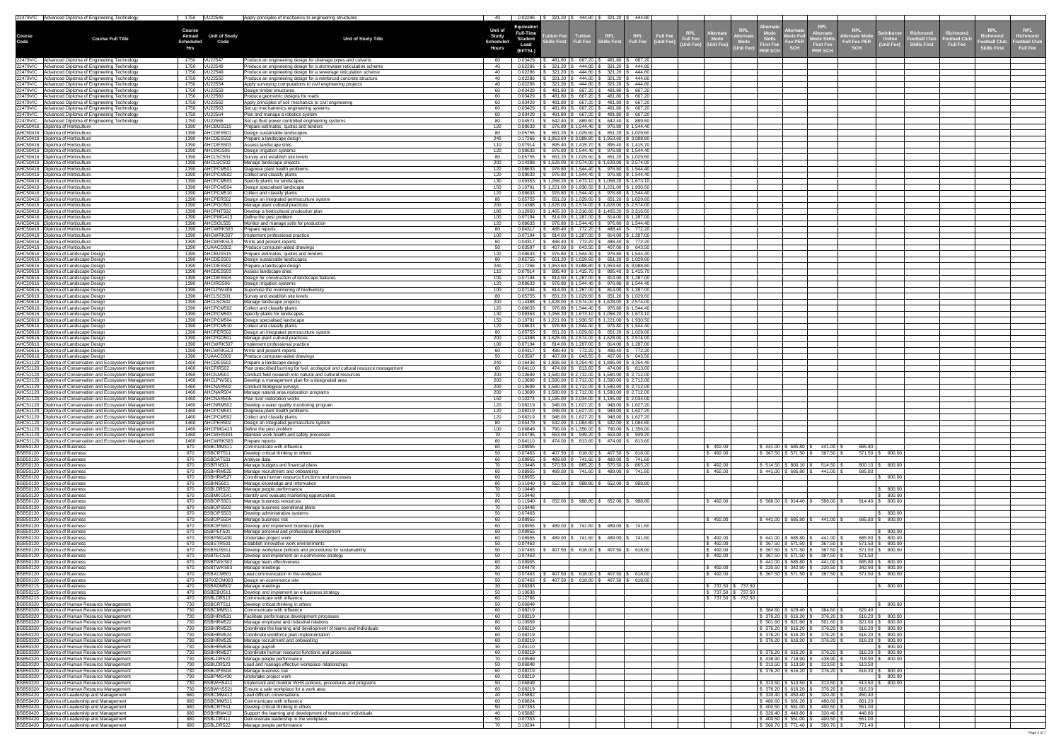|               | 22479VIC Advanced Diploma of Engineering Technology                                                                                                                                       | 1750 VU22546                                                                              | Apply principles of mechanics to engineering structures                                                                                         | 40                                                          |                                                                            |                                   | $0.02286$   \$ 321.20   \$ 444.80   \$ 321.20   \$ 444.80                                                                                                                                                   |                            |                                          |                                                                                                                                                                                                                 |                                                                                  |                                                                                          |                                                                                                                            |                                                         |                                                     |                                                                                                                                           |
|---------------|-------------------------------------------------------------------------------------------------------------------------------------------------------------------------------------------|-------------------------------------------------------------------------------------------|-------------------------------------------------------------------------------------------------------------------------------------------------|-------------------------------------------------------------|----------------------------------------------------------------------------|-----------------------------------|-------------------------------------------------------------------------------------------------------------------------------------------------------------------------------------------------------------|----------------------------|------------------------------------------|-----------------------------------------------------------------------------------------------------------------------------------------------------------------------------------------------------------------|----------------------------------------------------------------------------------|------------------------------------------------------------------------------------------|----------------------------------------------------------------------------------------------------------------------------|---------------------------------------------------------|-----------------------------------------------------|-------------------------------------------------------------------------------------------------------------------------------------------|
| <b>Course</b> | <b>Course Full Title</b>                                                                                                                                                                  | <b>Course</b><br><b>Annual</b><br><b>Unit of Study</b><br><b>Scheduled</b><br>Code<br>Hrs | <b>Unit of Study Title</b>                                                                                                                      | <b>Unit of</b><br><b>Study</b><br>Scheduled<br><b>Hours</b> | <b>Equivalent</b><br><b>Full-Time</b><br><b>Student</b><br>Load<br>(EFTSL) | tion Fee<br><b>Printing First</b> | <b>Tuition</b><br>Tuition RPL<br>Full Fee Skills First                                                                                                                                                      |                            | RPL<br>Full Fee                          | <b>KPL</b><br>\Iternatա<br><u>RPLI</u><br><b>Full Fee</b><br>lternat<br><b>Mode</b><br><b>Full Fee</b><br>(Unit Fee)<br><b>Mode</b><br><b>First Fee</b><br>Unit Fee) (Unit Fee)  <br>Init Fee)<br><b>ER SCH</b> | <b>Alternatt-</b><br><b>Mode Ful</b><br><b>Fee PER</b><br><b>SCH</b>             | <b>RPL</b><br><b>Alternate</b><br><b>Mode Skil</b><br><b>First Fee</b><br><b>PER SCH</b> | <b>RPL</b><br><b>Swinburne</b><br><b>Iternate Mode</b><br>Online<br><b>Full Fee PER</b><br><b>(Unit Fee)</b><br><b>SCH</b> | Richmond<br><b>Football Club</b><br><b>Skills First</b> | Richmond<br><b>Football Club</b><br><b>Full Fee</b> | <b>RPL</b><br><b>KPL</b><br><b>Richmond</b><br>Richmond<br>ootball Club<br><b>Football Cluk</b><br><b>Full Fee</b><br><b>Skills First</b> |
|               | 22479VIC   Advanced Diploma of Engineering Technology<br>22479VIC Advanced Diploma of Engineering Technology                                                                              | 1750 VU22547                                                                              | Produce an engineering design for drainage pipes and culverts<br>Produce an engineering design for a stormwater reticulation scheme             | 40                                                          | 0.03429<br>0.02286                                                         | 481.80<br>321.20                  | 667.20<br>444.80                                                                                                                                                                                            | 321.20                     | 481.80 \$ 667.20<br>\$444.80             |                                                                                                                                                                                                                 |                                                                                  |                                                                                          |                                                                                                                            |                                                         |                                                     |                                                                                                                                           |
|               | 22479VIC Advanced Diploma of Engineering Technology<br>22479VIC   Advanced Diploma of Engineering Technology                                                                              | 1750<br>VU22549                                                                           | Produce an engineering design for a sewerage reticulation scheme<br>Produce an engineering design for a reinforced concrete structure           |                                                             | 0.02286<br>0.02286                                                         | 321.20<br>321.20                  | 444.80<br>444.80                                                                                                                                                                                            | 321.20<br>321.20           | 444.80<br>444.80                         |                                                                                                                                                                                                                 |                                                                                  |                                                                                          |                                                                                                                            |                                                         |                                                     |                                                                                                                                           |
|               | 22479VIC   Advanced Diploma of Engineering Technology<br>22479VIC   Advanced Diploma of Engineering Technology                                                                            | VU22559<br>1750                                                                           | Apply surveying computations to civil engineering projects<br>Design timber structures                                                          |                                                             | 0.02286<br>0.03429                                                         | 321.20<br>481.80                  | 444.80<br>667.20                                                                                                                                                                                            | 321.20<br>481.80           | \$444.80<br>\$667.20                     |                                                                                                                                                                                                                 |                                                                                  |                                                                                          |                                                                                                                            |                                                         |                                                     |                                                                                                                                           |
|               | 22479VIC   Advanced Diploma of Engineering Technology<br>22479VIC Advanced Diploma of Engineering Technology<br>22479VIC Advanced Diploma of Engineering Technology                       | 1750 VU22562<br>VU22563<br>1750                                                           | Produce geometric designs for roads<br>Apply principles of soil mechanics to civil engineering<br>Set up mechatronics engineering systems       | 60                                                          | 0.03429<br>0.03429<br>0.03429                                              | 481.80  <br>481.80<br>481.80      | 667.20<br>667.20<br>667.20                                                                                                                                                                                  | 481.80<br>481.80<br>481.80 | \$667.20<br>\$667.20<br>\$667.20         |                                                                                                                                                                                                                 |                                                                                  |                                                                                          |                                                                                                                            |                                                         |                                                     |                                                                                                                                           |
|               | 22479VIC   Advanced Diploma of Engineering Technology<br>22479VIC   Advanced Diploma of Engineering Technology                                                                            | 1750 VU22564<br>1750 VU22565                                                              | Plan and manage a robotics system<br>Set up fluid power controlled engineering systems                                                          | 60<br>80                                                    | 0.03429<br>0.04571                                                         | 481.80<br>642.40                  | 667.20   \$<br>889.60                                                                                                                                                                                       |                            | 481.80   \$ 667.20<br>642.40   \$ 889.60 |                                                                                                                                                                                                                 |                                                                                  |                                                                                          |                                                                                                                            |                                                         |                                                     |                                                                                                                                           |
|               | AHC50416   Diploma of Horticulture<br>AHC50416   Diploma of Horticulture                                                                                                                  | AHCBUS515<br>1390<br>1390   AHCDES501                                                     | Prepare estimates, quotes and tenders<br>Design sustainable landscapes                                                                          | 120<br>80                                                   | 0.08633<br>0.05755                                                         |                                   | 976.80   \$ 1,544.40   \$ 976.80   \$ 1,544.40<br>651.20   \$ 1,029.60   \$ 651.20   \$ 1,029.60                                                                                                            |                            |                                          |                                                                                                                                                                                                                 |                                                                                  |                                                                                          |                                                                                                                            |                                                         |                                                     |                                                                                                                                           |
|               | AHC50416   Diploma of Horticulture<br>AHC50416   Diploma of Horticulture<br>AHC50416   Diploma of Horticulture                                                                            | AHCDES502<br>1390<br>AHCDES503<br>1390<br>1390   AHCIRG506                                | Prepare a landscape design<br>Assess landscape sites<br>Design irrigation systems                                                               | 240<br>120                                                  | 0.17266<br>0.07914<br>0.08633                                              |                                   | $$1,953.60$   \$ 3,088.80   \$ 1,953.60   \$ 3,088.80<br>895.40   \$ 1,415.70   \$ 895.40   \$ 1,415.70<br>$$976.80 \mid $1,544.40 \mid $976.80 \mid $1,544.40$                                             |                            |                                          |                                                                                                                                                                                                                 |                                                                                  |                                                                                          |                                                                                                                            |                                                         |                                                     |                                                                                                                                           |
|               | AHC50416   Diploma of Horticulture<br>AHC50416   Diploma of Horticulture                                                                                                                  | AHCLSC501<br>1390<br>AHCLSC502<br>1390                                                    | Survey and establish site levels<br>Manage landscape projects                                                                                   |                                                             | 0.05755<br>0.14388                                                         |                                   | $651.20$   \$1,029.60   \$651.20   \$1,029.60<br>\$1,628.00   \$2,574.00   \$1,628.00   \$2,574.00                                                                                                          |                            |                                          |                                                                                                                                                                                                                 |                                                                                  |                                                                                          |                                                                                                                            |                                                         |                                                     |                                                                                                                                           |
|               | AHC50416   Diploma of Horticulture<br>AHC50416   Diploma of Horticulture                                                                                                                  | 1390   AHCPCM501<br>1390   AHCPCM502                                                      | Diagnose plant health problems<br>Collect and classify plants                                                                                   | 120<br>120                                                  | 0.08633<br>0.08633                                                         |                                   | $$976.80 \mid $1,544.40 \mid $976.80 \mid $1,544.40$<br>$$976.80 \mid $1,544.40 \mid $976.80 \mid $1,544.40$<br>$$1,058.20$   \$1,673.10   \$1,058.20   \$1,673.10                                          |                            |                                          |                                                                                                                                                                                                                 |                                                                                  |                                                                                          |                                                                                                                            |                                                         |                                                     |                                                                                                                                           |
|               | AHC50416   Diploma of Horticulture<br>AHC50416   Diploma of Horticulture<br>AHC50416   Diploma of Horticulture                                                                            | AHCPCM503<br>1390<br>1390   AHCPCM504<br>1390   AHCPCM510                                 | Specify plants for landscapes<br>Design specialised landscape<br>Collect and classify plants                                                    | 150<br>120                                                  | 0.09353<br>0.08633                                                         |                                   | $0.10791$   \$ 1,221.00   \$ 1,930.50   \$ 1,221.00   \$ 1,930.50<br>$\frac{1}{3}$ 976.80 $\frac{1}{3}$ 1,544.40 $\frac{1}{3}$ 976.80 $\frac{1}{3}$ 1,544.40                                                |                            |                                          |                                                                                                                                                                                                                 |                                                                                  |                                                                                          |                                                                                                                            |                                                         |                                                     |                                                                                                                                           |
|               | AHC50416   Diploma of Horticulture<br>AHC50416   Diploma of Horticulture                                                                                                                  | AHCPER502<br>1390<br>1390   AHCPGD501                                                     | Design an integrated permaculture system<br>Manage plant cultural practices                                                                     | 80-                                                         | 0.14388                                                                    |                                   | $0.05755$ \ \$ 651.20 \ \$ 1,029.60 \ \$ 651.20 \ \$ 1,029.60<br>$\vert$ \$ 1,628.00 $\vert$ \$ 2,574.00 $\vert$ \$ 1,628.00 $\vert$ \$ 2,574.00                                                            |                            |                                          |                                                                                                                                                                                                                 |                                                                                  |                                                                                          |                                                                                                                            |                                                         |                                                     |                                                                                                                                           |
|               | AHC50416   Diploma of Horticulture<br>AHC50416   Diploma of Horticulture<br>AHC50416   Diploma of Horticulture                                                                            | 1390 AHCPHT502<br>1390   AHCPMG413<br>1390 AHCSOL505                                      | Develop a horticultural production plan<br>Define the pest problem<br>Monitor and manage soils for production                                   | 120                                                         | 0.12950<br>0.07194<br>0.08633                                              |                                   | $$1,465.20$ $$2,316.60$ $$1,465.20$ $$2,316.60$<br>814.00   \$1,287.00   \$814.00   \$1,287.00<br>$976.80$   \$1,544.40   \$976.80   \$1,544.40                                                             |                            |                                          |                                                                                                                                                                                                                 |                                                                                  |                                                                                          |                                                                                                                            |                                                         |                                                     |                                                                                                                                           |
|               | AHC50416   Diploma of Horticulture<br>AHC50416   Diploma of Horticulture                                                                                                                  | 1390   AHCWRK503<br>1390 AHCWRK507                                                        | Prepare reports<br>Implement professional practice                                                                                              |                                                             | 0.04317<br>0.07194                                                         |                                   | 488.40   \$772.20   \$488.40   \$772.20<br>814.00   \$1,287.00   \$814.00   \$1,287.00                                                                                                                      |                            |                                          |                                                                                                                                                                                                                 |                                                                                  |                                                                                          |                                                                                                                            |                                                         |                                                     |                                                                                                                                           |
|               | AHC50416   Diploma of Horticulture<br>AHC50416   Diploma of Horticulture                                                                                                                  | 1390 AHCWRK513<br>1390<br>CUAACD302                                                       | Write and present reports<br>Produce computer-aided drawings                                                                                    |                                                             | 0.04317<br>0.03597                                                         | 407.00                            | 488.40   \$772.20   \$488.40   \$772.20<br>643.50                                                                                                                                                           |                            | 407.00 \$ 643.50                         |                                                                                                                                                                                                                 |                                                                                  |                                                                                          |                                                                                                                            |                                                         |                                                     |                                                                                                                                           |
|               | AHC50616   Diploma of Landscape Design<br>AHC50616   Diploma of Landscape Design                                                                                                          | AHCBUS515<br>1390<br>AHCDES501<br>1390                                                    | Prepare estimates, quotes and tenders<br>Design sustainable landscapes                                                                          |                                                             | 0.08633<br>0.05755                                                         |                                   | 976.80   \$ 1,544.40   \$ 976.80   \$ 1,544.40<br>651.20   \$1,029.60   \$651.20   \$1,029.60                                                                                                               |                            |                                          |                                                                                                                                                                                                                 |                                                                                  |                                                                                          |                                                                                                                            |                                                         |                                                     |                                                                                                                                           |
|               | AHC50616   Diploma of Landscape Design<br>AHC50616   Diploma of Landscape Design<br>AHC50616   Diploma of Landscape Design                                                                | 1390   AHCDES502<br>1390   AHCDES503<br>1390   AHCDES504                                  | Prepare a landscape design<br>Assess landscape sites<br>Design for construction of landscape features                                           |                                                             | 0.17266<br>0.07914<br>0.07194                                              |                                   | $1,953.60$   \$ 3,088.80   \$ 1,953.60   \$ 3,088.80<br>895.40   \$ 1,415.70   \$ 895.40   \$ 1,415.70<br>814.00   \$ 1,287.00   \$ 814.00   \$ 1,287.00                                                    |                            |                                          |                                                                                                                                                                                                                 |                                                                                  |                                                                                          |                                                                                                                            |                                                         |                                                     |                                                                                                                                           |
|               | AHC50616   Diploma of Landscape Design<br>AHC50616   Diploma of Landscape Design                                                                                                          | AHCIRG506<br>1390<br>1390   AHCLPW 406                                                    | Design irrigation systems<br>Supervise the monitoring of biodiversity                                                                           | 100                                                         | 0.08633<br>0.07194                                                         |                                   | $976.80$   \$1,544.40   \$976.80   \$1,544.40<br>814.00   \$ 1,287.00   \$ 814.00   \$ 1,287.00                                                                                                             |                            |                                          |                                                                                                                                                                                                                 |                                                                                  |                                                                                          |                                                                                                                            |                                                         |                                                     |                                                                                                                                           |
|               | AHC50616   Diploma of Landscape Design<br>AHC50616   Diploma of Landscape Design<br>AHC50616   Diploma of Landscape Design                                                                | 1390   AHCLSC501<br>1390   AHCLSC502<br>1390   AHCPCM502                                  | Survey and establish site levels<br>Manage landscape projects<br>Collect and classify plants                                                    | 120                                                         | 0.05755<br>0.14388<br>0.08633                                              |                                   | 651.20   \$ 1,029.60   \$ 651.20   \$ 1,029.60<br>  \$1,628.00   \$2,574.00   \$1,628.00   \$2,574.00<br>$$976.80 \mid $1,544.40 \mid $976.80 \mid $1,544.40$                                               |                            |                                          |                                                                                                                                                                                                                 |                                                                                  |                                                                                          |                                                                                                                            |                                                         |                                                     |                                                                                                                                           |
|               | AHC50616   Diploma of Landscape Design<br>AHC50616   Diploma of Landscape Design                                                                                                          | 1390   AHCPCM503<br>1390   AHCPCM504                                                      | Specify plants for landscapes<br>Design specialised landscape                                                                                   |                                                             | 0.09353<br>0.10791                                                         |                                   | $$1,058.20$   \$1,673.10   \$1,058.20   \$1,673.10<br>  \$1,221.00   \$1,930.50   \$1,221.00   \$1,930.50                                                                                                   |                            |                                          |                                                                                                                                                                                                                 |                                                                                  |                                                                                          |                                                                                                                            |                                                         |                                                     |                                                                                                                                           |
|               | AHC50616   Diploma of Landscape Design<br>AHC50616   Diploma of Landscape Design                                                                                                          | AHCPCM510<br>1390<br>1390   AHCPER502                                                     | Collect and classify plants<br>Design an integrated permaculture system                                                                         | 120                                                         | 0.08633<br>0.05755                                                         |                                   | \$ 976.80   \$ 1,544.40   \$ 976.80   \$ 1,544.40<br>651.20   \$ 1,029.60   \$ 651.20   \$ 1,029.60                                                                                                         |                            |                                          |                                                                                                                                                                                                                 |                                                                                  |                                                                                          |                                                                                                                            |                                                         |                                                     |                                                                                                                                           |
|               | AHC50616   Diploma of Landscape Design<br>AHC50616   Diploma of Landscape Design<br>AHC50616   Diploma of Landscape Design                                                                | 1390   AHCPGD501<br>1390   AHCWRK507<br>AHCWRK513<br>1390                                 | Manage plant cultural practices<br>Implement professional practice<br>Write and present reports                                                 | 200                                                         | 0.07194<br>0.04317                                                         |                                   | $0.14388$   \$ 1,628.00   \$ 2,574.00   \$ 1,628.00   \$ 2,574.00<br>$\frac{1}{2}$ 814.00   \$1,287.00   \$814.00   \$1,287.00<br>488.40   \$772.20   \$488.40   \$772.20                                   |                            |                                          |                                                                                                                                                                                                                 |                                                                                  |                                                                                          |                                                                                                                            |                                                         |                                                     |                                                                                                                                           |
|               | AHC50616   Diploma of Landscape Design<br>AHC51120   Diploma of Conservation and Ecosystem Management                                                                                     | 1390 CUAACD302<br>1460   AHCDES502                                                        | Produce computer-aided drawings<br>Prepare a landscape design                                                                                   | 50                                                          | 0.03597<br>0.16438                                                         |                                   | $\vert$ \$ 1,896.00   \$ 3,254.40   \$ 1,896.00   \$ 3,254.40                                                                                                                                               |                            |                                          |                                                                                                                                                                                                                 |                                                                                  |                                                                                          |                                                                                                                            |                                                         |                                                     |                                                                                                                                           |
|               | AHC51120   Diploma of Conservation and Ecosystem Management<br>AHC51120   Diploma of Conservation and Ecosystem Management                                                                | 1460   AHCFIR502<br>1460   AHCILM501                                                      | Plan prescribed burning for fuel, ecological and cultural resource management<br>Conduct field research into natural and cultural resources     | 200                                                         | 0.04110                                                                    |                                   | $$474.00 \mid $813.60 \mid $474.00 \mid $813.60$<br>$0.13699$   \$ 1,580.00   \$ 2,712.00   \$ 1,580.00   \$ 2,712.00                                                                                       |                            |                                          |                                                                                                                                                                                                                 |                                                                                  |                                                                                          |                                                                                                                            |                                                         |                                                     |                                                                                                                                           |
|               | AHC51120   Diploma of Conservation and Ecosystem Management<br>AHC51120   Diploma of Conservation and Ecosystem Management<br>AHC51120   Diploma of Conservation and Ecosystem Management | 1460   AHCLPW501<br>1460   AHCNAR502<br>1460   AHCNAR504                                  | Develop a management plan for a designated area<br>Conduct biological surveys<br>Manage natural area restoration programs                       | 200<br>200                                                  |                                                                            |                                   | $0.13699$   \$ 1,580.00   \$ 2,712.00   \$ 1,580.00   \$ 2,712.00<br>$0.13699$   \$ 1,580.00   \$ 2,712.00   \$ 1,580.00   \$ 2,712.00<br>$0.13699$   \$ 1,580.00   \$ 2,712.00   \$ 1,580.00   \$ 2,712.00 |                            |                                          |                                                                                                                                                                                                                 |                                                                                  |                                                                                          |                                                                                                                            |                                                         |                                                     |                                                                                                                                           |
|               | AHC51120   Diploma of Conservation and Ecosystem Management<br>AHC51120   Diploma of Conservation and Ecosystem Management                                                                | 1460   AHCNAR505<br>1460   AHCNRM502                                                      | Plan river restoration works<br>Develop a water quality monitoring program                                                                      | 120                                                         | 0.08219                                                                    |                                   | $$1,185.00$ $$2,034.00$ $$1,185.00$ $$2,034.00$<br>948.00   \$ 1,627.20   \$ 948.00   \$ 1,627.20                                                                                                           |                            |                                          |                                                                                                                                                                                                                 |                                                                                  |                                                                                          |                                                                                                                            |                                                         |                                                     |                                                                                                                                           |
|               | AHC51120   Diploma of Conservation and Ecosystem Management<br>AHC51120   Diploma of Conservation and Ecosystem Management                                                                | 1460   AHCPCM501<br>1460   AHCPCM502                                                      | Diagnose plant health problems<br>Collect and classify plants                                                                                   | 120<br>120                                                  | 0.08219<br>0.08219                                                         |                                   | $948.00$   \$1,627.20   \$948.00   \$1,627.20<br>$948.00$   \$1,627.20   \$948.00   \$1,627.20                                                                                                              |                            |                                          |                                                                                                                                                                                                                 |                                                                                  |                                                                                          |                                                                                                                            |                                                         |                                                     |                                                                                                                                           |
|               | AHC51120   Diploma of Conservation and Ecosystem Management<br>AHC51120   Diploma of Conservation and Ecosystem Management<br>AHC51120   Diploma of Conservation and Ecosystem Management | 1460   AHCPER502<br>AHCPMG413<br>1460<br>AHCWHS401<br>1460                                | Design an integrated permaculture system<br>Define the pest problem<br>Maintain work health and safety processes                                | 100                                                         | 0.05479<br>0.06849<br>0.04795                                              | 553.00                            | $632.00$   \$ 1,084.80   \$ 632.00   \$ 1,084.80<br>790.00   \$1,356.00   \$790.00   \$1,356.00<br>$$949.20 \, \text{\r{}}\,$ 553.00 \ \$949.20                                                             |                            |                                          |                                                                                                                                                                                                                 |                                                                                  |                                                                                          |                                                                                                                            |                                                         |                                                     |                                                                                                                                           |
|               | AHC51120 Diploma of Conservation and Ecosystem Management<br>BSB50120   Diploma of Business                                                                                               | 1460 AHCWRK503<br>BSBCMM51<br>670                                                         | Prepare reports<br>Communicate with influence                                                                                                   |                                                             | 0.04110<br>0.08955                                                         |                                   | 474.00   \$ 813.60   \$ 474.00   \$ 813.60                                                                                                                                                                  |                            |                                          | 492.00                                                                                                                                                                                                          | $$441.00$ $$685.80$ $$$                                                          | 441.00                                                                                   | 685.80                                                                                                                     |                                                         |                                                     |                                                                                                                                           |
|               | BSB50120   Diploma of Business<br>BSB50120   Diploma of Business                                                                                                                          | 670<br>BSBCRT511<br>BSBDAT501<br>670                                                      | Develop critical thinking in others<br>Analyse data                                                                                             |                                                             | 0.07463<br>0.08955                                                         | 407.50<br>489.00                  | 618.00<br>\$741.60                                                                                                                                                                                          | 407.50                     | \$618.00<br>489.00   \$741.60            | 492.00                                                                                                                                                                                                          | $$367.50 \mid $571.50 \mid $$                                                    | 367.50                                                                                   | $571.50$ \ \$ 800.00                                                                                                       |                                                         |                                                     |                                                                                                                                           |
|               | BSB50120   Diploma of Business<br>BSB50120   Diploma of Business<br>BSB50120   Diploma of Business                                                                                        | BSBFIN501<br>670<br><b>BSBHRM525</b><br>670<br>670<br>BSBHRM527                           | Manage budgets and financial plans<br>Manage recruitment and onboarding<br>Coordinate human resource functions and processes                    |                                                             | 0.10448<br>08955<br>0.08955                                                | 570.50<br>489.00                  | 865.20<br>741.60丨                                                                                                                                                                                           | 570.50  <br>489.00         | \$865.20<br>741.60                       | 492.00<br>492.00                                                                                                                                                                                                | \$514.50   \$800.10   \$<br>\$441.00   \$685.80   \$                             | 514.50<br>441.00 \$                                                                      | $800.10$ \$ $800.00$<br>685.80<br>800.00                                                                                   |                                                         |                                                     |                                                                                                                                           |
|               | BSB50120   Diploma of Business<br>BSB50120   Diploma of Business                                                                                                                          | BSBINS601<br>670<br>BSBLDR522<br>670                                                      | Manage knowledge and information<br>Manage people performance                                                                                   |                                                             | 0.11940<br>0.10448                                                         | 652.00                            | 988.80                                                                                                                                                                                                      | 652.00                     | \$988.80                                 |                                                                                                                                                                                                                 |                                                                                  |                                                                                          | 800.00                                                                                                                     |                                                         |                                                     |                                                                                                                                           |
|               | BSB50120   Diploma of Business<br>BSB50120   Diploma of Business                                                                                                                          | 670<br>BSBMKG541<br>BSBOPS501<br>670                                                      | Identify and evaluate marketing opportunities<br>Manage business resources                                                                      |                                                             | 0.10448<br>.11940                                                          | 652.00                            | 988.80                                                                                                                                                                                                      | 652.00                     | \$988.80                                 | 492.00                                                                                                                                                                                                          | $$588.00 \;   \; $914.40 \;   \; $$                                              | 588.00                                                                                   | 800.00<br>914.40<br>800.00                                                                                                 |                                                         |                                                     |                                                                                                                                           |
|               | BSB50120   Diploma of Business<br>BSB50120   Diploma of Business<br>BSB50120   Diploma of Business                                                                                        | BSBOPS502<br>670<br>BSBOPS503<br>670<br>BSBOPS504<br>670                                  | Manage business operational plans<br>Develop administrative systems<br>Manage business risk                                                     |                                                             | 0.10448<br>0.07463<br>0.08955                                              |                                   |                                                                                                                                                                                                             |                            |                                          | 492.00                                                                                                                                                                                                          | \$441.00   \$685.80   \$                                                         | 441.00                                                                                   | 800.00<br>685.80   \$ 800.00                                                                                               |                                                         |                                                     |                                                                                                                                           |
|               | BSB50120   Diploma of Business<br>BSB50120   Diploma of Business                                                                                                                          | 670 BSBOPS601<br>BSBPEF501<br>670                                                         | Develop and implement business plans<br>Manage personal and professional development                                                            | 60<br>60                                                    | 0.08955<br>0.08955                                                         |                                   | 489.00   \$741.60   \$489.00   \$741.60                                                                                                                                                                     |                            |                                          |                                                                                                                                                                                                                 |                                                                                  |                                                                                          | 800.00                                                                                                                     |                                                         |                                                     |                                                                                                                                           |
|               | BSB50120   Diploma of Business<br>BSB50120   Diploma of Business                                                                                                                          | 670<br>BSBPMG430<br>670 BSBSTR501                                                         | Jndertake project work<br>Establish innovative work environments                                                                                | 50                                                          | 0.08955<br>0.07463                                                         |                                   | 489.00   \$741.60   \$                                                                                                                                                                                      |                            | 489.00   \$741.60                        | 492.00<br>492.00                                                                                                                                                                                                | $$441.00 \mid $685.80 \mid $$                                                    | 441.00<br>$$367.50 \;   \; $571.50 \;   \; $367.50 \;   \;$                              | 685.80 \$ 800.00<br>$571.50$ \$ 800.00                                                                                     |                                                         |                                                     |                                                                                                                                           |
|               | BSB50120   Diploma of Business<br>BSB50120   Diploma of Business<br>BSB50120   Diploma of Business                                                                                        | BSBSUS511<br>670<br>670 BSBTEC501<br>670 BSBTWK502                                        | Develop workplace policies and procedures for sustainability<br>Develop and implement an e-commerce strategy<br>Manage team effectiveness       | 60                                                          | 0.07463<br>0.07463<br>0.08955                                              |                                   | $407.50$   \$ 618.00   \$ 407.50   \$ 618.00                                                                                                                                                                |                            |                                          | 492.00<br>492.00                                                                                                                                                                                                | $$367.50 \;   \; $571.50 \;   \; $$<br>$$367.50 \,   \, $571.50 \,   \, $$       | 367.50<br>367.50<br>$$441.00 \mid $685.80 \mid $441.00 \mid $$                           | $571.50$ \ \$ 800.00<br>571.50<br>685.80   \$ 800.00                                                                       |                                                         |                                                     |                                                                                                                                           |
|               | BSB50120   Diploma of Business<br>BSB50120   Diploma of Business                                                                                                                          | BSBTWK503<br>670<br>670<br>BSBXCM501                                                      | Manage meetings<br>Lead communication in the workplace                                                                                          |                                                             | 0.04478<br>0.07463                                                         |                                   | $407.50$ $\frac{1}{9}$ 618.00 $\frac{1}{9}$ 407.50 $\frac{1}{9}$ 618.00                                                                                                                                     |                            |                                          | 492.00<br>492.00                                                                                                                                                                                                | $$220.50 \mid $342.90 \mid $$                                                    | 220.50<br>\$ 367.50   \$ 571.50   \$ 367.50                                              | $342.90 \mid \$$ 800.00<br>$571.50$ \ \$ 800.00                                                                            |                                                         |                                                     |                                                                                                                                           |
|               | BSB50120   Diploma of Business<br>BSB50215   Diploma of Business<br>BSB50215   Diploma of Business                                                                                        | 670 SIRXECM003<br>470 BSBADM502<br>BSBEBU511<br>470                                       | Design an ecommerce site<br>Manage meetings<br>Develop and implement an e-business strategy                                                     | 50<br>30 <sup>2</sup><br>50                                 | 0.07463<br>0.06383<br>0.10638                                              |                                   | 407.50   \$ 618.00   \$ 407.50   \$ 618.00                                                                                                                                                                  |                            |                                          | $\frac{1}{2}$ 737.50 $\frac{1}{2}$ 737.50<br>737.50 \$737.50                                                                                                                                                    |                                                                                  |                                                                                          | $\vert $ \$ 800.00 $\vert$                                                                                                 |                                                         |                                                     |                                                                                                                                           |
|               | BSB50215   Diploma of Business<br>BSB50320   Diploma of Human Resource Management                                                                                                         | 470 BSBLDR513<br>BSBCRT511<br>730                                                         | Communicate with influence<br>Develop critical thinking in others                                                                               | 60                                                          | 0.12766<br>0.06849                                                         |                                   |                                                                                                                                                                                                             |                            |                                          | 737.50 \$737.50                                                                                                                                                                                                 |                                                                                  |                                                                                          | 800.00                                                                                                                     |                                                         |                                                     |                                                                                                                                           |
|               | BSB50320   Diploma of Human Resource Management<br>BSB50320   Diploma of Human Resource Management                                                                                        | BSBCMM51<br>730<br>730<br>BSBHRM521                                                       | Communicate with influence<br>Facilitate performance development processes                                                                      | 60<br>60.                                                   | 0.08219<br>0.08219                                                         |                                   |                                                                                                                                                                                                             |                            |                                          |                                                                                                                                                                                                                 | $$376.20 \, \text{S}$ 616.20 \ \$                                                | \$384.60   \$629.40   \$384.60  <br>376.20                                               | 629.40<br>$616.20$ \ \$ 800.00                                                                                             |                                                         |                                                     |                                                                                                                                           |
|               | BSB50320   Diploma of Human Resource Management<br>BSB50320   Diploma of Human Resource Management<br>BSB50320   Diploma of Human Resource Management                                     | BSBHRM522<br>730<br>BSBHRM523<br>730<br>BSBHRM524<br>730                                  | Manage employee and industrial relations<br>Coordinate the learning and development of teams and individuals                                    | 60                                                          | 0.10959<br>0.08219<br>0.08219                                              |                                   |                                                                                                                                                                                                             |                            |                                          |                                                                                                                                                                                                                 | $$501.60 \,   \, $821.60 \,   \, $$<br>$$376.20 \, \text{S}$ 616.20 \ \$         | 501.60<br>376.20<br>\$ 376.20   \$ 616.20   \$    376.20                                 | 821.60   \$ 800.00<br>$616.20$ \$ 800.00<br>$616.20$ \ \$ 800.00                                                           |                                                         |                                                     |                                                                                                                                           |
|               | BSB50320   Diploma of Human Resource Management<br>BSB50320   Diploma of Human Resource Management                                                                                        | 730<br>BSBHRM525<br>BSBHRM526<br>730                                                      | Coordinate workforce plan implementation<br>Manage recruitment and onboarding<br>Manage payroll                                                 |                                                             | 0.08219<br>0.04110                                                         |                                   |                                                                                                                                                                                                             |                            |                                          |                                                                                                                                                                                                                 | \$ 376.20   \$ 616.20   \$                                                       | 376.20                                                                                   | $616.20$ \$ 800.00<br>800.00                                                                                               |                                                         |                                                     |                                                                                                                                           |
|               | BSB50320   Diploma of Human Resource Management<br>BSB50320   Diploma of Human Resource Management                                                                                        | 730<br>BSBHRM527<br>730<br>BSBLDR522                                                      | Coordinate human resource functions and processes<br>Manage people performance                                                                  |                                                             | 0.08219<br>0.09589                                                         |                                   |                                                                                                                                                                                                             |                            |                                          |                                                                                                                                                                                                                 | \$376.20 \$616.20 \$<br>\$438.90   \$718.90   \$                                 | 376.20<br>438.90                                                                         | $616.20$ \ \$ 800.00<br>718.90   \$ 800.00                                                                                 |                                                         |                                                     |                                                                                                                                           |
|               | BSB50320 Diploma of Human Resource Management<br>BSB50320 Diploma of Human Resource Management                                                                                            | 730<br>BSBLDR523<br>BSBOPS504<br>730<br>BSBPMG430<br>730                                  | Lead and manage effective workplace relationships<br>Manage business risk                                                                       |                                                             | 0.06849<br>0.08219<br>0.08219                                              |                                   |                                                                                                                                                                                                             |                            |                                          |                                                                                                                                                                                                                 | \$ 376.20   \$ 616.20   \$                                                       | $$313.50 \mid $513.50 \mid $313.50 \mid$<br>376.20                                       | 513.50<br>$616.20$   \$ 800.00  <br>800.00                                                                                 |                                                         |                                                     |                                                                                                                                           |
|               | BSB50320   Diploma of Human Resource Management<br>BSB50320   Diploma of Human Resource Management<br>BSB50320   Diploma of Human Resource Management                                     | 730<br>BSBWHS411<br>730<br>BSBWHS521                                                      | Jndertake project work<br>Implement and monitor WHS policies, procedures and programs<br>Ensure a safe workplace for a work area                |                                                             | 0.06849<br>0.08219                                                         |                                   |                                                                                                                                                                                                             |                            |                                          |                                                                                                                                                                                                                 | \$376.20   \$616.20   \$                                                         | \$ 313.50   \$ 513.50   \$ 313.50<br>376.20                                              | 513.50<br>800.00<br>616.20                                                                                                 |                                                         |                                                     |                                                                                                                                           |
|               | BSB50420   Diploma of Leadership and Management<br>BSB50420   Diploma of Leadership and Management                                                                                        | BSBCMM412<br>680<br>680<br>BSBCMM51                                                       | ead difficult conversations.<br>Communicate with influence                                                                                      |                                                             | 0.05882<br>0.08824                                                         |                                   |                                                                                                                                                                                                             |                            |                                          |                                                                                                                                                                                                                 | \$320.40   \$450.40   \$<br>\$480.60   \$661.20   \$                             | 320.40<br>480.60                                                                         | 450.40<br>661.20                                                                                                           |                                                         |                                                     |                                                                                                                                           |
|               | BSB50420   Diploma of Leadership and Management<br>BSB50420   Diploma of Leadership and Management<br>BSB50420   Diploma of Leadership and Management                                     | 680<br>BSBCRT511<br>BSBHRM413<br>680<br>680<br>BSBLDR411                                  | Develop critical thinking in others<br>Support the learning and development of teams and individuals<br>Demonstrate leadership in the workplace | 50                                                          | 0.07353<br>0.05882<br>0.07353                                              |                                   |                                                                                                                                                                                                             |                            |                                          |                                                                                                                                                                                                                 | \$400.50   \$551.00   \$<br>\$320.40   \$440.80   \$<br>\$400.50   \$551.00   \$ | 400.50<br>320.40<br>400.50                                                               | 551.00<br>440.80<br>551.00                                                                                                 |                                                         |                                                     |                                                                                                                                           |
|               | BSB50420   Diploma of Leadership and Management                                                                                                                                           | 680 BSBLDR522                                                                             | Manage people performance                                                                                                                       | 70                                                          | 0.10294                                                                    |                                   |                                                                                                                                                                                                             |                            |                                          |                                                                                                                                                                                                                 | $$560.70 \, \text{S}$ 771.40 \ \$                                                | 560.70∣\$                                                                                | 771.40                                                                                                                     |                                                         |                                                     | Page 2 of 7                                                                                                                               |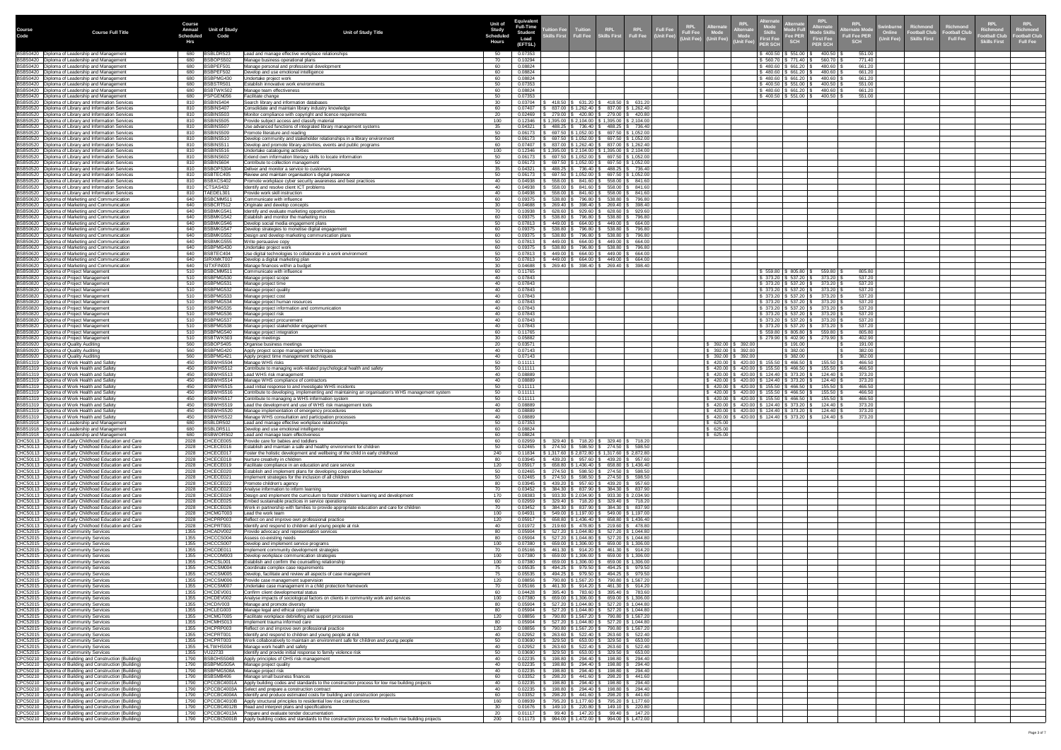|                       |                                                                                                                                                                | <b>Course</b><br><b>Annual</b> | <b>Unit of Study</b>                   |                                                                                                                                                           | <b>Unit of</b>                            | Equivalent<br><b>Full-Time</b> | tion Fee                                                                                                                        |                              |                                                     | Alternat                                                                                                                                        |                                                    | <b>Alternate</b><br>Mode Full                                                                                                             | <b>RPL</b><br><b>Alternate</b>                         | <b>RPL</b><br><b>Swinburne</b><br><b>Iternate Mode</b>          | Richmond                                    | <b>RPL</b><br>Richmond<br><b>Richmond</b>                                                    | <b>RPL</b><br><b>Richmond</b>   |
|-----------------------|----------------------------------------------------------------------------------------------------------------------------------------------------------------|--------------------------------|----------------------------------------|-----------------------------------------------------------------------------------------------------------------------------------------------------------|-------------------------------------------|--------------------------------|---------------------------------------------------------------------------------------------------------------------------------|------------------------------|-----------------------------------------------------|-------------------------------------------------------------------------------------------------------------------------------------------------|----------------------------------------------------|-------------------------------------------------------------------------------------------------------------------------------------------|--------------------------------------------------------|-----------------------------------------------------------------|---------------------------------------------|----------------------------------------------------------------------------------------------|---------------------------------|
| <b>Course</b><br>Code | <b>Course Full Title</b>                                                                                                                                       | <b>Scheduled</b><br>Hrs        | Code                                   | <b>Unit of Study Title</b>                                                                                                                                | <b>Study</b><br><b>Scheduled</b><br>Hours | <b>Student</b><br>(EFTSL)      | $\mathsf{dlls}$ First $\blacksquare$                                                                                            |                              | Tuition RPL RPL Full Fee                            | RPL<br>Full Fee<br><b>Alternate</b><br>(Unit Fee) (Unit Fee)                                                                                    | <b>Skills</b><br><b>First Fee</b><br><b>ER SCH</b> | <b>Fee PER</b><br><b>SCH</b>                                                                                                              | <b>Mode Skil</b><br><b>First Fee</b><br><b>PER SCH</b> | Online<br><b>Full Fee PER</b><br><b>Unit Fee)</b><br><b>SCH</b> | <b>Football Club</b><br><b>Skills First</b> | Football Clu <mark>k</mark><br><b>Football Clu</b><br><b>Full Fee</b><br><b>Skills First</b> | ootball Club<br><b>Full Fee</b> |
|                       | BSB50420   Diploma of Leadership and Management<br>BSB50420   Diploma of Leadership and Management                                                             | 680                            | BSBLDR52<br>BSBOPS502                  | Lead and manage effective workplace relationships                                                                                                         | -50<br>-70                                | 0.07353<br>0.10294             |                                                                                                                                 |                              |                                                     |                                                                                                                                                 |                                                    | $\frac{1}{2}$ 400.50 \ \$ 551.00 \ \$<br>$\frac{1}{2}$ 560.70 \ \$ 771.40 \ \$                                                            | 400.50<br>560.70                                       | 551.00<br>771.40                                                |                                             |                                                                                              |                                 |
|                       | BSB50420   Diploma of Leadership and Management<br>BSB50420   Diploma of Leadership and Management                                                             | 680<br>680<br>680              | BSBPEF501<br>BSBPEF502                 | Manage business operational plans<br>Manage personal and professional development<br>Develop and use emotional intelligence                               |                                           | 0.08824<br>0.08824             |                                                                                                                                 |                              |                                                     |                                                                                                                                                 |                                                    | $$480.60 \;   \; $661.20 \;   \; $$<br>\$480.60 \$661.20 \$                                                                               | 480.60<br>480.60                                       | 661.20<br>661.20                                                |                                             |                                                                                              |                                 |
|                       | BSB50420   Diploma of Leadership and Management<br>BSB50420   Diploma of Leadership and Management                                                             | 680<br>680                     | BSBPMG430<br>BSBSTR501                 | Jndertake project work<br>Establish innovative work environments                                                                                          |                                           | 0.08824<br>0.07353             |                                                                                                                                 |                              |                                                     |                                                                                                                                                 |                                                    | $$480.60 \mid $661.20 \mid $$<br>$$400.50 \mid $551.00$                                                                                   | 480.60<br>400.50                                       | 661.20<br>551.00                                                |                                             |                                                                                              |                                 |
|                       | BSB50420   Diploma of Leadership and Management<br>BSB50420   Diploma of Leadership and Management                                                             | 680<br>680                     | 3SBTWK502<br>PSPGEN056                 | Manage team effectiveness<br>Facilitate change                                                                                                            |                                           | 0.08824<br>0.07353             |                                                                                                                                 |                              |                                                     |                                                                                                                                                 |                                                    | \$480.60   \$661.20   \$<br>$\frac{1}{2}$ 400.50 $\frac{1}{2}$ 551.00 $\frac{1}{2}$                                                       | 480.60<br>400.50                                       | 661.20<br>551.00                                                |                                             |                                                                                              |                                 |
|                       | BSB50520   Diploma of Library and Information Services<br>BSB50520   Diploma of Library and Information Services                                               | 810<br>810                     | BSBINS404<br>BSBINS407                 | Search library and information databases<br>Consolidate and maintain library industry knowledge                                                           |                                           | 0.03704<br>0.07407             | 631.20<br>418.50<br>837.00   \$1,262.40   \$837.00   \$1,262.40                                                                 | 418.50                       | \$631.20                                            |                                                                                                                                                 |                                                    |                                                                                                                                           |                                                        |                                                                 |                                             |                                                                                              |                                 |
|                       | BSB50520   Diploma of Library and Information Services<br>BSB50520   Diploma of Library and Information Services                                               | 810<br>810                     | BSBINS503<br><b>BSBINS505</b>          | Monitor compliance with copyright and licence requirements<br>Provide subject access and classify material                                                | 100                                       | 0.02469<br>0.12346             | 279.00   \$420.80  <br>$1,395.00$   \$ 2,104.00   \$ 1,395.00   \$ 2,104.00                                                     |                              | 279.00 \$420.80                                     |                                                                                                                                                 |                                                    |                                                                                                                                           |                                                        |                                                                 |                                             |                                                                                              |                                 |
|                       | BSB50520   Diploma of Library and Information Services<br>BSB50520   Diploma of Library and Information Services                                               | 810<br>810                     | BSBINS507<br>BSBINS509                 | Use advanced functions of integrated library management systems<br>Promote literature and reading                                                         |                                           | 0.04321<br>0.06173             | 488.25   \$736.40   \$488.25   \$736.40<br>697.50   \$ 1,052.00   \$ 697.50   \$ 1,052.00                                       |                              |                                                     |                                                                                                                                                 |                                                    |                                                                                                                                           |                                                        |                                                                 |                                             |                                                                                              |                                 |
|                       | BSB50520   Diploma of Library and Information Services<br>BSB50520   Diploma of Library and Information Services                                               | 810<br>810                     | BSBINS510<br>BSBINS51                  | Develop community and stakeholder relationships in a library environment<br>Develop and promote library activities, events and public programs            |                                           | 0.06173<br>0.07407             | 697.50 \$ 1,052.00  <br>837.00   \$1,262.40   \$837.00   \$1,262.40                                                             |                              | 697.50 \$1,052.00                                   |                                                                                                                                                 |                                                    |                                                                                                                                           |                                                        |                                                                 |                                             |                                                                                              |                                 |
|                       | BSB50520   Diploma of Library and Information Services<br>BSB50520   Diploma of Library and Information Services                                               | 810<br>810                     | BSBINS516<br>BSBINS602                 | Undertake cataloguing activities<br>Extend own information literacy skills to locate information                                                          | 100                                       | 0.12346<br>0.06173             | $1,395.00$   \$ 2,104.00   \$ 1,395.00   \$ 2,104.00<br>697.50   \$ 1,052.00                                                    |                              | 697.50 \$1,052.00                                   |                                                                                                                                                 |                                                    |                                                                                                                                           |                                                        |                                                                 |                                             |                                                                                              |                                 |
|                       | BSB50520   Diploma of Library and Information Services<br>BSB50520   Diploma of Library and Information Services                                               | 810<br>810                     | BSBINS604<br>BSBOPS304                 | Contribute to collection management<br>Deliver and monitor a service to customers                                                                         |                                           | 0.06173<br>0.04321             | 697.50   \$ 1,052.00  <br>488.25   \$736.40                                                                                     |                              | 697.50 \$ 1,052.00<br>488.25   \$736.40             |                                                                                                                                                 |                                                    |                                                                                                                                           |                                                        |                                                                 |                                             |                                                                                              |                                 |
|                       | BSB50520   Diploma of Library and Information Services<br>BSB50520   Diploma of Library and Information Services                                               | 810<br>810                     | BSBTEC405<br>BSBXCS402                 | Review and maintain organisation's digital presence<br>Promote workplace cyber security awareness and best practices                                      |                                           | 0.06173<br>0.04938             | 697.50 \$ 1,052.00<br>558.00<br>841.60                                                                                          | 558.00                       | 697.50 \$ 1,052.00<br>841.60                        |                                                                                                                                                 |                                                    |                                                                                                                                           |                                                        |                                                                 |                                             |                                                                                              |                                 |
|                       | BSB50520   Diploma of Library and Information Services<br>BSB50520   Diploma of Library and Information Services                                               | 810<br>810                     | CTSAS432<br>TAEDEL301                  | Identify and resolve client ICT problems<br>Provide work skill instruction                                                                                |                                           | 0.04938<br>0.04938             | 558.00<br>841.60<br>$558.00$   \$ 841.60                                                                                        | 558.00<br>558.00             | 841.60<br>841.60                                    |                                                                                                                                                 |                                                    |                                                                                                                                           |                                                        |                                                                 |                                             |                                                                                              |                                 |
|                       | BSB50620   Diploma of Marketing and Communication<br>BSB50620   Diploma of Marketing and Communication                                                         | 640<br>640                     | BSBCMM511<br>BSBCRT512                 | Communicate with influence<br>Originate and develop concepts                                                                                              | $\Omega$                                  | 0.09375                        | 538.80   \$796.80                                                                                                               | \$538.80                     | \$796.80                                            |                                                                                                                                                 |                                                    |                                                                                                                                           |                                                        |                                                                 |                                             |                                                                                              |                                 |
|                       | BSB50620   Diploma of Marketing and Communication<br>BSB50620   Diploma of Marketing and Communication                                                         | 640<br>640                     | BSBMKG541<br>BSBMKG542                 | Identify and evaluate marketing opportunities<br>Establish and monitor the marketing mix                                                                  |                                           | 0.10938<br>0.09375             | 628.60   \$ 929.60  <br>538.80<br>\$796.80                                                                                      | 628.60<br>\$538.80           | \$929.60<br>\$796.80                                |                                                                                                                                                 |                                                    |                                                                                                                                           |                                                        |                                                                 |                                             |                                                                                              |                                 |
|                       | BSB50620   Diploma of Marketing and Communication<br>BSB50620   Diploma of Marketing and Communication                                                         | 640<br>640                     | BSBMKG546<br>BSBMKG547                 | Develop social media engagement plans<br>Develop strategies to monetise digital engagement                                                                |                                           | 0.07813<br>0.09375             | 449.00   \$ 664.00  <br>$538.80$   \$796.80   \$538.80   \$796.80                                                               |                              | 449.00 \$ 664.00                                    |                                                                                                                                                 |                                                    |                                                                                                                                           |                                                        |                                                                 |                                             |                                                                                              |                                 |
|                       | BSB50620   Diploma of Marketing and Communication<br>BSB50620   Diploma of Marketing and Communication                                                         | 640<br>640                     | BSBMKG552<br>BSBMKG555                 | Design and develop marketing communication plans<br>V rite persuasive copy                                                                                |                                           | 0.09375<br>0.07813             | 538.80<br>796.80<br>449.00<br>664.00                                                                                            |                              | 538.80   \$796.80<br>449.00 \$ 664.00               |                                                                                                                                                 |                                                    |                                                                                                                                           |                                                        |                                                                 |                                             |                                                                                              |                                 |
|                       | BSB50620   Diploma of Marketing and Communication<br>BSB50620   Diploma of Marketing and Communication                                                         | 640<br>640                     | BSBPMG430<br>BSBTEC404                 | Jndertake project work<br>Use digital technologies to collaborate in a work environment                                                                   |                                           | 0.09375<br>0.07813             | 796.80<br>538.80<br>449.00<br>664.00                                                                                            |                              | 538.80   \$796.80<br>449.00 \$ 664.00               |                                                                                                                                                 |                                                    |                                                                                                                                           |                                                        |                                                                 |                                             |                                                                                              |                                 |
|                       | BSB50620   Diploma of Marketing and Communication<br>BSB50620   Diploma of Marketing and Communication                                                         | 640<br>640                     | SIRXMKT007<br>SITXFIN003               | Develop a digital marketing plan<br>Manage finances within a budget                                                                                       |                                           | 0.07813<br>0.04688             | 449.00<br>664.00<br>398.40<br>269.40                                                                                            | 449.00                       | \$664.00<br>269.40   \$ 398.40                      |                                                                                                                                                 |                                                    |                                                                                                                                           |                                                        |                                                                 |                                             |                                                                                              |                                 |
|                       | BSB50820 Diploma of Project Management<br>BSB50820   Diploma of Project Management                                                                             | 510<br>510                     | BSBCMM511<br>BSBPMG530                 | Communicate with influence<br>Manage project scope                                                                                                        |                                           | 0.11765<br>0.07843             |                                                                                                                                 |                              |                                                     |                                                                                                                                                 |                                                    | $$559.80 \;   \; $805.80 \;   \; $$<br>$\frac{1}{2}$ 373.20 $\frac{1}{2}$ 537.20 $\frac{1}{2}$                                            | 559.80<br>373.20                                       | 805.80<br>537.20                                                |                                             |                                                                                              |                                 |
|                       | BSB50820   Diploma of Project Management<br>BSB50820   Diploma of Project Management                                                                           | 510<br>510                     | BSBPMG531<br>BSBPMG532                 | Manage project time<br>Manage project quality                                                                                                             |                                           | 0.07843<br>0.07843             |                                                                                                                                 |                              |                                                     |                                                                                                                                                 |                                                    | $$373.20 \mid $537.20 \mid $373.20 \mid$<br>$\frac{1}{2}$ \$ 373.20 $\frac{1}{2}$ \$ 537.20 $\frac{1}{2}$                                 | 373.20                                                 | 537.20<br>537.20                                                |                                             |                                                                                              |                                 |
|                       | BSB50820   Diploma of Project Management<br>BSB50820   Diploma of Project Management                                                                           | 510<br>510                     | BSBPMG533<br>BSBPMG534                 | Manage project cost<br>Manage project human resources                                                                                                     |                                           | 0.07843<br>0.07843             |                                                                                                                                 |                              |                                                     |                                                                                                                                                 |                                                    | $\vert$ \$ 373.20 $\vert$ \$ 537.20 $\vert$ \$ 373.20 $\vert$                                                                             | \$   373.20   \$   537.20   \$        373.20   \$      | 537.20<br>537.20                                                |                                             |                                                                                              |                                 |
|                       | BSB50820   Diploma of Project Management<br>BSB50820   Diploma of Project Management                                                                           | 510<br>510                     | BSBPMG535<br>BSBPMG536                 | Manage project information and communication<br>Manage project risk                                                                                       |                                           | 0.07843<br>0.07843             |                                                                                                                                 |                              |                                                     |                                                                                                                                                 |                                                    | \$373.20   \$537.20   \$373.20                                                                                                            | \$   373.20   \$   537.20   \$        373.20   8       | 537.20<br>537.20                                                |                                             |                                                                                              |                                 |
|                       | BSB50820   Diploma of Project Management<br>BSB50820   Diploma of Project Management                                                                           | 510<br>510                     | BSBPMG537<br>BSBPMG538                 | Manage project procurement<br>Manage project stakeholder engagement                                                                                       |                                           | 0.07843<br>0.07843             |                                                                                                                                 |                              |                                                     |                                                                                                                                                 |                                                    | $\frac{1}{3}$ 373.20 $\frac{1}{3}$ 537.20 $\frac{1}{3}$ 373.20<br>$\frac{1}{2}$ \$ 373.20 $\frac{1}{2}$ \$ 537.20 $\frac{1}{2}$ \$ 373.20 |                                                        | 537.20<br>537.20                                                |                                             |                                                                                              |                                 |
|                       | BSB50820   Diploma of Project Management<br>BSB50820   Diploma of Project Management                                                                           | 510<br>510                     | BSBPMG540<br>BSBTWK503                 | Manage project integration<br>Manage meetings                                                                                                             |                                           | 0.11765<br>0.05882             |                                                                                                                                 |                              |                                                     |                                                                                                                                                 |                                                    | $\vert$ \$ 279.90 $\vert$ \$ 402.90 $\vert$ \$ 279.90 $\vert$                                                                             | \$559.80  \$805.80  \$59.80  \$                        | 805.80<br>402.90                                                |                                             |                                                                                              |                                 |
|                       | BSB50920   Diploma of Quality Auditing<br>BSB50920   Diploma of Quality Auditing                                                                               | 560<br>560                     | BSBOPS405<br>BSBPMG420                 | Organise business meetings<br>Apply project scope management techniques                                                                                   |                                           | 0.03571<br>0.07143             |                                                                                                                                 |                              |                                                     | $392.00$ $\frac{1}{3}$ 392.00<br>392.00   \$ 392.00                                                                                             |                                                    | \$191.00<br>\$382.00                                                                                                                      |                                                        | 191.00<br>382.00                                                |                                             |                                                                                              |                                 |
|                       | BSB50920   Diploma of Quality Auditing<br>BSB51319   Diploma of Work Health and Safety                                                                         | 560<br>450                     | BSBPMG421<br>BSBWHS504                 | Apply project time management techniques<br>Manage WHS risks                                                                                              |                                           | 0.07143<br>0.11111             |                                                                                                                                 |                              |                                                     | $392.00$   \$ 392.00<br>$420.00$   \$ $420.00$   \$ $155.50$   \$ $466.50$   \$                                                                 |                                                    | \$382.00                                                                                                                                  | 155.50                                                 | 382.00<br>466.50                                                |                                             |                                                                                              |                                 |
|                       | BSB51319   Diploma of Work Health and Safety<br>BSB51319   Diploma of Work Health and Safety                                                                   | 450<br>450                     | BSBWHS512<br>BSBWHS513                 | Contribute to managing work-related psychological health and safety<br>Lead WHS risk management                                                           |                                           | 0.11111<br>0.08889             |                                                                                                                                 |                              |                                                     | $420.00$   \$ $420.00$   \$ 155.50   \$ 466.50   \$<br>420.00 \$420.00 \$124.40 \$373.20                                                        |                                                    |                                                                                                                                           | 155.50<br>124.40                                       | 466.50<br>373.20                                                |                                             |                                                                                              |                                 |
|                       | BSB51319   Diploma of Work Health and Safety<br>BSB51319   Diploma of Work Health and Safety                                                                   | 450<br>450                     | BSBWHS514<br>BSBWHS515                 | Manage WHS compliance of contractors<br>Lead initial response to and investigate WHS incidents                                                            |                                           | 0.08889<br>0.11111             |                                                                                                                                 |                              |                                                     | 420.00   \$420.00   \$124.40   \$373.20   \$<br>420.00   \$420.00   \$155.50   \$466.50   \$                                                    |                                                    |                                                                                                                                           | 124.40<br>155.50                                       | 373.20<br>466.50                                                |                                             |                                                                                              |                                 |
|                       | BSB51319   Diploma of Work Health and Safety<br>BSB51319   Diploma of Work Health and Safety                                                                   | 450<br>450                     | BSBWHS516<br>BSBWHS517                 | Contribute to developing, implementing and maintaining an organisation's WHS management system<br>Contribute to managing a WHS information system         |                                           | 0.11111<br>0.11111             |                                                                                                                                 |                              |                                                     | $420.00$   \$ $420.00$   \$ 155.50   \$ 466.50   \$<br>420.00   \$420.00   \$155.50   \$466.50   \$                                             |                                                    |                                                                                                                                           | 155.50  <br>155.50                                     | 466.50<br>466.50                                                |                                             |                                                                                              |                                 |
|                       | BSB51319   Diploma of Work Health and Safety<br>BSB51319   Diploma of Work Health and Safety                                                                   | 450<br>450                     | BSBWHS519<br>BSBWHS520                 | Lead the development and use of WHS risk management tools<br>Manage implementation of emergency procedures                                                |                                           | 0.08889<br>0.08889             |                                                                                                                                 |                              |                                                     | 420.00   \$420.00   \$124.40   \$373.20   \$<br>420.00 \$420.00 \$124.40 \$373.20 \$<br>420.00   \$420.00   \$124.40   \$373.20   \$124.40   \$ |                                                    |                                                                                                                                           | 124.40<br>124.40丨\$                                    | 373.20<br>373.20<br>373.20                                      |                                             |                                                                                              |                                 |
|                       | BSB51319   Diploma of Work Health and Safety<br>BSB51918   Diploma of Leadership and Management                                                                | 680<br>680                     | 450 BSBWHS522<br>BSBLDR502<br>BSBLDR51 | Manage WHS consultation and participation processes<br>Lead and manage effective workplace relationships                                                  |                                           | 0.08889<br>0.07353<br>0.08824  |                                                                                                                                 |                              |                                                     | 625.00<br>625.00                                                                                                                                |                                                    |                                                                                                                                           |                                                        |                                                                 |                                             |                                                                                              |                                 |
|                       | BSB51918   Diploma of Leadership and Management<br>BSB51918   Diploma of Leadership and Management<br>CHC50113   Diploma of Early Childhood Education and Care | 680<br>2028                    | BSBWOR502<br>CHCECE005                 | Develop and use emotional intelligence<br>Lead and manage team effectiveness<br>Provide care for babies and toddlers                                      |                                           | 0.08824<br>0.02959             | 329.40   \$                                                                                                                     | 718.20   \$329.40   \$718.20 |                                                     | 625.00                                                                                                                                          |                                                    |                                                                                                                                           |                                                        |                                                                 |                                             |                                                                                              |                                 |
|                       | CHC50113   Diploma of Early Childhood Education and Care<br>CHC50113   Diploma of Early Childhood Education and Care                                           | 2028<br>2028                   | CHCECE016<br>CHCECE017                 | Establish and maintain a safe and healthy environment for children<br>Foster the holistic development and wellbeing of the child in early childhood       | 240                                       | 0.02465<br>0.11834             | $274.50$ $\frac{1}{9}$ 598.50 $\frac{1}{9}$ 274.50 $\frac{1}{9}$ 598.50<br>$1,317.60$   \$ 2,872.80   \$ 1,317.60   \$ 2,872.80 |                              |                                                     |                                                                                                                                                 |                                                    |                                                                                                                                           |                                                        |                                                                 |                                             |                                                                                              |                                 |
|                       | CHC50113   Diploma of Early Childhood Education and Care<br>CHC50113   Diploma of Early Childhood Education and Care                                           | 2028<br>2028                   | CHCECE018<br>CHCECE019                 | Nurture creativity in children<br>Facilitate compliance in an education and care service                                                                  | 120                                       | 0.03945<br>0.05917             | 439.20 S<br>957.60<br>658.80   \$1,436.40                                                                                       |                              | 439.20 \$ 957.60<br>658.80 \ \$ 1,436.40            |                                                                                                                                                 |                                                    |                                                                                                                                           |                                                        |                                                                 |                                             |                                                                                              |                                 |
|                       | CHC50113   Diploma of Early Childhood Education and Care<br>CHC50113   Diploma of Early Childhood Education and Care                                           | 2028<br>2028                   | CHCECE020<br>CHCECE021                 | Establish and implement plans for developing cooperative behaviour<br>Implement strategies for the inclusion of all children                              |                                           | 0.02465<br>0.02465             | 598.50<br>274.50<br>598.50<br>274.50                                                                                            | 274.50<br>274.50             | 598.50<br>598.50                                    |                                                                                                                                                 |                                                    |                                                                                                                                           |                                                        |                                                                 |                                             |                                                                                              |                                 |
|                       | CHC50113   Diploma of Early Childhood Education and Care<br>CHC50113   Diploma of Early Childhood Education and Care                                           | 2028<br>2028                   | CHCECE022<br>CHCECE023                 | Promote children's agency<br>Analyse information to inform learning                                                                                       |                                           | 0.03945<br>0.03452             | 439.20   \$ 957.60  <br>837.90<br>384.30                                                                                        | 439.20<br>384.30             | \$957.60<br>\$837.90                                |                                                                                                                                                 |                                                    |                                                                                                                                           |                                                        |                                                                 |                                             |                                                                                              |                                 |
|                       | CHC50113   Diploma of Early Childhood Education and Care<br>CHC50113   Diploma of Early Childhood Education and Care                                           | 2028<br>2028                   | CHCECE024<br>CHCECE025                 | Design and implement the curriculum to foster children's learning and development<br>Embed sustainable practices in service operations                    |                                           | 0.08383<br>0.02959             | 933.30<br>\$2,034.90<br>329.40   \$718.20                                                                                       |                              | $933.30 \mid$ \$ 2,034.90<br>329.40   \$718.20      |                                                                                                                                                 |                                                    |                                                                                                                                           |                                                        |                                                                 |                                             |                                                                                              |                                 |
|                       | CHC50113   Diploma of Early Childhood Education and Care<br>CHC50113   Diploma of Early Childhood Education and Care                                           | 2028<br>2028                   | CHCECE026<br>CHCMGT003                 | Work in partnership with families to provide appropriate education and care for children<br>Lead the work team                                            | 100                                       | 0.03452<br>0.04931             | 384.30   \$ 837.90  <br>549.00   \$ 1,197.00                                                                                    | 5 384.30   \$ 837.90         | 549.00 \$ 1,197.00                                  |                                                                                                                                                 |                                                    |                                                                                                                                           |                                                        |                                                                 |                                             |                                                                                              |                                 |
|                       | CHC50113   Diploma of Early Childhood Education and Care<br>CHC50113   Diploma of Early Childhood Education and Care                                           | 2028<br>2028                   | CHCPRP003<br>CHCPRT00                  | Reflect on and improve own professional practice<br>Identify and respond to children and young people at risk                                             | 120                                       | 0.05917<br>0.01972             | $658.80$   \$1,436.40   \$658.80   \$1,436.40<br>$219.60$   \$ 478.80   \$ 219.60   \$ 478.80                                   |                              |                                                     |                                                                                                                                                 |                                                    |                                                                                                                                           |                                                        |                                                                 |                                             |                                                                                              |                                 |
|                       | CHC52015   Diploma of Community Services<br>CHC52015   Diploma of Community Services                                                                           | 1355<br>1355                   | CHCADV002<br>CHCCCS004                 | Provide advocacy and representation services<br>Assess co-existing needs                                                                                  |                                           | 0.05904<br>0.05904             | 527.20   \$ 1,044.80  <br>527.20   \$ 1,044.80   '                                                                              |                              | 527.20 \$ 1,044.80<br>527.20 \$ 1,044.80            |                                                                                                                                                 |                                                    |                                                                                                                                           |                                                        |                                                                 |                                             |                                                                                              |                                 |
|                       | CHC52015   Diploma of Community Services<br>CHC52015   Diploma of Community Services                                                                           | 1355<br>1355                   | CHCCCS007<br>CHCCDE011                 | Develop and implement service programs<br>Implement community development strategies                                                                      | 100                                       | 0.07380<br>0.05166             | 659.00   \$ 1,306.00   \$<br>461.30   \$ 914.20                                                                                 |                              | 659.00 \$ 1,306.00<br>461.30 \$ 914.20              |                                                                                                                                                 |                                                    |                                                                                                                                           |                                                        |                                                                 |                                             |                                                                                              |                                 |
|                       | CHC52015   Diploma of Community Services<br>CHC52015   Diploma of Community Services                                                                           | 1355<br>1355                   | CHCCOM003<br>CHCCSL001                 | Develop workplace communication strategies<br>Establish and confirm the counselling relationship                                                          | 100<br>100                                | 0.07380                        | 659.00   \$ 1,306.00  <br>659.00 \$ 1,306.00                                                                                    |                              | 659.00 \$ 1,306.00<br>659.00 \$ 1,306.00            |                                                                                                                                                 |                                                    |                                                                                                                                           |                                                        |                                                                 |                                             |                                                                                              |                                 |
|                       | CHC52015   Diploma of Community Services<br>CHC52015   Diploma of Community Services                                                                           | 1355                           | CHCCSM004<br>CHCCSM005                 | Coordinate complex case requirements<br>Develop, facilitate and review all aspects of case management                                                     |                                           | 0.05535<br>0.05535             | 494.25   \$ 979.50<br>979.50<br>494.25 S                                                                                        | 494.25                       | 494.25 \$ 979.50<br>\$979.50                        |                                                                                                                                                 |                                                    |                                                                                                                                           |                                                        |                                                                 |                                             |                                                                                              |                                 |
|                       | CHC52015   Diploma of Community Services<br>CHC52015   Diploma of Community Services                                                                           | 1355                           | CHCCSM006<br>CHCCSM007                 | Provide case management supervision<br>Undertake case management in a child protection framework                                                          | 120                                       | 0.08856<br>0.05166             | 790.80   \$1,567.20   \$790.80   \$1,567.20<br>$\frac{1}{3}$ 461.30 \ \$ 914.20 \ \$ 461.30 \ \$ 914.20 \                       |                              |                                                     |                                                                                                                                                 |                                                    |                                                                                                                                           |                                                        |                                                                 |                                             |                                                                                              |                                 |
|                       | CHC52015   Diploma of Community Services<br>CHC52015   Diploma of Community Services                                                                           | 1355                           | CHCDEV001<br>CHCDEV002                 | Confirm client developmental status<br>Analyse impacts of sociological factors on clients in community work and services                                  | 100                                       | 0.04428<br>0.07380             | 395.40   \$783.60<br>659.00   \$ 1,306.00                                                                                       | $$659.00 \mid $1,306.00$     | 395.40   \$783.60                                   |                                                                                                                                                 |                                                    |                                                                                                                                           |                                                        |                                                                 |                                             |                                                                                              |                                 |
|                       | CHC52015   Diploma of Community Services<br>CHC52015   Diploma of Community Services                                                                           | 1355<br>1355                   | CHCDIV003<br>CHCLEG003                 | Manage and promote diversity<br>Manage legal and ethical compliance                                                                                       |                                           | 0.05904<br>0.05904             | 527.20   \$ 1,044.80  <br>527.20   \$ 1,044.80                                                                                  |                              | 527.20   \$ 1,044.80<br>527.20   \$ 1,044.80        |                                                                                                                                                 |                                                    |                                                                                                                                           |                                                        |                                                                 |                                             |                                                                                              |                                 |
|                       | CHC52015   Diploma of Community Services<br>CHC52015   Diploma of Community Services                                                                           | 1355<br>1355                   | CHCMGT005<br>CHCMHS013                 | Facilitate workplace debriefing and support processes<br>Implement trauma informed care                                                                   | 120                                       | 0.08856<br>0.05904             | 790.80   \$ 1,567.20  <br>$527.20$   \$1,044.80   \$527.20   \$1,044.80                                                         | 790.80   \$1,567.20          |                                                     |                                                                                                                                                 |                                                    |                                                                                                                                           |                                                        |                                                                 |                                             |                                                                                              |                                 |
|                       | CHC52015   Diploma of Community Services<br>CHC52015   Diploma of Community Services                                                                           | 1355<br>1355                   | CHCPRP003<br>CHCPRT001                 | Reflect on and improve own professional practice<br>Identify and respond to children and young people at risk                                             | 120                                       | 0.08856<br>0.02952             | 790.80   \$ 1,567.20   \$ 790.80   \$ 1,567.20  <br>522.40<br>263.60                                                            | $263.60$ \$ 522.40           |                                                     |                                                                                                                                                 |                                                    |                                                                                                                                           |                                                        |                                                                 |                                             |                                                                                              |                                 |
|                       | CHC52015   Diploma of Community Services<br>CHC52015   Diploma of Community Services                                                                           | 1355<br>1355                   | CHCPRT003<br>HLTWHS004                 | Work collaboratively to maintain an environment safe for children and young people<br>Manage work health and safety                                       |                                           | 0.03690<br>0.02952             | 329.50 $\mid$ \$<br>$653.00$  <br>522.40<br>263.60                                                                              |                              | $329.50$ $\frac{1}{9}$ 653.00<br>263.60   \$ 522.40 |                                                                                                                                                 |                                                    |                                                                                                                                           |                                                        |                                                                 |                                             |                                                                                              |                                 |
|                       | CHC52015   Diploma of Community Services<br>CPC50210   Diploma of Building and Construction (Building)                                                         | 1355<br>1790                   | VU22733<br>BSBOHS504B                  | Identify and provide initial response to family violence risk<br>Apply principles of OHS risk management                                                  |                                           | 0.03690<br>0.02235             | 329.50<br>653.00<br>294.40<br>198.80                                                                                            | 329.50<br>198.80             | \$653.00<br>\$294.40                                |                                                                                                                                                 |                                                    |                                                                                                                                           |                                                        |                                                                 |                                             |                                                                                              |                                 |
|                       | CPC50210   Diploma of Building and Construction (Building)<br>CPC50210   Diploma of Building and Construction (Building)                                       | 1790<br>1790                   | BSBPMG505A<br>BSBPMG508A               | Manage project quality<br>Manage project risk                                                                                                             |                                           | 0.02235<br>0.02235             | 294.40<br>198.80<br>294.40<br>198.80                                                                                            | 198.80<br>198.80             | 294.40<br>294.40                                    |                                                                                                                                                 |                                                    |                                                                                                                                           |                                                        |                                                                 |                                             |                                                                                              |                                 |
|                       | CPC50210   Diploma of Building and Construction (Building)<br>CPC50210   Diploma of Building and Construction (Building)                                       | 1790<br>1790                   | BSBSMB406<br>CPCCBC4001A               | Manage small business finances<br>Apply building codes and standards to the construction process for low rise building projects                           |                                           | 0.03352<br>0.02235             | 298.20<br>441.60<br>294.40<br>198.80                                                                                            | 298.20<br>198.80             | 441.60<br>294.40                                    |                                                                                                                                                 |                                                    |                                                                                                                                           |                                                        |                                                                 |                                             |                                                                                              |                                 |
|                       | CPC50210   Diploma of Building and Construction (Building)<br>CPC50210   Diploma of Building and Construction (Building)                                       | 1790<br>1790                   | CPCCBC4003A<br>CPCCBC4004A             | Select and prepare a construction contract<br>Identify and produce estimated costs for building and construction projects                                 |                                           | 0.02235<br>0.03352             | 294.40<br>198.80<br>298.20  <br>441.60                                                                                          | 198.80  <br>298.20           | \$294.40<br>\$441.60                                |                                                                                                                                                 |                                                    |                                                                                                                                           |                                                        |                                                                 |                                             |                                                                                              |                                 |
|                       | CPC50210   Diploma of Building and Construction (Building)<br>CPC50210   Diploma of Building and Construction (Building)                                       |                                | CPCCBC4010B<br>CPCCBC4012B             | Apply structural principles to residential low rise constructions<br>Read and interpret plans and specifications                                          | 160                                       | 0.08939<br>0.01676             | 795.20   \$ 1,177.60  <br>$149.10$   \$ 220.80   \$ 149.10   \$ 220.80                                                          | 795.20   \$1,177.60          |                                                     |                                                                                                                                                 |                                                    |                                                                                                                                           |                                                        |                                                                 |                                             |                                                                                              |                                 |
|                       | CPC50210   Diploma of Building and Construction (Building)<br>CPC50210   Diploma of Building and Construction (Building)                                       | 1790<br>1790                   | CPCCBC4013A                            | Prepare and evaluate tender documentation<br>CPCCBC5001B Apply building codes and standards to the construction process for medium rise building projects | 200                                       | 0.11173                        | 99.40   \$147.20   \$99.40   \$147.20  <br>$994.00$   \$ 1,472.00   \$ 994.00   \$ 1,472.00                                     |                              |                                                     |                                                                                                                                                 |                                                    |                                                                                                                                           |                                                        |                                                                 |                                             |                                                                                              |                                 |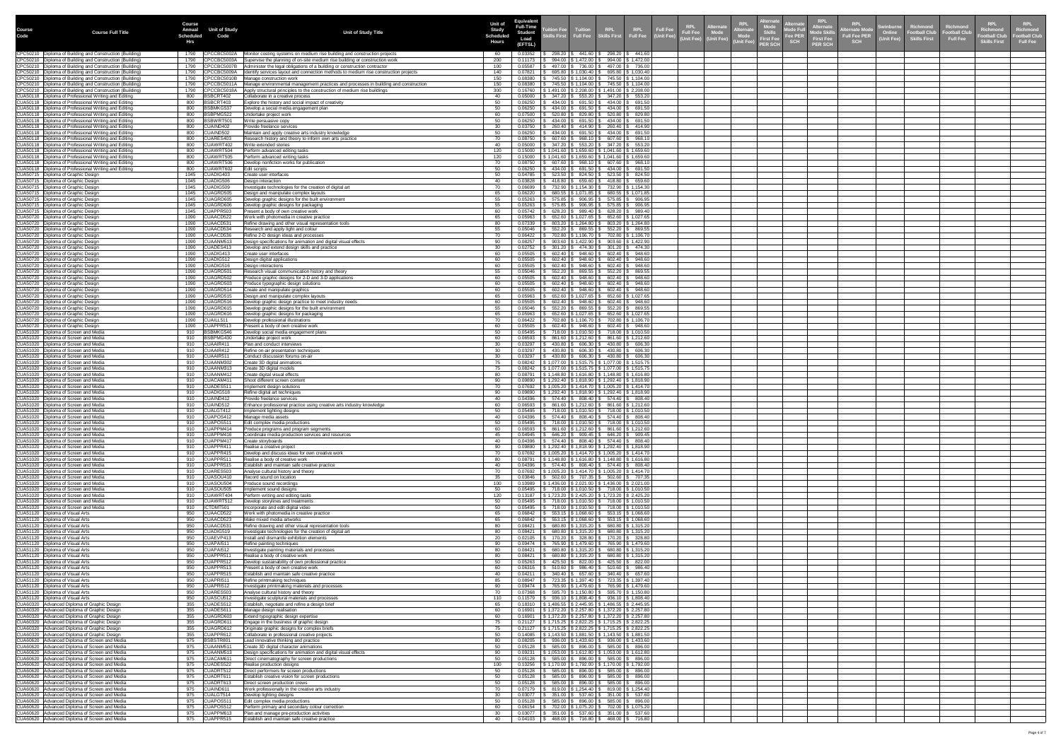|                       |                                                                                                                          | <b>Course</b>                                              |                                                                                                                                                                   | Unit of                   | Equivalen                          |                                                                                                                                                                                |                  |                                                          | <b>RPL</b>                                                                                                         | RPL<br><b>Alternate</b>                             | <b>RPL</b>                                                              |                                                         | <b>RPL</b>                                                                       | <b>RPL</b>                      |
|-----------------------|--------------------------------------------------------------------------------------------------------------------------|------------------------------------------------------------|-------------------------------------------------------------------------------------------------------------------------------------------------------------------|---------------------------|------------------------------------|--------------------------------------------------------------------------------------------------------------------------------------------------------------------------------|------------------|----------------------------------------------------------|--------------------------------------------------------------------------------------------------------------------|-----------------------------------------------------|-------------------------------------------------------------------------|---------------------------------------------------------|----------------------------------------------------------------------------------|---------------------------------|
| <b>Course</b><br>Code | <b>Course Full Title</b>                                                                                                 | <b>Unit of Study</b><br><b>Annual</b><br>Scheduled<br>Code | <b>Unit of Study Title</b>                                                                                                                                        | <b>Study</b><br>Scheduled | <b>Full-Time</b><br><b>Student</b> | Tuition Fee   Tuition    RPL<br>Skills First  Full Fee   Skills First<br><b>Auntion Fee</b>                                                                                    |                  | RPL Full Fee<br>Full Fee (Unit Fee)                      | .lternat<br><b>KPL</b><br>lternat<br><b>Full Fee</b><br><sup></sup> e Skills<br>ົັງ First Fee<br>Mode<br>Vnit Fee) | <b>Alternate</b><br>Mode Ful<br>Fee PER<br>Mode Ski | <b>Swinburne</b><br><b>ternate Mod</b><br>Online<br><b>Full Fee PER</b> | Richmond<br><b>Football Club</b><br><b>Skills First</b> | Richmond<br>Richmond<br><b>Football Cluk</b><br>Football Club<br><b>Full Fee</b> | <b>Richmond</b><br>ootball Club |
|                       |                                                                                                                          | Hrs                                                        |                                                                                                                                                                   | <b>Hours</b>              | Load<br>(EFTSL)                    |                                                                                                                                                                                |                  |                                                          | (Unit Fee) (Unit Fee)<br><b>PER SCH</b>                                                                            | <b>First Fee</b><br><b>SCH</b><br><b>PER SCH</b>    | (Unit Fee)<br><b>SCH</b>                                                |                                                         | <b>Skills First</b>                                                              | <b>Full Fee</b>                 |
|                       | CPC50210   Diploma of Building and Construction (Building)<br>CPC50210   Diploma of Building and Construction (Building) | CPCCBC5002A<br>CPCCBC5003A                                 | Monitor costing systems on medium rise building and construction projects<br>Supervise the planning of on-site medium rise building or construction work          | 200                       | 0.03352<br>0.11173                 | $298.20$   \$ 441.60   \$ 298.20   \$ 441.60  <br>$994.00$   \$ 1,472.00   \$ 994.00   \$ 1,472.00                                                                             |                  |                                                          |                                                                                                                    |                                                     |                                                                         |                                                         |                                                                                  |                                 |
|                       | CPC50210   Diploma of Building and Construction (Building)<br>CPC50210   Diploma of Building and Construction (Building) | CPCCBC5007B<br>1790<br>CPCCBC5009A<br>1790                 | Administer the legal obligations of a building or construction contractor<br>Identify services layout and connection methods to medium rise construction projects | 100<br>140                | 0.05587<br>0.07821                 | 497.00 \$ 736.00 \$ 497.00 \$ 736.00<br>$695.80$   \$ 1,030.40   \$ 695.80   \$ 1,030.40                                                                                       |                  |                                                          |                                                                                                                    |                                                     |                                                                         |                                                         |                                                                                  |                                 |
|                       | CPC50210   Diploma of Building and Construction (Building)<br>CPC50210   Diploma of Building and Construction (Building) | CPCCBC5010B<br>1790<br>CPCCBC5011A<br>1790                 | Manage construction work<br>Manage environmental management practices and processes in building and construction                                                  | 150                       | 0.08380<br>0.08380                 | 745.50   \$ 1,104.00   \$ 745.50   \$ 1,104.00  <br>745.50   \$ 1,104.00   \$ 745.50   \$ 1,104.00                                                                             |                  |                                                          |                                                                                                                    |                                                     |                                                                         |                                                         |                                                                                  |                                 |
|                       | CPC50210   Diploma of Building and Construction (Building)<br>CUA50118   Diploma of Professional Writing and Editing     | 1790<br>CPCCBC5018A<br>800<br>BSBCRT402                    | Apply structural principles to the construction of medium rise buildings<br>Collaborate in a creative process                                                     | 300                       | 0.16760<br>0.05000                 | ;1,491.00   \$ 2,208.00   \$ 1,491.00   \$ 2,208.00<br>347.20                                                                                                                  |                  | $553.20$ \$ 347.20 \$ 553.20                             |                                                                                                                    |                                                     |                                                                         |                                                         |                                                                                  |                                 |
|                       | CUA50118   Diploma of Professional Writing and Editing                                                                   | BSBCRT403<br>800                                           | Explore the history and social impact of creativity                                                                                                               | -50                       | 0.06250                            | 434.00 \$ 691.50 \$ 434.00 \$ 691.50                                                                                                                                           |                  |                                                          |                                                                                                                    |                                                     |                                                                         |                                                         |                                                                                  |                                 |
|                       | CUA50118   Diploma of Professional Writing and Editing<br>CUA50118   Diploma of Professional Writing and Editing         | BSBMKG537<br>800<br>800<br>BSBPMG522                       | Develop a social media engagement plan<br>Undertake project work                                                                                                  |                           | 0.06250<br>0.07500                 | 691.50<br>434.00<br>520.80<br>829.80                                                                                                                                           | 434.00<br>520.80 | \$691.50<br>\$829.80                                     |                                                                                                                    |                                                     |                                                                         |                                                         |                                                                                  |                                 |
|                       | CUA50118   Diploma of Professional Writing and Editing<br>CUA50118   Diploma of Professional Writing and Editing         | BSBWRT501<br>800<br>CUAIND402<br>800                       | V rite persuasive copy<br>Provide freelance services                                                                                                              | 50<br>-30                 | 0.06250<br>0.03750                 | 434.00   \$ 691.50   \$ 434.00   \$ 691.50<br>260.40                                                                                                                           |                  | \$ 414.90   \$ 260.40   \$ 414.90                        |                                                                                                                    |                                                     |                                                                         |                                                         |                                                                                  |                                 |
|                       | CUA50118   Diploma of Professional Writing and Editing<br>CUA50118   Diploma of Professional Writing and Editing         | CUAIND502<br>800<br>CUARES403<br>800                       | Maintain and apply creative arts industry knowledge<br>Research history and theory to inform own arts practice                                                    | -50<br>70                 | 0.06250<br>0.08750                 | $434.00$   \$ 691.50   \$ 434.00   \$ 691.50<br>$607.60$   \$ $968.10$   \$ $607.60$   \$ $968.10$                                                                             |                  |                                                          |                                                                                                                    |                                                     |                                                                         |                                                         |                                                                                  |                                 |
|                       | CUA50118   Diploma of Professional Writing and Editing<br>CUA50118   Diploma of Professional Writing and Editing         | CUAWRT402<br>800<br>800<br>CUAWRT504                       | V rite extended stories<br>Perform advanced editing tasks                                                                                                         | 120                       | 0.05000<br>0.15000                 | 347.20 \$ 553.20 \$ 347.20 \$ 553.20<br>} 1,041.60   \$ 1,659.60   \$ 1,041.60   \$ 1,659.60                                                                                   |                  |                                                          |                                                                                                                    |                                                     |                                                                         |                                                         |                                                                                  |                                 |
|                       | CUA50118   Diploma of Professional Writing and Editing<br>CUA50118   Diploma of Professional Writing and Editing         | 800<br>CUAWRT505<br>CUAWRT506<br>800                       | Perform advanced writing tasks<br>Develop nonfiction works for publication                                                                                        | 120                       | 0.15000<br>0.08750                 | $$1,041.60$   \$1,659.60   \$1,041.60   \$1,659.60<br>$607.60$   \$ $968.10$   \$ $607.60$   \$ $968.10$                                                                       |                  |                                                          |                                                                                                                    |                                                     |                                                                         |                                                         |                                                                                  |                                 |
|                       | CUA50118   Diploma of Professional Writing and Editing<br>CUA50715   Diploma of Graphic Design                           | CUAWRT602<br>800<br>1045<br>CUADIG403                      | Edit scripts<br>Create user interfaces                                                                                                                            |                           | 0.06250<br>0.04785                 | $434.00$ $\frac{1}{3}$ 691.50 $\frac{1}{3}$ 434.00 $\frac{1}{3}$ 691.50<br>523.50<br>$824.50$ \ \$                                                                             |                  | 523.50 \ \$ 824.50                                       |                                                                                                                    |                                                     |                                                                         |                                                         |                                                                                  |                                 |
|                       | CUA50715   Diploma of Graphic Design<br>CUA50715 Diploma of Graphic Design                                               | CUADIG506<br>1045<br>CUADIG509<br>1045                     | Design interaction<br>Investigate technologies for the creation of digital art                                                                                    |                           | 0.03828<br>0.06699                 | 659.60<br>418.80<br>732.90   \$ 1,154.30   \$ 732.90   \$ 1,154.30                                                                                                             |                  | $\frac{1}{2}$ 418.80 \$ 659.60                           |                                                                                                                    |                                                     |                                                                         |                                                         |                                                                                  |                                 |
|                       | CUA50715   Diploma of Graphic Design<br>CUA50715   Diploma of Graphic Design                                             | CUAGRD505<br>1045<br>1045<br>CUAGRD605                     | Design and manipulate complex layouts<br>Develop graphic designs for the built environment                                                                        |                           | 0.06220<br>0.05263                 | 680.55   \$ 1,071.85   \$ 680.55   \$ 1,071.85  <br>$$575.85$ $$906.95$ $$575.85$ $$906.95$                                                                                    |                  |                                                          |                                                                                                                    |                                                     |                                                                         |                                                         |                                                                                  |                                 |
|                       | CUA50715   Diploma of Graphic Design                                                                                     | CUAGRD606<br>CUAPPR503                                     | Develop graphic designs for packaging<br>Present a body of own creative work                                                                                      |                           | 0.05263                            | $\frac{1}{2}$ 575.85 $\frac{1}{2}$ 906.95 $\frac{1}{2}$ 575.85 $\frac{1}{2}$ 906.95                                                                                            |                  |                                                          |                                                                                                                    |                                                     |                                                                         |                                                         |                                                                                  |                                 |
|                       | CUA50715   Diploma of Graphic Design<br>CUA50720   Diploma of Graphic Design                                             | 1045<br>CUAACD522<br>1090                                  | Work with photomedia in creative practice                                                                                                                         |                           | 0.05742<br>0.05963                 | $628.20$   \$ 989.40   \$ 628.20   \$ 989.40<br>652.60   \$ 1,027.65   \$ 652.60   \$ 1,027.65                                                                                 |                  |                                                          |                                                                                                                    |                                                     |                                                                         |                                                         |                                                                                  |                                 |
|                       | CUA50720   Diploma of Graphic Design<br>CUA50720   Diploma of Graphic Design                                             | 1090 CUAACD531<br>CUAACD534<br>1090                        | Refine drawing and other visual representation tools<br>Research and apply light and colour                                                                       |                           | 0.07339<br>0.05046                 | 803.20   \$ 1,264.80   \$ 803.20   \$ 1,264.80<br>$552.20$   \$ $869.55$   \$ $552.20$   \$ $869.55$                                                                           |                  |                                                          |                                                                                                                    |                                                     |                                                                         |                                                         |                                                                                  |                                 |
|                       | CUA50720   Diploma of Graphic Design<br>CUA50720   Diploma of Graphic Design                                             | 1090<br>CUAACD536<br>1090 CUAANM513                        | Refine 2-D design ideas and processes<br>Design specifications for animation and digital visual effects                                                           | 70<br>90                  | 0.06422<br>0.08257                 | 702.80   \$ 1,106.70   \$ 702.80   \$ 1,106.70<br>$903.60$   \$ 1,422.90   \$ 903.60   \$ 1,422.90                                                                             |                  |                                                          |                                                                                                                    |                                                     |                                                                         |                                                         |                                                                                  |                                 |
|                       | CUA50720   Diploma of Graphic Design<br>CUA50720   Diploma of Graphic Design                                             | CUADES413<br>1090<br>CUADIG413<br>1090                     | Develop and extend design skills and practice<br>Create user interfaces                                                                                           |                           | 0.02752<br>0.05505                 | $301.20$   \$ 474.30   \$ 301.20   \$ 474.30  <br>$602.40$   \$ 948.60   \$ 602.40   \$ 948.60                                                                                 |                  |                                                          |                                                                                                                    |                                                     |                                                                         |                                                         |                                                                                  |                                 |
|                       | CUA50720   Diploma of Graphic Design<br>CUA50720   Diploma of Graphic Design                                             | 1090 CUADIG512<br>CUADIG516<br>1090                        | Design digital applications<br>Design interactions                                                                                                                |                           | 0.05505<br>0.05505                 | $602.40$   \$ 948.60   \$ 602.40   \$ 948.60<br>$602.40$   \$                                                                                                                  |                  | $948.60$   \$ 602.40   \$ 948.60                         |                                                                                                                    |                                                     |                                                                         |                                                         |                                                                                  |                                 |
|                       | CUA50720   Diploma of Graphic Design<br>CUA50720   Diploma of Graphic Design                                             | CUAGRD501<br>1090<br>1090<br>CUAGRD502                     | Research visual communication history and theory<br>Produce graphic designs for 2-D and 3-D applications                                                          |                           | 0.05046<br>0.05505                 | 552.20<br>948.60<br>602.40                                                                                                                                                     |                  | 869.55   \$ 552.20   \$ 869.55  <br>$602.40$   \$ 948.60 |                                                                                                                    |                                                     |                                                                         |                                                         |                                                                                  |                                 |
|                       | CUA50720   Diploma of Graphic Design<br>CUA50720   Diploma of Graphic Design                                             | CUAGRD503<br>1090<br>CUAGRD514<br>1090                     | Produce typographic design solutions<br>Create and manipulate graphics                                                                                            |                           | 0.05505<br>0.05505                 | 948.60 \$<br>602.40<br>$602.40$   \$ 948.60   \$ 602.40   \$ 948.60                                                                                                            |                  | $602.40  $ \$ 948.60                                     |                                                                                                                    |                                                     |                                                                         |                                                         |                                                                                  |                                 |
|                       | CUA50720   Diploma of Graphic Design<br>CUA50720   Diploma of Graphic Design                                             | CUAGRD515<br>1090<br>1090<br>CUAGRD516                     | Design and manipulate complex layouts<br>Develop graphic design practice to meet industry needs                                                                   |                           | 0.05963<br>0.05505                 | 652.60   \$1,027.65   \$652.60   \$1,027.65<br>$602.40$   \$ 948.60   \$ 602.40   \$ 948.60                                                                                    |                  |                                                          |                                                                                                                    |                                                     |                                                                         |                                                         |                                                                                  |                                 |
|                       | CUA50720   Diploma of Graphic Design<br>CUA50720   Diploma of Graphic Design                                             | 1090<br>CUAGRD615<br>CUAGRD616<br>1090                     | Develop graphic designs for the built environment<br>Develop graphic designs for packaging                                                                        |                           | 0.05046<br>0.05963                 | $552.20$   \$ $869.55$   \$ $552.20$   \$ $869.55$<br>652.60   \$ 1,027.65   \$ 652.60   \$ 1,027.65                                                                           |                  |                                                          |                                                                                                                    |                                                     |                                                                         |                                                         |                                                                                  |                                 |
|                       | CUA50720   Diploma of Graphic Design<br>CUA50720   Diploma of Graphic Design                                             | 1090<br>CUAILL511<br>1090 CUAPPR513                        | Develop professional illustrations<br>Present a body of own creative work                                                                                         | 60                        | 0.06422<br>0.05505                 | 702.80   \$ 1,106.70   \$ 702.80   \$ 1,106.70<br>$602.40$   \$ 948.60   \$ 602.40   \$ 948.60                                                                                 |                  |                                                          |                                                                                                                    |                                                     |                                                                         |                                                         |                                                                                  |                                 |
|                       | CUA51020   Diploma of Screen and Media<br>CUA51020   Diploma of Screen and Media                                         | BSBMKG546<br>910<br>BSBPMG430                              | Develop social media engagement plans                                                                                                                             | -60                       | 0.05495<br>0.06593                 | 718.00   \$ 1,010.50   \$  718.00   \$ 1,010.50                                                                                                                                |                  |                                                          |                                                                                                                    |                                                     |                                                                         |                                                         |                                                                                  |                                 |
|                       | CUA51020   Diploma of Screen and Media                                                                                   | 910<br>910 $ CUAAIR41$                                     | Undertake project work<br>Plan and conduct interviews                                                                                                             | 30                        | 0.03297                            | 861.60   \$ 1,212.60   \$ 861.60   \$ 1,212.60<br>430.80   \$ 606.30   \$ 430.80   \$ 606.30                                                                                   |                  |                                                          |                                                                                                                    |                                                     |                                                                         |                                                         |                                                                                  |                                 |
|                       | CUA51020   Diploma of Screen and Media<br>CUA51020   Diploma of Screen and Media                                         | CUAAIR412<br>910<br>$\vert$ CUAAIR51<br>910                | Refine on-air presentation techniques<br>Conduct discussion forums on-air                                                                                         | -30-                      | 0.03297<br>0.03297                 | $430.80$   \$ 606.30   \$ 430.80   \$ 606.30  <br>$430.80$ \ \$ 606.30 \ \$ 430.80 \ \$ 606.30                                                                                 |                  |                                                          |                                                                                                                    |                                                     |                                                                         |                                                         |                                                                                  |                                 |
|                       | CUA51020   Diploma of Screen and Media<br>CUA51020   Diploma of Screen and Media                                         | CUAANM302<br>910<br>910<br>CUAANM313                       | Create 3D digital animations<br>Create 3D digital models                                                                                                          |                           | 0.08242                            | $0.08242$   \$ 1,077.00   \$ 1,515.75   \$ 1,077.00   \$ 1,515.75<br>$\vert$ \$ 1,077.00 $\vert$ \$ 1,515.75 $\vert$ \$ 1,077.00 $\vert$ \$ 1,515.75                           |                  |                                                          |                                                                                                                    |                                                     |                                                                         |                                                         |                                                                                  |                                 |
|                       | CUA51020   Diploma of Screen and Media<br>CUA51020   Diploma of Screen and Media                                         | CUAANM412<br>910<br>CUACAM411<br>910                       | Create digital visual effects<br>Shoot different screen content                                                                                                   |                           | 0.08791<br>0.09890                 | $\vert$ \$ 1,148.80   \$ 1,616.80   \$ 1,148.80   \$ 1,616.80  <br>$\frac{1}{2}$ \$ 1,292.40 $\frac{1}{2}$ \$ 1,818.90 $\frac{1}{2}$ \$ 1,292.40 $\frac{1}{2}$ \$ 1,818.90     |                  |                                                          |                                                                                                                    |                                                     |                                                                         |                                                         |                                                                                  |                                 |
|                       | CUA51020   Diploma of Screen and Media<br>CUA51020   Diploma of Screen and Media                                         | CUADES511<br>910<br>910<br>CUADIG518                       | Implement design solutions<br>Refine digital art techniques                                                                                                       |                           |                                    | $0.07692$   \$ 1,005.20   \$ 1,414.70   \$ 1,005.20   \$ 1,414.70<br>$0.09890$   \$ 1,292.40   \$ 1,818.90   \$ 1,292.40   \$ 1,818.90                                         |                  |                                                          |                                                                                                                    |                                                     |                                                                         |                                                         |                                                                                  |                                 |
|                       | CUA51020 Diploma of Screen and Media<br>CUA51020   Diploma of Screen and Media                                           | CUAIND412<br>910<br>CUAIND512<br>910                       | Provide freelance services<br>Enhance professional practice using creative arts industry knowledge                                                                |                           | 0.04396<br>0.06593                 | $574.40$   \$ 808.40  <br>861.60   \$1,212.60   \$861.60   \$1,212.60                                                                                                          |                  | $$574.40 \,   \, $808.40 \,   \,$                        |                                                                                                                    |                                                     |                                                                         |                                                         |                                                                                  |                                 |
|                       | CUA51020   Diploma of Screen and Media<br>CUA51020   Diploma of Screen and Media                                         | CUALGT412<br>910<br>CUAPOS412<br>910                       | Implement lighting designs<br>Manage media assets                                                                                                                 |                           | 0.05495<br>0.04396                 | 718.00   \$ 1,010.50   \$ 718.00   \$ 1,010.50<br>574.40   \$ 808.40   \$ 574.40   \$ 808.40                                                                                   |                  |                                                          |                                                                                                                    |                                                     |                                                                         |                                                         |                                                                                  |                                 |
|                       | CUA51020   Diploma of Screen and Media<br>CUA51020   Diploma of Screen and Media                                         | CUAPOS511<br>910<br>CUAPPM414<br>910                       | Edit complex media productions<br>Produce programs and program segments                                                                                           | -60                       | 0.05495<br>0.06593                 | 718.00   \$ 1,010.50   \$ 718.00   \$ 1,010.50<br>861.60   \$1,212.60   \$861.60   \$1,212.60                                                                                  |                  |                                                          |                                                                                                                    |                                                     |                                                                         |                                                         |                                                                                  |                                 |
|                       | CUA51020   Diploma of Screen and Media<br>CUA51020   Diploma of Screen and Media                                         | CUAPPM416<br>910<br>CUAPPM417<br>910                       | Coordinate media production services and resources<br>Create storyboards                                                                                          |                           | 0.04945<br>0.04396                 | 646.20   \$909.45   \$646.20   \$909.45<br>$574.40$ $\frac{1}{9}$ 808.40 $\frac{1}{9}$ 574.40 $\frac{1}{9}$ 808.40                                                             |                  |                                                          |                                                                                                                    |                                                     |                                                                         |                                                         |                                                                                  |                                 |
|                       | CUA51020   Diploma of Screen and Media<br>CUA51020   Diploma of Screen and Media                                         | 910 CUAPPR411<br>CUAPPR415<br>910                          | Realise a creative project<br>Develop and discuss ideas for own creative work                                                                                     | 90                        |                                    | $0.09890$   \$ 1,292.40   \$ 1,818.90   \$ 1,292.40   \$ 1,818.90<br>$\vert$ \$ 1,005.20 $\vert$ \$ 1,414.70 $\vert$ \$ 1,005.20 $\vert$ \$ 1,414.70                           |                  |                                                          |                                                                                                                    |                                                     |                                                                         |                                                         |                                                                                  |                                 |
|                       | CUA51020   Diploma of Screen and Media<br>CUA51020   Diploma of Screen and Media                                         | CUAPPR511<br>910<br>CUAPPR515<br>910                       | Realise a body of creative work<br>Establish and maintain safe creative practice                                                                                  |                           | 0.08791<br>0.04396                 | \$1,148.80   \$1,616.80   \$1,148.80   \$1,616.80<br>6 574.40 \$ 808.40 \$ 574.40 \$ 808.40                                                                                    |                  |                                                          |                                                                                                                    |                                                     |                                                                         |                                                         |                                                                                  |                                 |
|                       | CUA51020 Diploma of Screen and Media<br>CUA51020   Diploma of Screen and Media                                           | CUARES503<br>910<br>CUASOU410                              | Analyse cultural history and theory<br>Record sound on location                                                                                                   |                           | 0.07692<br>0.03846                 | \$1,005.20   \$1,414.70   \$1,005.20   \$1,414.70<br>502.60   \$707.35   \$502.60   \$707.35                                                                                   |                  |                                                          |                                                                                                                    |                                                     |                                                                         |                                                         |                                                                                  |                                 |
|                       | CUA51020   Diploma of Screen and Media                                                                                   | 910<br>CUASOU504                                           | <b>Produce sound recordings</b>                                                                                                                                   | 100                       | 0.10989                            | $\vert$ \$ 1,436.00   \$ 2,021.00   \$ 1,436.00   \$ 2,021.00                                                                                                                  |                  |                                                          |                                                                                                                    |                                                     |                                                                         |                                                         |                                                                                  |                                 |
|                       | CUA51020   Diploma of Screen and Media<br>CUA51020   Diploma of Screen and Media                                         | 910<br>CUASOU505<br>CUAWRT404<br>910                       | Implement sound designs<br>Perform writing and editing tasks                                                                                                      | 120                       | 0.05495<br>0.13187                 | 718.00   \$ 1,010.50   \$  718.00   \$ 1,010.50  <br>$\vert$ \$ 1,723.20   \$ 2,425.20   \$ 1,723.20   \$ 2,425.20                                                             |                  |                                                          |                                                                                                                    |                                                     |                                                                         |                                                         |                                                                                  |                                 |
|                       | CUA51020   Diploma of Screen and Media<br>CUA51020   Diploma of Screen and Media                                         | CUAWRT512<br>910<br>ICTDMT501<br>910                       | Develop storylines and treatments<br>Incorporate and edit digital video                                                                                           |                           | 0.05495<br>0.05495                 | 718.00   \$ 1,010.50   \$  718.00   \$ 1,010.50<br>718.00   \$ 1,010.50   \$ 718.00   \$ 1,010.50                                                                              |                  |                                                          |                                                                                                                    |                                                     |                                                                         |                                                         |                                                                                  |                                 |
|                       | CUA51120   Diploma of Visual Arts<br>CUA51120   Diploma of Visual Arts                                                   | CUAACD522<br>950<br>950<br>CUAACD523                       | Work with photomedia in creative practice<br>Make mixed media artworks                                                                                            | -65                       | 0.06842<br>0.06842                 | $553.15$   \$ 1,068.60   \$ 553.15   \$ 1,068.60<br>553.15   \$ 1,068.60   \$ 553.15   \$ 1,068.60                                                                             |                  |                                                          |                                                                                                                    |                                                     |                                                                         |                                                         |                                                                                  |                                 |
|                       | CUA51120   Diploma of Visual Arts<br>CUA51120   Diploma of Visual Arts                                                   | CUAACD531<br>950<br>CUADIG519<br>950                       | Refine drawing and other visual representation tools<br>Investigate technologies for the creation of digital art                                                  | -80                       | 0.08421<br>0.08421                 | $680.80$   \$1,315.20   \$680.80   \$1,315.20<br>$680.80$   \$1,315.20   \$680.80   \$1,315.20                                                                                 |                  |                                                          |                                                                                                                    |                                                     |                                                                         |                                                         |                                                                                  |                                 |
|                       | CUA51120   Diploma of Visual Arts<br>CUA51120   Diploma of Visual Arts                                                   | CUAEVP413<br>950<br>$\vert$ CUAPAI51<br>950                | Install and dismantle exhibition elements<br>Refine painting techniques                                                                                           | 20<br>-90                 | 0.02105<br>0.09474                 | 170.20   \$ 328.80   \$ 170.20   \$ 328.80  <br>765.90   \$1,479.60   \$765.90   \$1,479.60                                                                                    |                  |                                                          |                                                                                                                    |                                                     |                                                                         |                                                         |                                                                                  |                                 |
|                       | CUA51120   Diploma of Visual Arts<br>CUA51120   Diploma of Visual Arts                                                   | CUAPAI512<br>950<br>CUAPPR511<br>950                       | Investigate painting materials and processes<br>Realise a body of creative work                                                                                   |                           | 0.08421<br>0.08421                 | $680.80$   \$1,315.20   \$680.80   \$1,315.20<br>680.80   \$1,315.20   \$680.80   \$1,315.20                                                                                   |                  |                                                          |                                                                                                                    |                                                     |                                                                         |                                                         |                                                                                  |                                 |
|                       | CUA51120   Diploma of Visual Arts<br>CUA51120   Diploma of Visual Arts                                                   | 950<br>CUAPPR512<br>950<br>CUAPPR513                       | Develop sustainability of own professional practice<br>Present a body of own creative work                                                                        |                           | 0.05263<br>0.06316                 | $425.50$ \ \$ $822.00$ \ \$ $425.50$ \ \$ $822.00$<br>510.60<br>986.40   \$                                                                                                    |                  | $510.60$   \$ 986.40                                     |                                                                                                                    |                                                     |                                                                         |                                                         |                                                                                  |                                 |
|                       | CUA51120   Diploma of Visual Arts<br>CUA51120   Diploma of Visual Arts                                                   | 950<br>CUAPPR515<br>CUAPRI511<br>950                       | Establish and maintain safe creative practice<br>Refine printmaking techniques                                                                                    |                           | 0.04211<br>0.08947                 | 340.40<br>723.35   \$ 1,397.40   \$ 723.35   \$ 1,397.40                                                                                                                       |                  | 657.60   \$ 340.40   \$ 657.60                           |                                                                                                                    |                                                     |                                                                         |                                                         |                                                                                  |                                 |
|                       | CUA51120   Diploma of Visual Arts<br>CUA51120   Diploma of Visual Arts                                                   | CUAPRI512<br>950<br>950<br>CUARES503                       | Investigate printmaking materials and processes<br>Analyse cultural history and theory                                                                            |                           | 0.09474<br>0.07368                 | ; 765.90 \$ 1,479.60 \$  765.90 \$ 1,479.60 <br>595.70   \$ 1,150.80   \$ 595.70   \$ 1,150.80                                                                                 |                  |                                                          |                                                                                                                    |                                                     |                                                                         |                                                         |                                                                                  |                                 |
|                       | CUA51120   Diploma of Visual Arts<br>CUA60320   Advanced Diploma of Graphic Design                                       | CUASCU512<br>950<br>CUADES512<br>355                       | Investigate sculptural materials and processes<br>Establish, negotiate and refine a design brief                                                                  | 110                       |                                    | $0.11579$ $\parallel$ \$ 936.10 $\parallel$ \$ 1,808.40 $\parallel$ \$ 936.10 $\parallel$ \$ 1,808.40<br>$0.18310$   \$ 1,486.55   \$ 2,445.95   \$ 1,486.55   \$ 2,445.95     |                  |                                                          |                                                                                                                    |                                                     |                                                                         |                                                         |                                                                                  |                                 |
|                       | CUA60320   Advanced Diploma of Graphic Design<br>CUA60320   Advanced Diploma of Graphic Design                           | CUADES611<br>355<br>CUAGRD603<br>355                       | Manage design realisation<br>Extend typographic design expertise                                                                                                  | 60                        | 0.16901                            | $\frac{1}{2}$ \$ 1,372.20 $\frac{1}{2}$ \$ 2,257.80 $\frac{1}{2}$ \$ 1,372.20 $\frac{1}{2}$ \$ 2,257.80<br>$0.16901$   \$ 1,372.20   \$ 2,257.80   \$ 1,372.20   \$ 2,257.80   |                  |                                                          |                                                                                                                    |                                                     |                                                                         |                                                         |                                                                                  |                                 |
|                       | CUA60320   Advanced Diploma of Graphic Design                                                                            | CUAGRD611<br>355                                           | Engage in the business of graphic design                                                                                                                          |                           |                                    | $0.21127$   \$1,715.25   \$2,822.25   \$1,715.25   \$2,822.25                                                                                                                  |                  |                                                          |                                                                                                                    |                                                     |                                                                         |                                                         |                                                                                  |                                 |
|                       | CUA60320   Advanced Diploma of Graphic Design<br>CUA60320   Advanced Diploma of Graphic Design                           | 355<br>CUAGRD612<br>355 CUAPPR612                          | Originate graphic designs for complex briefs<br>Collaborate in professional creative projects                                                                     | -75<br>50                 |                                    | $0.21127$ $\parallel$ \$ 1,715.25 $\parallel$ \$ 2,822.25 $\parallel$ \$ 1,715.25 $\parallel$ \$ 2,822.25<br>$0.14085$   \$ 1,143.50   \$ 1,881.50   \$ 1,143.50   \$ 1,881.50 |                  |                                                          |                                                                                                                    |                                                     |                                                                         |                                                         |                                                                                  |                                 |
|                       | CUA60620   Advanced Diploma of Screen and Media<br>CUA60620   Advanced Diploma of Screen and Media                       | BSBSTR801<br>975<br>975<br>CUAANM511                       | Lead innovative thinking and practice<br>Create 3D digital character animations                                                                                   | 50                        | 0.08205<br>0.05128                 | ; 936.00   \$ 1,433.60   \$  936.00   \$ 1,433.60  <br>$585.00$   \$ $896.00$   \$ $585.00$   \$ $896.00$                                                                      |                  |                                                          |                                                                                                                    |                                                     |                                                                         |                                                         |                                                                                  |                                 |
|                       | CUA60620   Advanced Diploma of Screen and Media<br>CUA60620   Advanced Diploma of Screen and Media                       | 975<br>CUAANM513<br>975<br>CUACAM611                       | Design specifications for animation and digital visual effects<br>Direct cinematography for screen productions                                                    | -90<br>50                 | 0.09231<br>0.05128                 | ;1,053.00   \$ 1,612.80   \$ 1,053.00   \$ 1,612.80<br>$585.00$   \$ $896.00$   \$ $585.00$   \$ $896.00$                                                                      |                  |                                                          |                                                                                                                    |                                                     |                                                                         |                                                         |                                                                                  |                                 |
|                       | CUA60620   Advanced Diploma of Screen and Media<br>CUA60620   Advanced Diploma of Screen and Media                       | 975<br>CUADES522<br>975<br>CUADRT512                       | Realise production designs<br>Direct performers for screen productions                                                                                            | 100                       | 0.10256<br>0.05128                 | \$ 1,170.00   \$ 1,792.00   \$ 1,170.00   \$ 1,792.00  <br>585.00 \$                                                                                                           |                  | 896.00   \$ 585.00   \$ 896.00                           |                                                                                                                    |                                                     |                                                                         |                                                         |                                                                                  |                                 |
|                       | CUA60620   Advanced Diploma of Screen and Media<br>CUA60620 Advanced Diploma of Screen and Media                         | 975<br>CUADRT611<br>975<br>CUADRT613                       | Establish creative vision for screen productions<br>Direct screen production crews                                                                                |                           | 0.05128<br>0.05128                 | $585.00$ $\mid$ 3<br>$585.00$   \$ $896.00$   \$ $585.00$   \$ $896.00$                                                                                                        |                  | $896.00$   \$ 585.00   \$ 896.00                         |                                                                                                                    |                                                     |                                                                         |                                                         |                                                                                  |                                 |
|                       | CUA60620   Advanced Diploma of Screen and Media<br>CUA60620   Advanced Diploma of Screen and Media                       | 975<br>CUAIND611<br>975<br>CUALGT514                       | Work professionally in the creative arts industry<br>Develop lighting designs                                                                                     |                           | 0.07179<br>0.03077                 | 819.00   \$1,254.40   \$819.00   \$1,254.40<br>$351.00$   \$ $537.60$   \$ $351.00$   \$ $537.60$                                                                              |                  |                                                          |                                                                                                                    |                                                     |                                                                         |                                                         |                                                                                  |                                 |
|                       | CUA60620   Advanced Diploma of Screen and Media<br>CUA60620   Advanced Diploma of Screen and Media                       | 975<br>CUAPOS511<br>975<br>CUAPOS512                       | Edit complex media productions<br>Perform primary and secondary colour correction                                                                                 | 50                        | 0.05128<br>0.06154                 | $585.00$   \$ $896.00$   \$ $585.00$   \$ $896.00$  <br>702.00   \$ 1,075.20   \$ 702.00   \$ 1,075.20                                                                         |                  |                                                          |                                                                                                                    |                                                     |                                                                         |                                                         |                                                                                  |                                 |
|                       | CUA60620   Advanced Diploma of Screen and Media<br>CUA60620   Advanced Diploma of Screen and Media                       | CUAPPM613<br>975                                           | Plan and manage pre-production activities<br>Establish and maintain safe creative practice                                                                        | 30<br>40                  | 0.03077<br>0.04103                 | 351.00   \$ 537.60   \$ 351.00   \$ 537.60  <br>$$468.00 \times 716.80 \times 468.00 \times 716.80$$                                                                           |                  |                                                          |                                                                                                                    |                                                     |                                                                         |                                                         |                                                                                  |                                 |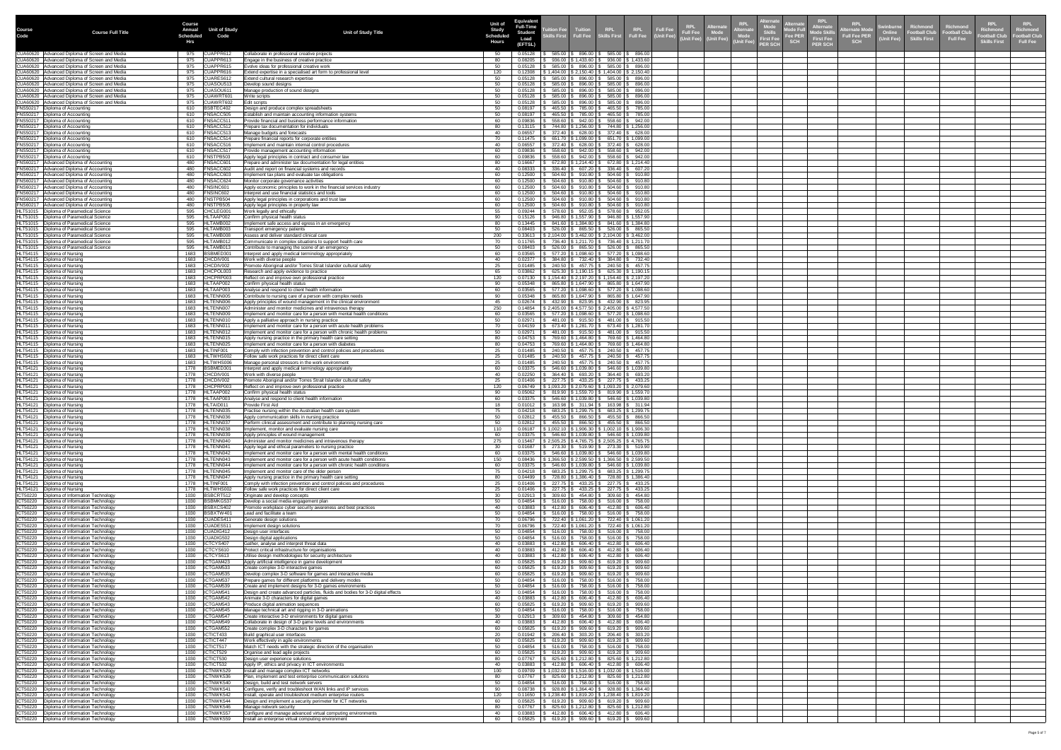|                       |                                                                                                  | <b>Course</b>                                              |                                                                                                                                              | <b>Equivalent</b><br><b>Unit of</b>                             |                                                                                                                          |                                                                                    |                                                    |                               | <b>:ernat</b>                                                                                                                  | <b>RPL</b><br><b>Alternate</b>                   | <b>RPL</b>                                                        |                                  |                                  | KPL.                      | <b>RPL</b>                      |
|-----------------------|--------------------------------------------------------------------------------------------------|------------------------------------------------------------|----------------------------------------------------------------------------------------------------------------------------------------------|-----------------------------------------------------------------|--------------------------------------------------------------------------------------------------------------------------|------------------------------------------------------------------------------------|----------------------------------------------------|-------------------------------|--------------------------------------------------------------------------------------------------------------------------------|--------------------------------------------------|-------------------------------------------------------------------|----------------------------------|----------------------------------|---------------------------|---------------------------------|
| <b>Course</b><br>Code | <b>Course Full Title</b>                                                                         | <b>Unit of Study</b><br>Annual<br><b>Scheduled</b><br>Code | <b>Unit of Study Title</b>                                                                                                                   | <b>Full-Time</b><br><b>Study</b><br><b>Student</b><br>Scheduled | <b>Inition Fee</b><br>kills First                                                                                        |                                                                                    | RPL<br>Full Fee                                    | <b>Full Fee</b><br>(Unit Fee) | <b>RPL</b><br>Alternate<br><b>KPL</b><br><b>Alternate</b><br>Full Fee Mode<br>(Unit Fee) (Unit Fee)<br>, Skills<br>、 First Fee | Alternate<br>Mode Full<br>Fee PER<br>Mode Ski    | Swinburne<br><b>Iternate Mod</b><br>Online<br><b>Full Fee PER</b> | Richmond<br><b>Football Club</b> | Richmond<br><b>Football Club</b> | Richmond<br>Football Cluk | <b>Richmond</b><br>ootball Club |
|                       |                                                                                                  | Hrs                                                        |                                                                                                                                              | Load<br><b>Hours</b><br>(EFTSL)                                 |                                                                                                                          |                                                                                    |                                                    |                               | Mode<br>Vnit Fee)<br><b>PER SCH</b>                                                                                            | <b>First Fee</b><br><b>SCH</b><br><b>PER SCH</b> | <b>Unit Fee)</b><br><b>SCH</b>                                    | <b>Skills First</b>              | <b>Full Fee</b>                  | <b>Skills First</b>       | <b>Full Fee</b>                 |
|                       | CUA60620 Advanced Diploma of Screen and Media<br>CUA60620   Advanced Diploma of Screen and Media | CUAPPR612<br>975                                           | Collaborate in professional creative projects                                                                                                | 0.05128                                                         | $585.00$   \$ 896.00   \$ 585.00   \$ 896.00                                                                             |                                                                                    |                                                    |                               |                                                                                                                                |                                                  |                                                                   |                                  |                                  |                           |                                 |
|                       | CUA60620 Advanced Diploma of Screen and Media                                                    | CUAPPR613<br>975<br>CUAPPR615<br>975                       | Engage in the business of creative practice<br>Evolve ideas for professional creative work                                                   | 0.08205<br>80<br>0.05128<br>50                                  | $936.00$   \$ 1,433.60   \$ 936.00   \$ 1,433.60<br>$585.00$ \$ 896.00 \$ 585.00 \$ 896.00                               |                                                                                    |                                                    |                               |                                                                                                                                |                                                  |                                                                   |                                  |                                  |                           |                                 |
|                       | CUA60620 Advanced Diploma of Screen and Media<br>CUA60620 Advanced Diploma of Screen and Media   | CUAPPR616<br>975<br>CUARES612<br>975                       | Extend expertise in a specialised art form to professional level<br>Extend cultural research expertise                                       | 120<br>0.12308<br>0.05128                                       | $$1,404.00$   \$ 2,150.40   \$ 1,404.00   \$ 2,150.40<br>585.00 \$                                                       |                                                                                    | $896.00$   \$ 585.00   \$ 896.00                   |                               |                                                                                                                                |                                                  |                                                                   |                                  |                                  |                           |                                 |
|                       | CUA60620 Advanced Diploma of Screen and Media<br>CUA60620 Advanced Diploma of Screen and Media   | CUASOU513<br>975<br>975<br>CUASOU61                        | Develop sound designs<br>Manage production of sound designs                                                                                  | 0.05128<br>50<br>0.05128<br>50                                  | 585.00<br>585.00                                                                                                         | 896.00 \$ 585.00 \$ 896.00<br>$896.00$ $\frac{1}{9}$ 585.00 $\frac{1}{9}$ 896.00   |                                                    |                               |                                                                                                                                |                                                  |                                                                   |                                  |                                  |                           |                                 |
|                       | CUA60620 Advanced Diploma of Screen and Media<br>CUA60620   Advanced Diploma of Screen and Media | CUAWRT601<br>975<br>975<br>CUAWRT602                       | Write scripts<br>Edit scripts                                                                                                                | 0.05128<br>50<br>0.05128                                        | 585.00<br>896.00 \$<br>896.00 \$<br>585.00                                                                               |                                                                                    | 585.00 \$ 896.00<br>585.00   \$ 896.00             |                               |                                                                                                                                |                                                  |                                                                   |                                  |                                  |                           |                                 |
|                       | FNS50217   Diploma of Accounting<br>FNS50217   Diploma of Accounting                             | BSBTEC402<br>610<br>610<br>FNSACC505                       | Design and produce complex spreadsheets<br>Establish and maintain accounting information systems                                             | 0.08197<br>50<br>0.08197<br>50                                  | 465.50<br>785.00<br>785.00<br>465.50                                                                                     | 465.50                                                                             | 465.50 \$785.00<br>$\frac{1}{2}$ 785.00            |                               |                                                                                                                                |                                                  |                                                                   |                                  |                                  |                           |                                 |
|                       | FNS50217   Diploma of Accounting<br>FNS50217   Diploma of Accounting                             | FNSACC511<br>610<br>FNSACC512<br>610                       | Provide financial and business performance information<br>Prepare tax documentation for individuals                                          | 0.09836<br>-60<br>0.13115                                       | $558.60$   \$ 942.00   \$ 558.60   \$ 942.00  <br>744.80   \$ 1,256.00   \$    744.80   \$ 1,256.00                      |                                                                                    |                                                    |                               |                                                                                                                                |                                                  |                                                                   |                                  |                                  |                           |                                 |
|                       | FNS50217   Diploma of Accounting<br>FNS50217   Diploma of Accounting                             | 610<br>FNSACC513<br>FNSACC514<br>610                       | Manage budgets and forecasts<br>Prepare financial reports for corporate entities                                                             | 0.06557<br>40.<br>0.11475<br>70                                 | $$628.00 \, \text{\r{}}\,$ 372.40 \, \text{\r{}}\, 628.00<br>372.40<br>651.70   \$ 1,099.00   \$ 651.70   \$ 1,099.00    |                                                                                    |                                                    |                               |                                                                                                                                |                                                  |                                                                   |                                  |                                  |                           |                                 |
|                       | FNS50217   Diploma of Accounting                                                                 | FNSACC516<br>610<br>FNSACC517                              | mplement and maintain internal control procedures                                                                                            | 0.06557<br>0.09836                                              | 372.40<br>558.60                                                                                                         | $628.00$ $\frac{1}{3}$ 372.40 $\frac{1}{3}$ 628.00<br>$942.00$ \$ 558.60 \$ 942.00 |                                                    |                               |                                                                                                                                |                                                  |                                                                   |                                  |                                  |                           |                                 |
|                       | FNS50217   Diploma of Accounting<br>FNS50217   Diploma of Accounting                             | 610<br>FNSTPB503<br>610                                    | Provide management accounting information<br>Apply legal principles in contract and consumer law                                             | 0.09836<br>60                                                   | $558.60$ $\frac{1}{9}$ 942.00 $\frac{1}{9}$ 558.60 $\frac{1}{9}$ 942.00                                                  |                                                                                    |                                                    |                               |                                                                                                                                |                                                  |                                                                   |                                  |                                  |                           |                                 |
|                       | FNS60217 Advanced Diploma of Accounting<br>FNS60217 Advanced Diploma of Accounting               | <b>FNSACC601</b><br>480<br>FNSACC602<br>480                | Prepare and administer tax documentation for legal entities<br>Audit and report on financial systems and records                             | 0.16667<br>0.08333                                              | 672.80   \$ 1,214.40   \$ 672.80   \$ 1,214.40<br>336.40                                                                 | $607.20$ \$ 336.40 \$ 607.20                                                       |                                                    |                               |                                                                                                                                |                                                  |                                                                   |                                  |                                  |                           |                                 |
|                       | FNS60217   Advanced Diploma of Accounting<br>FNS60217   Advanced Diploma of Accounting           | FNSACC603<br>480<br>FNSACC624<br>480                       | Implement tax plans and evaluate tax obligations<br>Monitor corporate governance activities                                                  | 0.12500<br>-60<br>0.12500                                       | $504.60$   \$ $910.80$   \$ $504.60$   \$ $910.80$<br>504.60 $\vert$<br>910.80                                           |                                                                                    | $$504.60 \,   \, $910.80$                          |                               |                                                                                                                                |                                                  |                                                                   |                                  |                                  |                           |                                 |
|                       | FNS60217   Advanced Diploma of Accounting<br>FNS60217   Advanced Diploma of Accounting           | <b>FNSINC601</b><br>480<br><b>FNSINC602</b><br>480         | Apply economic principles to work in the financial services industry<br>Interpret and use financial statistics and tools                     | 0.12500<br>-60<br>0.12500                                       | 504.60<br>504.60                                                                                                         | $910.80$   \$ 504.60   \$ 910.80                                                   | $910.80$ \$ 504.60 \$ 910.80                       |                               |                                                                                                                                |                                                  |                                                                   |                                  |                                  |                           |                                 |
|                       | FNS60217   Advanced Diploma of Accounting<br>FNS60217   Advanced Diploma of Accounting           | FNSTPB504<br>480<br>FNSTPB505<br>480 -                     | Apply legal principles in corporations and trust law<br>Apply legal principles in property law                                               | 0.12500                                                         | $504.60$ \$ 910.80 \$ 504.60 \$ 910.80<br>$0.12500$   \$ 504.60   \$ 910.80   \$ 504.60   \$ 910.80                      |                                                                                    |                                                    |                               |                                                                                                                                |                                                  |                                                                   |                                  |                                  |                           |                                 |
|                       | HLT51015   Diploma of Paramedical Science<br>HLT51015   Diploma of Paramedical Science           | CHCLEG001<br>595<br>595<br>HLTAAP002                       | Work legally and ethically<br>Confirm physical health status                                                                                 | 0.09244<br>0.15126                                              | 578.60   \$952.05   \$578.60   \$952.05<br>946.80   \$1,557.90   \$946.80   \$1,557.90                                   |                                                                                    |                                                    |                               |                                                                                                                                |                                                  |                                                                   |                                  |                                  |                           |                                 |
|                       | HLT51015   Diploma of Paramedical Science<br>HLT51015   Diploma of Paramedical Science           | HLTAMB002<br>595<br>HLTAMB003<br>595                       | Implement safe access and egress in an emergency                                                                                             | 0.13445<br>0.08403                                              | \$ 841.60   \$1,384.80   \$ 841.60   \$1,384.80<br>$526.00$   \$ $865.50$   \$ $526.00$   \$ $865.50$                    |                                                                                    |                                                    |                               |                                                                                                                                |                                                  |                                                                   |                                  |                                  |                           |                                 |
|                       | HLT51015   Diploma of Paramedical Science                                                        | HLTAMB008<br>595                                           | Transport emergency patients<br>Assess and deliver standard clinical care                                                                    | 200<br>0.33613                                                  | $$2,104.00$   \$ 3,462.00   \$ 2,104.00   \$ 3,462.00                                                                    |                                                                                    |                                                    |                               |                                                                                                                                |                                                  |                                                                   |                                  |                                  |                           |                                 |
|                       | HLT51015   Diploma of Paramedical Science<br>HLT51015   Diploma of Paramedical Science           | HLTAMB012<br>595<br>HLTAMB013<br>595                       | Communicate in complex situations to support health care<br>Contribute to managing the scene of an emergency                                 | 0.11765<br>70<br>0.08403                                        | \$ 736.40   \$ 1,211.70   \$ 736.40   \$ 1,211.70<br>$526.00$   \$ 865.50   \$ 526.00   \$ 865.50                        |                                                                                    |                                                    |                               |                                                                                                                                |                                                  |                                                                   |                                  |                                  |                           |                                 |
|                       | HLT54115   Diploma of Nursing<br>HLT54115   Diploma of Nursing                                   | BSBMED301<br>1683<br>1683 CHCDIV001                        | Interpret and apply medical terminology appropriately<br>Work with diverse people                                                            | 0.03565<br>40                                                   | ; 577.20 \$ 1,098.60 \$  577.20 \$ 1,098.60<br>$0.02377$   \$ 384.80   \$ 732.40   \$ 384.80   \$ 732.40                 |                                                                                    |                                                    |                               |                                                                                                                                |                                                  |                                                                   |                                  |                                  |                           |                                 |
|                       | HLT54115   Diploma of Nursing<br>HLT54115   Diploma of Nursing                                   | CHCDIV002<br>1683<br>CHCPOL003<br>1683                     | Promote Aboriginal and/or Torres Strait Islander cultural safety<br>Research and apply evidence to practice                                  | 0.01485<br>0.03862<br>-65                                       | ; 240.50   \$ 457.75   \$ 240.50   \$ 457.75<br>$625.30$   \$1,190.15   \$625.30   \$1,190.15                            |                                                                                    |                                                    |                               |                                                                                                                                |                                                  |                                                                   |                                  |                                  |                           |                                 |
|                       | HLT54115   Diploma of Nursing<br>HLT54115   Diploma of Nursing                                   | CHCPRP003<br>1683<br>HLTAAP002<br>1683                     | Reflect on and improve own professional practice<br>Confirm physical health status                                                           | 120<br>0.07130<br>0.05348                                       | $$1,154.40$ $$2,197.20$ $$1,154.40$ $$2,197.20$<br>865.80   \$ 1,647.90   \$ 865.80   \$ 1,647.90                        |                                                                                    |                                                    |                               |                                                                                                                                |                                                  |                                                                   |                                  |                                  |                           |                                 |
|                       | HLT54115   Diploma of Nursing<br>HLT54115   Diploma of Nursing                                   | HLTAAP003<br>1683<br>HLTENN005<br>1683                     | Analyse and respond to client health information<br>Contribute to nursing care of a person with complex needs                                | 0.03565<br>0.05348                                              | 577.20   \$ 1,098.60   \$ 577.20   \$ 1,098.60<br>865.80   \$1,647.90   \$865.80   \$1,647.90                            |                                                                                    |                                                    |                               |                                                                                                                                |                                                  |                                                                   |                                  |                                  |                           |                                 |
|                       | HLT54115   Diploma of Nursing<br>HLT54115   Diploma of Nursing                                   | HLTENN006<br>1683<br>HLTENN007<br>1683                     | Apply principles of wound management in the clinical environment<br>Administer and monitor medicines and intravenous therapy                 | 0.02674<br>0.14854                                              | $432.90$ \ \$ $823.95$ \ \$ $432.90$ \ \$ $823.95$<br>$$2,405.00$   \$4,577.50   \$2,405.00   \$4,577.50                 |                                                                                    |                                                    |                               |                                                                                                                                |                                                  |                                                                   |                                  |                                  |                           |                                 |
|                       | HLT54115   Diploma of Nursing<br>HLT54115   Diploma of Nursing                                   | HLTENN009<br>1683<br>HLTENN010<br>1683                     | Implement and monitor care for a person with mental health conditions                                                                        | 0.03565<br>0.02971                                              | $577.20$   \$ 1,098.60   \$ 577.20   \$ 1,098.60                                                                         |                                                                                    |                                                    |                               |                                                                                                                                |                                                  |                                                                   |                                  |                                  |                           |                                 |
|                       | HLT54115   Diploma of Nursing                                                                    | HLTENN011<br>1683                                          | Apply a palliative approach in nursing practice<br>Implement and monitor care for a person with acute health problems                        | 0.04159                                                         | 481.00   \$ 915.50   \$ 481.00   \$ 915.50<br>\$ 673.40   \$ 1,281.70   \$ 673.40   \$ 1,281.70                          |                                                                                    |                                                    |                               |                                                                                                                                |                                                  |                                                                   |                                  |                                  |                           |                                 |
|                       | HLT54115   Diploma of Nursing<br>HLT54115   Diploma of Nursing                                   | HLTENN012<br>1683<br>HLTENN015<br>1683                     | Implement and monitor care for a person with chronic health problems<br>Apply nursing practice in the primary health care setting            | 0.02971<br>0.04753                                              | 481.00   \$ 915.50   \$ 481.00   \$ 915.50<br>769.60   \$ 1,464.80   \$ 769.60   \$ 1,464.80                             |                                                                                    |                                                    |                               |                                                                                                                                |                                                  |                                                                   |                                  |                                  |                           |                                 |
|                       | HLT54115   Diploma of Nursing<br>HLT54115   Diploma of Nursing                                   | 1683 HLTENN025<br>HLTINF001<br>1683                        | Implement and monitor care for a person with diabetes<br>Comply with infection prevention and control policies and procedures                | 0.04753<br>80<br>25<br>0.01485                                  | ; 769.60   \$ 1,464.80   \$  769.60   \$ 1,464.80<br>240.50   \$457.75   \$240.50   \$457.75                             |                                                                                    |                                                    |                               |                                                                                                                                |                                                  |                                                                   |                                  |                                  |                           |                                 |
|                       | HLT54115   Diploma of Nursing<br>HLT54115   Diploma of Nursing                                   | HLTWHS002<br>1683<br>1683   HLTWHS006                      | Follow safe work practices for direct client care<br>Manage personal stressors in the work environment                                       | 0.01485<br>-25<br>0.01485<br>25                                 | 3 240.50   \$457.75   \$240.50   \$457.75<br>$\vert$ \$ 240.50 $\vert$ \$ 457.75 $\vert$ \$ 240.50 $\vert$ \$ 457.75     |                                                                                    |                                                    |                               |                                                                                                                                |                                                  |                                                                   |                                  |                                  |                           |                                 |
|                       | HLT54121   Diploma of Nursing<br>HLT54121   Diploma of Nursing                                   | BSBMED301<br>1778<br>CHCDIV001<br>1778                     | Interpret and apply medical terminology appropriately<br>Work with diverse people                                                            | 0.03375<br>0.02250                                              | $$546.60 \mid $1,039.80 \mid $546.60 \mid $1,039.80$<br>$364.40$   \$ 693.20   \$ 364.40   \$ 693.20                     |                                                                                    |                                                    |                               |                                                                                                                                |                                                  |                                                                   |                                  |                                  |                           |                                 |
|                       | HLT54121   Diploma of Nursing<br>HLT54121   Diploma of Nursing                                   | 1778 CHCDIV002<br>CHCPRP003                                | Promote Aboriginal and/or Torres Strait Islander cultural safety<br>Reflect on and improve own professional practice                         | 0.01406<br>25<br>0.06749                                        | 3 227.75   \$433.25   \$227.75   \$433.25<br>$\vert$ \$ 1,093.20   \$ 2,079.60   \$ 1,093.20   \$ 2,079.60               |                                                                                    |                                                    |                               |                                                                                                                                |                                                  |                                                                   |                                  |                                  |                           |                                 |
|                       | HLT54121   Diploma of Nursing<br>HLT54121   Diploma of Nursing                                   | HLTAAP002<br>1778<br>HLTAAP003                             | Confirm physical health status<br>Analyse and respond to client health information                                                           | 90<br>0.03375                                                   | $0.05062$   \$ 819.90   \$ 1,559.70   \$ 819.90   \$ 1,559.70  <br>546.60   \$ 1,039.80   \$                             |                                                                                    | 546.60 \$1,039.80                                  |                               |                                                                                                                                |                                                  |                                                                   |                                  |                                  |                           |                                 |
|                       | HLT54121   Diploma of Nursing<br>HLT54121 Diploma of Nursing                                     | HLTAID011<br>1778<br>HLTENN035<br>1778                     | Provide First Aid<br>Practise nursing within the Australian health care system                                                               | 0.01012<br>0.04218                                              | 163.98   \$ 311.94   \$ 163.98   \$ 311.94<br>683.25   \$ 1,299.75   \$ 683.25   \$ 1,299.75                             |                                                                                    |                                                    |                               |                                                                                                                                |                                                  |                                                                   |                                  |                                  |                           |                                 |
|                       | HLT54121   Diploma of Nursing                                                                    | HLTENN036<br>1778<br>HLTENN037                             | Apply communication skills in nursing practice                                                                                               | 0.02812                                                         | 455.50   \$                                                                                                              | 866.50   \$455.50   \$866.50                                                       |                                                    |                               |                                                                                                                                |                                                  |                                                                   |                                  |                                  |                           |                                 |
|                       | HLT54121   Diploma of Nursing<br>HLT54121   Diploma of Nursing                                   | 1778<br>HLTENN038<br>1778                                  | Perform clinical assessment and contribute to planning nursing care<br>mplement, monitor and evaluate nursing care                           | 0.02812<br>0.06187                                              | 455.50   \$<br>$\vert$ \$ 1,002.10   \$ 1,906.30   \$ 1,002.10   \$ 1,906.30                                             | 866.50   \$455.50   \$866.50                                                       |                                                    |                               |                                                                                                                                |                                                  |                                                                   |                                  |                                  |                           |                                 |
|                       | HLT54121   Diploma of Nursing<br>HLT54121   Diploma of Nursing                                   | HLTENN039<br>1778<br>HLTENN040<br>1778                     | Apply principles of wound management<br>Administer and monitor medicines and intravenous therapy                                             | 0.03375<br>275<br>0.15467                                       | 546.60   \$1,039.80   \$546.60   \$1,039.80<br>  \$2,505.25   \$4,765.75   \$2,505.25   \$4,765.75                       |                                                                                    |                                                    |                               |                                                                                                                                |                                                  |                                                                   |                                  |                                  |                           |                                 |
|                       | HLT54121   Diploma of Nursing<br>HLT54121   Diploma of Nursing                                   | 1778   HLTENN041<br>HLTENN042<br>1778                      | Apply legal and ethical parameters to nursing practice<br>Implement and monitor care for a person with mental health conditions              | 30<br>0.03375                                                   | $0.01687$   \$ 273.30   \$ 519.90   \$ 273.30   \$ 519.90<br>$\frac{1}{5}$ 546.60   \$1,039.80   \$546.60   \$1,039.80   |                                                                                    |                                                    |                               |                                                                                                                                |                                                  |                                                                   |                                  |                                  |                           |                                 |
|                       | HLT54121   Diploma of Nursing<br>HLT54121   Diploma of Nursing                                   | HLTENN043<br>1778<br>1778   HLTENN044                      | mplement and monitor care for a person with acute health conditions<br>mplement and monitor care for a person with chronic health conditions | 0.08436<br>150<br>0.03375<br>-60                                | $$1,366.50 \mid $2,599.50 \mid $1,366.50 \mid $2,599.50$<br>546.60   \$1,039.80   \$546.60   \$1,039.80                  |                                                                                    |                                                    |                               |                                                                                                                                |                                                  |                                                                   |                                  |                                  |                           |                                 |
|                       | HLT54121   Diploma of Nursing<br>HLT54121 Diploma of Nursing                                     | HLTENN045<br>1778<br>HLTENN047<br>1778                     | Implement and monitor care of the older person<br>Apply nursing practice in the primary health care setting                                  | 0.04218<br>0.04499                                              | $683.25$   \$1,299.75   \$683.25   \$1,299.75<br>728.80   \$ 1,386.40   \$ 728.80   \$ 1,386.40                          |                                                                                    |                                                    |                               |                                                                                                                                |                                                  |                                                                   |                                  |                                  |                           |                                 |
|                       | HLT54121   Diploma of Nursing<br>HLT54121   Diploma of Nursing                                   | 1778   HLTINF001<br>HLTWHS002<br>1778                      | Comply with infection prevention and control policies and procedures<br>Follow safe work practices for direct client care                    | 0.01406<br>25<br>0.01406                                        | 227.75   \$433.25   \$227.75   \$433.25<br>$227.75$ \$ 433.25 \$ 227.75 \$ 433.25                                        |                                                                                    |                                                    |                               |                                                                                                                                |                                                  |                                                                   |                                  |                                  |                           |                                 |
|                       | ICT50220   Diploma of Information Technology<br>ICT50220   Diploma of Information Technology     | BSBCRT512<br>1030<br>BSBMKG537<br>1030                     | Originate and develop concepts<br>Develop a social media engagement plan                                                                     | 0.02913<br>0.04854                                              | $$454.80$   \$ 309.60   \$ 454.80<br>309.60<br>516.00                                                                    |                                                                                    | 758.00   \$ 516.00   \$ 758.00                     |                               |                                                                                                                                |                                                  |                                                                   |                                  |                                  |                           |                                 |
|                       | ICT50220   Diploma of Information Technology<br>ICT50220   Diploma of Information Technology     | BSBXCS402<br>1030<br>BSBXTW401<br>1030                     | Promote workplace cyber security awareness and best practices<br>Lead and facilitate a team                                                  | 0.03883<br>0.04854<br>50                                        | 412.80<br>$516.00$   \$ 758.00   \$ 516.00   \$ 758.00                                                                   | $606.40$   \$ 412.80   \$ 606.40                                                   |                                                    |                               |                                                                                                                                |                                                  |                                                                   |                                  |                                  |                           |                                 |
|                       | ICT50220   Diploma of Information Technology<br>ICT50220   Diploma of Information Technology     | CUADES411<br>1030<br>CUADES511<br>1030                     | Generate design solutions                                                                                                                    | 0.06796<br>0.06796                                              | 722.40   \$ 1,061.20   \$ 722.40   \$ 1,061.20<br>722.40   \$1,061.20   \$722.40   \$1,061.20                            |                                                                                    |                                                    |                               |                                                                                                                                |                                                  |                                                                   |                                  |                                  |                           |                                 |
|                       | ICT50220   Diploma of Information Technology                                                     | CUADIG412<br>1030                                          | mplement design solutions<br>Design user interfaces                                                                                          | 0.04854<br>50                                                   | $516.00$   \$ 758.00   \$ 516.00   \$ 758.00                                                                             |                                                                                    |                                                    |                               |                                                                                                                                |                                                  |                                                                   |                                  |                                  |                           |                                 |
|                       | ICT50220   Diploma of Information Technology<br>ICT50220   Diploma of Information Technology     | CUADIG502<br>1030<br>ICTCYS407<br>1030                     | Design digital applications<br>Gather, analyse and interpret threat data                                                                     | 0.04854<br>0.03883                                              | \$ 758.00   \$ 516.00   \$ 758.00<br>516.00<br>$$606.40 \, \text{\r{S}} \, 412.80 \, \text{\r{S}} \, 606.40$<br>412.80   |                                                                                    |                                                    |                               |                                                                                                                                |                                                  |                                                                   |                                  |                                  |                           |                                 |
|                       | ICT50220   Diploma of Information Technology<br>ICT50220   Diploma of Information Technology     | 1030   ICTCYS610<br>ICTCYS613<br>1030                      | Protect critical infrastructure for organisations<br>Utilise design methodologies for security architecture                                  | 0.03883<br>40.<br>0.03883                                       | 412.80   \$ 606.40   \$ 412.80   \$ 606.40<br>412.80   \$ 606.40   \$ 412.80   \$ 606.40                                 |                                                                                    |                                                    |                               |                                                                                                                                |                                                  |                                                                   |                                  |                                  |                           |                                 |
|                       | ICT50220   Diploma of Information Technology<br>ICT50220   Diploma of Information Technology     | ICTGAM42<br>1030<br>ICTGAM533<br>1030                      | Apply artificial intelligence in game development<br>Create complex 3-D interactive games                                                    | 0.05825<br>0.05825                                              | 619.20<br>619.20                                                                                                         | $909.60$   \$ 619.20   \$ 909.60<br>$909.60$   \$ 619.20   \$ 909.60               |                                                    |                               |                                                                                                                                |                                                  |                                                                   |                                  |                                  |                           |                                 |
|                       | ICT50220   Diploma of Information Technology<br>ICT50220   Diploma of Information Technology     | ICTGAM535<br>1030<br>ICTGAM537<br>1030                     | Develop complex 3-D software for games and interactive media<br>Prepare games for different platforms and delivery modes                     | 0.05825<br>0.04854                                              | 619.20<br>$516.00$   \$ 758.00   \$ 516.00   \$ 758.00                                                                   | $909.60$   \$ 619.20   \$ 909.60                                                   |                                                    |                               |                                                                                                                                |                                                  |                                                                   |                                  |                                  |                           |                                 |
|                       | ICT50220   Diploma of Information Technology<br>ICT50220   Diploma of Information Technology     | ICTGAM539<br>1030<br>ICTGAM54<br>1030                      | Create and implement designs for 3-D games environments<br>Design and create advanced particles, fluids and bodies for 3-D digital effects   | 0.04854<br>50<br>0.04854                                        | 5 516.00 \$ 758.00 \$ 516.00 \$ 758.00<br>516.00                                                                         |                                                                                    | 758.00 \$ 516.00 \$ 758.00                         |                               |                                                                                                                                |                                                  |                                                                   |                                  |                                  |                           |                                 |
|                       | ICT50220   Diploma of Information Technology                                                     | ICTGAM542<br>1030<br>ICTGAM543<br>1030                     | Animate 3-D characters for digital games<br>Produce digital animation sequences                                                              | 0.03883<br>0.05825<br>-60                                       | 412.80   \$ 606.40   \$ 412.80   \$ 606.40  <br>619.20<br>909.60                                                         | $$619.20 \,   \, $909.60$                                                          |                                                    |                               |                                                                                                                                |                                                  |                                                                   |                                  |                                  |                           |                                 |
|                       | ICT50220   Diploma of Information Technology<br>ICT50220   Diploma of Information Technology     | ICTGAM545<br>1030<br>ICTGAM547<br>1030                     | Manage technical art and rigging in 3-D animations<br>Create interactive 3-D environments for digital games                                  | 0.04854<br>0.02913<br>-30                                       | 516.00<br>758.00<br>309.60                                                                                               | 516.00<br>454.80   \$ 309.60   \$ 454.80                                           | \$758.00                                           |                               |                                                                                                                                |                                                  |                                                                   |                                  |                                  |                           |                                 |
|                       | ICT50220   Diploma of Information Technology<br>ICT50220   Diploma of Information Technology     | ICTGAM549<br>1030<br>ICTGAM552<br>1030                     | Collaborate in design of 3-D game levels and environments<br>Create complex 3-D characters for games                                         | 0.03883<br>0.05825                                              | 412.80<br>606.40<br>619.20<br>909.60                                                                                     | \$ 412.80<br>$$619.20 \,   \, $909.60$                                             | \$606.40                                           |                               |                                                                                                                                |                                                  |                                                                   |                                  |                                  |                           |                                 |
|                       | ICT50220   Diploma of Information Technology                                                     | 1030   ICTICT433                                           | Build graphical user interfaces                                                                                                              | 0.01942<br>20                                                   | 206.40<br>$$303.20 \,   \, $206.40 \,   \, $303.20$$                                                                     |                                                                                    |                                                    |                               |                                                                                                                                |                                                  |                                                                   |                                  |                                  |                           |                                 |
|                       | ICT50220   Diploma of Information Technology<br>ICT50220   Diploma of Information Technology     | ICTICT447<br>1030<br>ICTICT517<br>1030                     | Work effectively in agile environments<br>Match ICT needs with the strategic direction of the organisation                                   | 60<br>0.05825<br>50<br>0.04854                                  | 619.20<br>516.00<br>$$758.00 \,   \, $516.00 \,   \, $758.00$                                                            | $909.60$   \$ 619.20   \$ 909.60                                                   |                                                    |                               |                                                                                                                                |                                                  |                                                                   |                                  |                                  |                           |                                 |
|                       | ICT50220   Diploma of Information Technology<br>ICT50220   Diploma of Information Technology     | 1030   ICTICT529<br>ICTICT530<br>1030                      | Organise and lead agile projects<br>Design user experience solutions                                                                         | 0.05825<br>60<br>0.07767                                        | $619.20$   \$ 909.60   \$ 619.20   \$ 909.60<br>825.60   \$ 1,212.80   \$ 825.60   \$ 1,212.80                           |                                                                                    |                                                    |                               |                                                                                                                                |                                                  |                                                                   |                                  |                                  |                           |                                 |
|                       | ICT50220   Diploma of Information Technology<br>ICT50220   Diploma of Information Technology     | ICTICT532<br>1030<br>ICTNWK529<br>1030                     | Apply IP, ethics and privacy in ICT environments<br>Install and manage complex ICT networks                                                  | 0.03883<br>100<br>0.09709                                       | $412.80$ \ \$ 606.40 \ \$ 412.80 \ \$ 606.40<br>$31,032.00$   \$1,516.00   \$1,032.00   \$1,516.00                       |                                                                                    |                                                    |                               |                                                                                                                                |                                                  |                                                                   |                                  |                                  |                           |                                 |
|                       | ICT50220   Diploma of Information Technology<br>ICT50220   Diploma of Information Technology     | ICTNWK536<br>1030<br>ICTNWK540<br>1030                     | Plan, implement and test enterprise communication solutions<br>Design, build and test network servers                                        | 0.07767<br>0.04854<br>.50                                       | $825.60$   \$1,212.80   \$825.60   \$1,212.80<br>$516.00$ $\frac{1}{9}$ 758.00 $\frac{1}{9}$ 516.00 $\frac{1}{9}$ 758.00 |                                                                                    |                                                    |                               |                                                                                                                                |                                                  |                                                                   |                                  |                                  |                           |                                 |
|                       | ICT50220   Diploma of Information Technology<br>ICT50220   Diploma of Information Technology     | ICTNWK541<br>1030<br>ICTNWK542<br>1030                     | Configure, verify and troubleshoot WAN links and IP services<br>Install, operate and troubleshoot medium enterprise routers                  | 0.08738<br>90.<br>120<br>0.11650                                | $928.80$   \$1,364.40   \$928.80   \$1,364.40<br>$1,238.40$   \$ 1,819.20   \$ 1,238.40   \$ 1,819.20                    |                                                                                    |                                                    |                               |                                                                                                                                |                                                  |                                                                   |                                  |                                  |                           |                                 |
|                       | ICT50220   Diploma of Information Technology<br>ICT50220   Diploma of Information Technology     | ICTNWK544<br>1030<br>ICTNWK546<br>1030                     | Design and implement a security perimeter for ICT networks<br>Manage network security                                                        | 0.05825<br>0.07767                                              | $619.20$   \$ 909.60   \$ 619.20   \$ 909.60<br>825.60   \$ 1,212.80   \$ 825.60   \$ 1,212.80                           |                                                                                    |                                                    |                               |                                                                                                                                |                                                  |                                                                   |                                  |                                  |                           |                                 |
|                       | ICT50220   Diploma of Information Technology<br>ICT50220   Diploma of Information Technology     | ICTNWK557<br>1030<br>ICTNWK559<br>1030                     | Configure and manage advanced virtual computing environments<br>Install an enterprise virtual computing environment                          | 0.03883<br>0.05825<br>60                                        | $412.80$   \$ 606.40   \$ 412.80   \$ 606.40<br>619.20   \$                                                              |                                                                                    | $909.60$ $\frac{1}{9}$ 619.20 $\frac{1}{9}$ 909.60 |                               |                                                                                                                                |                                                  |                                                                   |                                  |                                  |                           |                                 |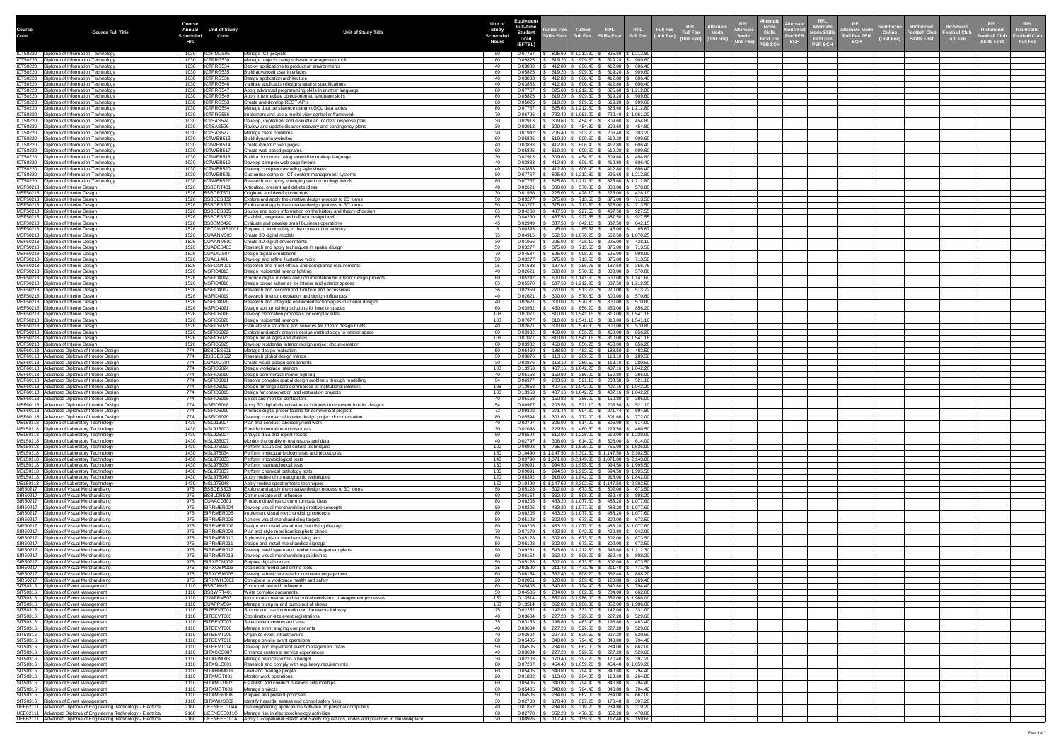|        |                                                                                                                                          | <b>Course</b>            |                                 |                                                                                                                                        | <b>Unit of</b> | <b>Equivalen</b>                   |                                                                                                                                        |                                                                                    |                                           |                               | ernat                                                                                                    | <b>RPL</b><br><b>Alternate</b>                                     |                                                                  |                                         |                                  |                                    |                                        |
|--------|------------------------------------------------------------------------------------------------------------------------------------------|--------------------------|---------------------------------|----------------------------------------------------------------------------------------------------------------------------------------|----------------|------------------------------------|----------------------------------------------------------------------------------------------------------------------------------------|------------------------------------------------------------------------------------|-------------------------------------------|-------------------------------|----------------------------------------------------------------------------------------------------------|--------------------------------------------------------------------|------------------------------------------------------------------|-----------------------------------------|----------------------------------|------------------------------------|----------------------------------------|
| Course | <b>Course Full Title</b>                                                                                                                 | <b>Annual</b>            | <b>Unit of Study</b>            | <b>Unit of Study Title</b>                                                                                                             |                | <b>Full-Time</b><br><b>Student</b> | Tuition<br>ition Fee                                                                                                                   |                                                                                    | RPL<br> -<br>  Full Fee                   | <b>Full Fee</b><br>(Unit Fee) | <b>KPL</b><br>Alternat<br><b>KPL</b><br><b>\Iternat</b><br><b>Mode</b><br><b>Full Fee</b><br><b>Mode</b> | <b>Alternate</b><br>Mode Full<br><b>Mode Skil</b>                  | <b>RPL</b><br><b>Swinburne</b><br><b>Iternate Mode</b><br>Online | <b>Richmond</b><br><b>Football Club</b> | Richmond<br><b>Football Club</b> | <b>KPL</b><br><b>Football Club</b> | <b>RPL</b><br>Richmond<br>ootball Club |
|        |                                                                                                                                          | Scheduled<br>Hrs         | Code                            |                                                                                                                                        | Hours          | Load<br>(EFTSL)                    | <b>ikills First</b>                                                                                                                    |                                                                                    |                                           |                               | Skills<br>First Fee<br>Unit Fee) (Unit Fee)<br><b>ER SCH</b>                                             | <b>Fee PER</b><br><b>First Fee</b><br><b>SCH</b><br><b>PER SCH</b> | <b>Full Fee PER</b><br><b>Unit Fee)</b><br><b>SCH</b>            | <b>Skills First</b>                     | <b>Full Fee</b>                  | <b>Skills First</b>                | <b>Full Fee</b>                        |
|        | ICT50220   Diploma of Information Technology                                                                                             | 1030                     | ICTPMG505                       | Manage ICT projects                                                                                                                    |                |                                    | 825.60   \$ 1,212.80                                                                                                                   |                                                                                    | 6825.60   \$ 1,212.80                     |                               |                                                                                                          |                                                                    |                                                                  |                                         |                                  |                                    |                                        |
|        | ICT50220   Diploma of Information Technology<br>ICT50220   Diploma of Information Technology                                             | 1030<br>1030             | ICTPRG530<br>ICTPRG534          | Manage projects using software management tools<br>Deploy applications to production environments                                      | -60            | 0.05825<br>0.03883                 | 619.20<br>909.60 $\vert$<br>606.40<br>412.80                                                                                           | $$619.20 \,   \, $909.60$<br>\$412.80                                              | \$606.40                                  |                               |                                                                                                          |                                                                    |                                                                  |                                         |                                  |                                    |                                        |
|        | ICT50220   Diploma of Information Technology<br>ICT50220   Diploma of Information Technology                                             | 1030                     | ICTPRG535<br>1030   ICTPRG536   | Build advanced user interfaces<br>Design application architecture                                                                      | 40             | 0.05825<br>0.03883                 | 909.60 $\vert$<br>619.20<br>$412.80$   \$ 606.40   \$ 412.80   \$ 606.40                                                               | $$619.20 \,   \, $909.60$                                                          |                                           |                               |                                                                                                          |                                                                    |                                                                  |                                         |                                  |                                    |                                        |
|        | ICT50220   Diploma of Information Technology                                                                                             | 1030                     | ICTPRG546                       | Validate application designs against specifications                                                                                    |                | 0.03883                            | $412.80$   \$ 606.40   \$ 412.80   \$ 606.40                                                                                           |                                                                                    |                                           |                               |                                                                                                          |                                                                    |                                                                  |                                         |                                  |                                    |                                        |
|        | ICT50220   Diploma of Information Technology<br>ICT50220   Diploma of Information Technology                                             | 1030                     | ICTPRG547<br>1030   ICTPRG549   | Apply advanced programming skills in another language<br>Apply intermediate object-oriented language skills                            | -60            | 0.07767<br>0.05825                 | $825.60$   \$1,212.80   \$825.60   \$1,212.80<br>$619.20$   \$ 909.60   \$ 619.20   \$ 909.60                                          |                                                                                    |                                           |                               |                                                                                                          |                                                                    |                                                                  |                                         |                                  |                                    |                                        |
|        | ICT50220   Diploma of Information Technology<br>ICT50220   Diploma of Information Technology                                             | 1030<br>1030             | ICTPRG553<br>ICTPRG554          | Create and develop REST APIs<br>Manage data persistence using noSQL data stores                                                        |                | 0.05825<br>0.07767                 | $619.20$ $\frac{1}{3}$ 909.60 $\frac{1}{3}$ 619.20 $\frac{1}{3}$ 909.60<br>$825.60$   \$1,212.80   \$825.60   \$1,212.80               |                                                                                    |                                           |                               |                                                                                                          |                                                                    |                                                                  |                                         |                                  |                                    |                                        |
|        | ICT50220   Diploma of Information Technology<br>ICT50220   Diploma of Information Technology                                             | 1030<br>1030             | ICTPRG556<br>ICTSAS524          | Implement and use a model view controller framework<br>Develop, implement and evaluate an incident response plan                       | 70             | 0.06796<br>0.02913                 | 722.40   \$1,061.20   \$722.40   \$1,061.20<br>309.60                                                                                  | 454.80   \$ 309.60   \$ 454.80                                                     |                                           |                               |                                                                                                          |                                                                    |                                                                  |                                         |                                  |                                    |                                        |
|        | ICT50220   Diploma of Information Technology<br>ICT50220   Diploma of Information Technology                                             | 1030<br>1030             | ICTSAS526<br>ICTSAS527          | Review and update disaster recovery and contingency plans<br>Manage client problems                                                    |                | 0.02913<br>0.01942                 | 309.60<br>303.20<br>206.40                                                                                                             | $454.80$ \ \$ 309.60 \ \$ 454.80<br>$5 \t206.40$                                   | \$303.20                                  |                               |                                                                                                          |                                                                    |                                                                  |                                         |                                  |                                    |                                        |
|        | ICT50220   Diploma of Information Technology                                                                                             | 1030                     | ICTWEB513                       | Build dynamic websites                                                                                                                 |                | 0.05825                            | 619.20<br>909.60                                                                                                                       |                                                                                    | 619.20 \$909.60                           |                               |                                                                                                          |                                                                    |                                                                  |                                         |                                  |                                    |                                        |
|        | ICT50220   Diploma of Information Technology<br>ICT50220   Diploma of Information Technology                                             | 1030<br>1030             | ICTWEB514<br>ICTWEB517          | Create dynamic web pages<br>Create web-based programs                                                                                  |                | 0.03883<br>0.05825                 | 412.80<br>606.40<br>909.60<br>619.20                                                                                                   | $$412.80 \,   \, $606.40$<br>619.20丨                                               | \$909.60                                  |                               |                                                                                                          |                                                                    |                                                                  |                                         |                                  |                                    |                                        |
|        | ICT50220   Diploma of Information Technology<br>ICT50220   Diploma of Information Technology                                             | 1030<br>1030             | ICTWEB518<br>ICTWEB519          | 3uild a document using extensible markup language<br>Develop complex web page layouts                                                  |                | 0.02913<br>0.03883                 | 309.60<br>454.80<br>412.80<br>606.40                                                                                                   | 309.60<br>\$ 412.80                                                                | \$454.80<br>\$606.40                      |                               |                                                                                                          |                                                                    |                                                                  |                                         |                                  |                                    |                                        |
|        | ICT50220   Diploma of Information Technology<br>ICT50220   Diploma of Information Technology                                             | 1030<br>1030             | ICTWEB520<br>ICTWEB521          | Develop complex cascading style sheets<br>Customise complex ICT content management systems                                             |                | 0.03883<br>0.07767                 | 412.80<br>606.40<br>825.60   \$ 1,212.80                                                                                               | 6412.80<br>$$825.60 \mid $1,212.80$                                                | \$606.40                                  |                               |                                                                                                          |                                                                    |                                                                  |                                         |                                  |                                    |                                        |
|        | ICT50220   Diploma of Information Technology<br>MSF50218   Diploma of Interior Design                                                    | 1030<br>1526             | ICTWEB527<br>BSBCRT40           | Research and apply emerging web technology trends<br>Articulate, present and debate ideas                                              | -80            | 0.07767<br>0.02621                 | $825.60$   \$1,212.80   \$825.60   \$1,212.80<br>$300.00$   \$                                                                         | $570.80$   \$ 300.00   \$ 570.80                                                   |                                           |                               |                                                                                                          |                                                                    |                                                                  |                                         |                                  |                                    |                                        |
|        | MSF50218   Diploma of Interior Design                                                                                                    | 1526                     | BSBCRT50                        | Originate and develop concepts                                                                                                         | -30            | 0.01966                            | $225.00$ $\frac{1}{3}$ 428.10 $\frac{1}{3}$ 225.00 $\frac{1}{3}$ 428.10                                                                |                                                                                    |                                           |                               |                                                                                                          |                                                                    |                                                                  |                                         |                                  |                                    |                                        |
|        | MSF50218   Diploma of Interior Design<br>MSF50218   Diploma of Interior Design                                                           | 1526                     | BSBDES302<br>1526 BSBDES303     | Explore and apply the creative design process to 2D forms<br>Explore and apply the creative design process to 3D forms                 | 50<br>50       | 0.03277                            | $375.00$   \$ 713.50   \$ 375.00   \$ 713.50<br>$0.03277$   \$ 375.00   \$ 713.50   \$ 375.00   \$ 713.50                              |                                                                                    |                                           |                               |                                                                                                          |                                                                    |                                                                  |                                         |                                  |                                    |                                        |
|        | MSF50218   Diploma of Interior Design<br>MSF50218   Diploma of Interior Design                                                           | 1526<br>1526             | BSBDES305<br>BSBDES502          | Source and apply information on the history and theory of design<br>Establish, negotiate and refine a design brief                     |                | 0.04260<br>0.04260                 | 487.50   \$927.55   \$487.50   \$927.55  <br>487.50   \$927.55   \$487.50   \$927.55                                                   |                                                                                    |                                           |                               |                                                                                                          |                                                                    |                                                                  |                                         |                                  |                                    |                                        |
|        | MSF50218   Diploma of Interior Design<br>MSF50218   Diploma of Interior Design                                                           | 1526<br>1526             | BSBSMB420<br>CPCCWHS1001        | Evaluate and develop small business operations<br>Prepare to work safely in the construction industry                                  |                | 0.02949<br>0.00393                 | 337.50<br>$45.00$ \$ 85.62 \$ 45.00 \$ 85.62                                                                                           | 642.15   \$ 337.50   \$ 642.15                                                     |                                           |                               |                                                                                                          |                                                                    |                                                                  |                                         |                                  |                                    |                                        |
|        | MSF50218   Diploma of Interior Design<br>MSF50218   Diploma of Interior Design                                                           | 1526<br>1526             | CUAANM303<br>CUAANM502          | Create 3D digital models<br>Create 3D digital environments                                                                             |                | 0.04915<br>0.01966                 | 562.50   \$1,070.25   \$562.50   \$1,070.25<br>225.00   \$                                                                             | 428.10   \$225.00   \$428.10                                                       |                                           |                               |                                                                                                          |                                                                    |                                                                  |                                         |                                  |                                    |                                        |
|        | MSF50218   Diploma of Interior Design                                                                                                    | 1526                     | CUADES403                       | Research and apply techniques in spatial design                                                                                        |                | 0.03277                            | 375.00   \$713.50   \$375.00   \$713.50                                                                                                |                                                                                    |                                           |                               |                                                                                                          |                                                                    |                                                                  |                                         |                                  |                                    |                                        |
|        | MSF50218   Diploma of Interior Design<br>MSF50218   Diploma of Interior Design                                                           | 1526<br>1526             | CUADIG507<br>CUAILL401          | Design digital simulations<br>Develop and refine illustrative work                                                                     |                | 0.04587<br>0.03277                 | 525.00<br>375.00 \$ 713.50 \$ 375.00 \$ 713.50                                                                                         | 998.90   \$ 525.00   \$ 998.90                                                     |                                           |                               |                                                                                                          |                                                                    |                                                                  |                                         |                                  |                                    |                                        |
|        | MSF50218   Diploma of Interior Design<br>MSF50218   Diploma of Interior Design                                                           | 1526<br>1526             | MSFGN4001<br>MSFID4013          | Research and meet ethical and compliance requirements<br>Design residential interior lighting                                          | 25             | 0.01638<br>0.02621                 | 187.50   \$ 356.75   \$ 187.50   \$ 356.75<br>300.00   \$ 570.80   \$ 300.00   \$ 570.80                                               |                                                                                    |                                           |                               |                                                                                                          |                                                                    |                                                                  |                                         |                                  |                                    |                                        |
|        | MSF50218   Diploma of Interior Design<br>MSF50218   Diploma of Interior Design                                                           | 1526<br>1526   MSFID4016 | MSFID4014                       | Produce digital models and documentation for interior design projects<br>Design colour schemes for interior and exterior spaces        | -85            | 0.05242<br>0.05570                 | $600.00$   \$ 1,141.60   \$ 600.00   \$ 1,141.60<br>$637.50$   \$1,212.95   \$637.50   \$1,212.95                                      |                                                                                    |                                           |                               |                                                                                                          |                                                                    |                                                                  |                                         |                                  |                                    |                                        |
|        | MSF50218   Diploma of Interior Design<br>MSF50218   Diploma of Interior Design                                                           | 1526   MSFID4019         | 1526   MSFID4017                | Research and recommend furniture and accessories                                                                                       |                | 0.02359<br>0.02621                 | 270.00   \$ 513.72   \$ 270.00   \$ 513.72  <br>$300.00$   \$ 570.80   \$ 300.00   \$ 570.80                                           |                                                                                    |                                           |                               |                                                                                                          |                                                                    |                                                                  |                                         |                                  |                                    |                                        |
|        | MSF50218   Diploma of Interior Design                                                                                                    |                          | 1526   MSFID4020                | Research interior decoration and design influences<br>Research and integrate embedded technologies in interior designs                 |                | 0.02621                            | $300.00$   \$ 570.80   \$ 300.00   \$ 570.80                                                                                           |                                                                                    |                                           |                               |                                                                                                          |                                                                    |                                                                  |                                         |                                  |                                    |                                        |
|        | MSF50218   Diploma of Interior Design<br>MSF50218   Diploma of Interior Design                                                           | 1526<br>1526             | MSFID4021<br>MSFID5016          | Design soft furnishing solutions for interior spaces<br>Develop decoration proposals for complex sites                                 | 108            | 0.03932<br>0.07077                 | $450.00$   \$ 856.20   \$ 450.00   \$ 856.20  <br>$810.00$   \$1,541.16   \$810.00   \$1,541.16                                        |                                                                                    |                                           |                               |                                                                                                          |                                                                    |                                                                  |                                         |                                  |                                    |                                        |
|        | MSF50218   Diploma of Interior Design<br>MSF50218   Diploma of Interior Design                                                           | 1526<br>1526             | MSFID5020<br>MSFID5021          | Design residential interiors<br>Evaluate site structure and services for interior design briefs                                        | 108            | 0.07077<br>0.02621                 | $810.00$   \$ 1,541.16   \$ 810.00   \$ 1,541.16<br>$300.00$   \$ 570.80   \$ 300.00   \$ 570.80                                       |                                                                                    |                                           |                               |                                                                                                          |                                                                    |                                                                  |                                         |                                  |                                    |                                        |
|        | MSF50218   Diploma of Interior Design<br>MSF50218   Diploma of Interior Design                                                           | 1526<br>1526             | MSFID5022<br>MSFID5023          | Explore and apply creative design methodology to interior space<br>Design for all ages and abilities                                   | 108            | 0.03932<br>0.07077                 | $450.00$   \$ 856.20   \$ 450.00   \$ 856.20  <br>810.00   \$1,541.16   \$810.00   \$1,541.16                                          |                                                                                    |                                           |                               |                                                                                                          |                                                                    |                                                                  |                                         |                                  |                                    |                                        |
|        | MSF50218   Diploma of Interior Design<br>MSF60118   Advanced Diploma of Interior Design                                                  | 1526<br>774              | MSFID5025<br>BSBDES601          | Develop residential interior design project documentation<br>Manage design realisation                                                 |                | 0.03932<br>0.06460                 | 856.20   \$<br>450.00<br>188.50   \$                                                                                                   | 482.50   \$ 188.50   \$ 482.50                                                     | 450.00 \$ 856.20                          |                               |                                                                                                          |                                                                    |                                                                  |                                         |                                  |                                    |                                        |
|        | MSF60118   Advanced Diploma of Interior Design                                                                                           | 774<br>774               | BSBDES602                       | Research global design trends                                                                                                          |                | 0.03876                            | $113.10$   \$ 289.50   \$ 113.10   \$ 289.50<br>$113.10$ $\frac{1}{9}$ 289.50 $\frac{1}{9}$ 113.10 $\frac{1}{9}$ 289.50                |                                                                                    |                                           |                               |                                                                                                          |                                                                    |                                                                  |                                         |                                  |                                    |                                        |
|        | MSF60118   Advanced Diploma of Interior Design<br>MSF60118   Advanced Diploma of Interior Design                                         | 774   MSFID5024          | CUADIG304                       | Create visual design components<br>Design workplace interiors                                                                          | 108            | 0.03876<br>0.13953                 | 407.16   \$ 1,042.20   \$ 407.16   \$ 1,042.20                                                                                         |                                                                                    |                                           |                               |                                                                                                          |                                                                    |                                                                  |                                         |                                  |                                    |                                        |
|        | MSF60118   Advanced Diploma of Interior Design<br>MSF60118   Advanced Diploma of Interior Design                                         | 774<br>774               | MSFID6010<br>MSFID6011          | Design commercial interior lighting<br>Resolve complex spatial design problems through modelling                                       |                | 0.05168<br>0.06977                 | 150.80   \$ 386.00   \$ 150.80   \$ 386.00  <br>$203.58$ \ \$ 521.10 \ \$ 203.58 \ \$ 521.10                                           |                                                                                    |                                           |                               |                                                                                                          |                                                                    |                                                                  |                                         |                                  |                                    |                                        |
|        | MSF60118   Advanced Diploma of Interior Design<br>MSF60118   Advanced Diploma of Interior Design                                         | 774   MSFID6012<br>774   | MSFID6015                       | Design for large scale commercial or institutional interiors<br>Design for conservation and restoration projects                       | 108<br>108     | 0.13953<br>0.13953                 | 407.16   \$ 1,042.20   \$ 407.16   \$ 1,042.20<br>  \$407.16   \$1,042.20   \$407.16   \$1,042.20                                      |                                                                                    |                                           |                               |                                                                                                          |                                                                    |                                                                  |                                         |                                  |                                    |                                        |
|        | MSF60118 Advanced Diploma of Interior Design<br>MSF60118   Advanced Diploma of Interior Design                                           | 774<br>774   MSFID6018   | MSFID6016                       | Select and monitor contractors<br>Apply 3D digital visualisation techniques to represent interior designs                              | -54            | 0.06977                            | $0.05168$ \\$ 150.80 \\$ 386.00 \\$ 150.80 \\$ 386.00 \<br>203.58   \$ 521.10   \$ 203.58   \$ 521.10                                  |                                                                                    |                                           |                               |                                                                                                          |                                                                    |                                                                  |                                         |                                  |                                    |                                        |
|        | MSF60118   Advanced Diploma of Interior Design<br>MSF60118   Advanced Diploma of Interior Design                                         | 774<br>774               | MSFID6019<br>MSFID6020          | Produce digital presentations for commercial projects<br>Develop commercial interior design project documentation                      |                | 0.09302<br>0.05594                 | 271.44   \$694.80   \$271.44   \$694.80  <br>$301.60$   \$ 772.00   \$ 301.60   \$ 772.00                                              |                                                                                    |                                           |                               |                                                                                                          |                                                                    |                                                                  |                                         |                                  |                                    |                                        |
|        | MSL50118   Diploma of Laboratory Technology<br>MSL50118   Diploma of Laboratory Technology                                               | 1430   MSL913004<br>1430 | MSL915003                       | Plan and conduct laboratory/field work<br>Provide information to customers                                                             |                | 0.02797<br>0.02098                 | $306.00$ \$ 614.00 \$ 306.00 \$ 614.00<br>$229.50$ \$ 460.50 \$ 229.50 \$ 460.50                                                       |                                                                                    |                                           |                               |                                                                                                          |                                                                    |                                                                  |                                         |                                  |                                    |                                        |
|        | MSL50118   Diploma of Laboratory Technology                                                                                              | 1430                     | MSL925004                       | Analyse data and report results                                                                                                        |                | 0.05594                            | $612.00$   \$ 1,228.00   \$ 612.00   \$ 1,228.00                                                                                       |                                                                                    |                                           |                               |                                                                                                          |                                                                    |                                                                  |                                         |                                  |                                    |                                        |
|        | MSL50118   Diploma of Laboratory Technology<br>MSL50118   Diploma of Laboratory Technology                                               | 1430<br>1430             | MSL935007<br>MSL975033          | Monitor the quality of test results and data<br>Perform tissue and cell culture techniques                                             | 100            | 0.02797<br>0.06993                 | $306.00$   \$ 614.00   \$ 306.00   \$ 614.00  <br>765.00   \$1,535.00   \$765.00   \$1,535.00                                          |                                                                                    |                                           |                               |                                                                                                          |                                                                    |                                                                  |                                         |                                  |                                    |                                        |
|        | MSL50118   Diploma of Laboratory Technology<br>MSL50118   Diploma of Laboratory Technology                                               | 1430                     | 1430   MSL975034<br>MSL975035   | Perform molecular biology tests and procedures<br>Perform microbiological tests                                                        | 150<br>140     | 0.10490<br>0.09790                 | $\vert$ \$ 1,147.50 $\vert$ \$ 2,302.50 $\vert$ \$ 1,147.50 $\vert$ \$ 2,302.50<br>  \$1,071.00   \$2,149.00   \$1,071.00   \$2,149.00 |                                                                                    |                                           |                               |                                                                                                          |                                                                    |                                                                  |                                         |                                  |                                    |                                        |
|        | MSL50118   Diploma of Laboratory Technology<br>MSL50118   Diploma of Laboratory Technology                                               | 1430<br>1430   MSL975037 | MSL975036                       | Perform haematological tests<br>Perform chemical pathology tests                                                                       | 130<br>130     | 0.09091<br>0.09091                 | 994.50   \$1,995.50   \$994.50   \$1,995.50<br>$994.50$   \$1,995.50   \$994.50   \$1,995.50                                           |                                                                                    |                                           |                               |                                                                                                          |                                                                    |                                                                  |                                         |                                  |                                    |                                        |
|        | MSL50118   Diploma of Laboratory Technology<br>MSL50118   Diploma of Laboratory Technology                                               | 1430   MSL975040<br>1430 | MSL975048                       | Apply routine chromatographic techniques<br>Apply routine spectrometric techniques                                                     | 120<br>150     | 0.08392<br>0.10490                 | ; 918.00   \$ 1,842.00   \$  918.00   \$ 1,842.00  <br>$$1,147.50 \mid $2,302.50 \mid $1,147.50 \mid $2,302.50$                        |                                                                                    |                                           |                               |                                                                                                          |                                                                    |                                                                  |                                         |                                  |                                    |                                        |
|        | SIR50217   Diploma of Visual Merchandising                                                                                               |                          | 975   BSBDES303                 | Explore and apply the creative design process to 3D forms                                                                              | 50             | 0.05128                            | ; 302.00 \$ 673.50 \$ 302.00 \$ 673.50                                                                                                 |                                                                                    |                                           |                               |                                                                                                          |                                                                    |                                                                  |                                         |                                  |                                    |                                        |
|        | SIR50217   Diploma of Visual Merchandising<br>SIR50217   Diploma of Visual Merchandising                                                 | 975<br>975               | BSBLDR503<br>CUAACD301          | Communicate with influence<br>Produce drawings to communicate ideas                                                                    |                | 0.06154<br>0.08205                 | 362.40   \$ 808.20   \$ 362.40   \$ 808.20  <br>483.20   \$1,077.60   \$483.20   \$1,077.60                                            |                                                                                    |                                           |                               |                                                                                                          |                                                                    |                                                                  |                                         |                                  |                                    |                                        |
|        | SIR50217   Diploma of Visual Merchandising<br>SIR50217   Diploma of Visual Merchandising                                                 | 975<br>975               | SIRRMER004<br>SIRRMER005        | Develop visual merchandising creative concepts<br>Implement visual merchandising concepts                                              |                | 0.08205<br>0.08205                 | 483.20   \$1,077.60   \$483.20   \$1,077.60<br>483.20   \$ 1,077.60   \$ 483.20   \$ 1,077.60                                          |                                                                                    |                                           |                               |                                                                                                          |                                                                    |                                                                  |                                         |                                  |                                    |                                        |
|        | SIR50217   Diploma of Visual Merchandising<br>SIR50217   Diploma of Visual Merchandising                                                 | 975<br>975               | SIRRMER006<br>SIRRMER007        | Achieve visual merchandising targets<br>Design and install visual merchandising displays                                               |                | 0.05128<br>0.08205                 | $302.00$   \$ 673.50   \$ 302.00   \$ 673.50  <br>483.20   \$1,077.60   \$483.20   \$1,077.60                                          |                                                                                    |                                           |                               |                                                                                                          |                                                                    |                                                                  |                                         |                                  |                                    |                                        |
|        | SIR50217   Diploma of Visual Merchandising<br>SIR50217   Diploma of Visual Merchandising                                                 | -975<br>975              | SIRRMER008<br>SIRRMER010        | Plan and style merchandise photo shoots<br>Style using visual merchandising aids                                                       |                | 0.07179<br>0.05128                 | $422.80$   \$ $942.90$   \$ $422.80$   \$ 942.90<br>$302.00$   \$ 673.50   \$ 302.00   \$ 673.50                                       |                                                                                    |                                           |                               |                                                                                                          |                                                                    |                                                                  |                                         |                                  |                                    |                                        |
|        | SIR50217   Diploma of Visual Merchandising<br>SIR50217   Diploma of Visual Merchandising                                                 | 975<br>975               | SIRRMER011<br>SIRRMER012        | Design and install merchandise signage<br>Develop retail space and product management plans                                            |                | 0.05128<br>0.09231                 | $302.00$   \$ 673.50   \$ 302.00   \$ 673.50<br>543.60   \$1,212.30   \$543.60   \$1,212.30                                            |                                                                                    |                                           |                               |                                                                                                          |                                                                    |                                                                  |                                         |                                  |                                    |                                        |
|        | SIR50217   Diploma of Visual Merchandising<br>SIR50217   Diploma of Visual Merchandising                                                 | 975                      | SIRRMER013<br>SIRXECM002        | Develop visual merchandising guidelines                                                                                                |                | 0.06154<br>0.05128                 | 362.40   \$ 808.20   \$ 362.40   \$ 808.20                                                                                             |                                                                                    |                                           |                               |                                                                                                          |                                                                    |                                                                  |                                         |                                  |                                    |                                        |
|        | SIR50217   Diploma of Visual Merchandising                                                                                               | 975<br>975               | SIRXOSM003                      | Prepare digital content<br>Use social media and online tools                                                                           |                | 0.03590                            | 302.00   \$ 673.50   \$ 302.00   \$ 673.50  <br>211.40   \$471.45   \$211.40   \$471.45                                                |                                                                                    |                                           |                               |                                                                                                          |                                                                    |                                                                  |                                         |                                  |                                    |                                        |
|        | SIR50217   Diploma of Visual Merchandising<br>SIR50217   Diploma of Visual Merchandising                                                 | 975<br>975               | SIRXOSM005<br>SIRXWHS002        | Develop a basic website for customer engagement<br>Contribute to workplace health and safety                                           | -60            | 0.06154<br>0.02051                 | 362.40   \$ 808.20   \$ 362.40   \$ 808.20<br>120.80   \$ 269.40   \$ 120.80   \$ 269.40                                               |                                                                                    |                                           |                               |                                                                                                          |                                                                    |                                                                  |                                         |                                  |                                    |                                        |
|        | SIT50316   Diploma of Event Management<br>SIT50316   Diploma of Event Management                                                         | 1110                     | BSBCMM511<br>BSBWRT401          | Communicate with influence<br>Write complex documents                                                                                  |                | 0.05405<br>0.04505                 | $\frac{1}{5}$ 284.00 $\frac{1}{5}$ 662.00 $\frac{1}{5}$ 284.00 $\frac{1}{5}$ 662.00                                                    |                                                                                    |                                           |                               |                                                                                                          |                                                                    |                                                                  |                                         |                                  |                                    |                                        |
|        | SIT50316   Diploma of Event Management<br>SIT50316   Diploma of Event Management                                                         | 1110                     | CUAPPM503<br>1110 CUAPPM504     | Incorporate creative and technical needs into management processes<br>Manage bump in and bump out of shows                             | 150<br>150     | 0.13514<br>0.13514                 | 852.00   \$1,986.00   \$852.00   \$1,986.00<br>852.00   \$1,986.00   \$852.00   \$1,986.00                                             |                                                                                    |                                           |                               |                                                                                                          |                                                                    |                                                                  |                                         |                                  |                                    |                                        |
|        | SIT50316   Diploma of Event Management<br>SIT50316   Diploma of Event Management                                                         | 1110                     | 1110 SITEEVT001<br>SITEEVT003   | Source and use information on the events industry<br>Coordinate on-site event registrations                                            | 25             | 0.02252<br>0.03604                 | $142.00$ $\frac{1}{9}$ 331.00 $\frac{1}{9}$ 142.00 $\frac{1}{9}$ 331.00<br>227.20                                                      | $529.60$ $\frac{1}{9}$ 227.20 $\frac{1}{9}$ 529.60                                 |                                           |                               |                                                                                                          |                                                                    |                                                                  |                                         |                                  |                                    |                                        |
|        | SIT50316   Diploma of Event Management<br>SIT50316   Diploma of Event Management                                                         | 1110<br>1110             | SITEEVT007<br>SITEEVT008        | Select event venues and sites                                                                                                          |                | 0.03153<br>0.03604                 | 198.80<br>227.20                                                                                                                       | 463.40   \$198.80   \$463.40<br>$529.60$ $\frac{1}{9}$ 227.20 $\frac{1}{9}$ 529.60 |                                           |                               |                                                                                                          |                                                                    |                                                                  |                                         |                                  |                                    |                                        |
|        | SIT50316   Diploma of Event Management                                                                                                   | 1110                     | SITEEVT009                      | Manage event staging components<br>Organise event infrastructure                                                                       |                | 0.03604                            | 227.20                                                                                                                                 | $529.60$ $\frac{1}{9}$ 227.20 $\frac{1}{9}$ 529.60                                 |                                           |                               |                                                                                                          |                                                                    |                                                                  |                                         |                                  |                                    |                                        |
|        | SIT50316   Diploma of Event Management<br>SIT50316   Diploma of Event Management                                                         | 1110<br>1110             | SITEEVT010<br>SITEEVT014        | Manage on-site event operations<br>Develop and implement event management plans                                                        |                | 0.05405<br>0.04505                 | 340.80<br>284.00                                                                                                                       | 794.40   \$340.80   \$794.40  <br>$662.00$   \$ 284.00   \$ 662.00                 |                                           |                               |                                                                                                          |                                                                    |                                                                  |                                         |                                  |                                    |                                        |
|        | SIT50316   Diploma of Event Management<br>SIT50316   Diploma of Event Management                                                         | 1110                     | SITXCCS007<br>SITXFIN003        | Enhance customer service experiences<br>Manage finances within a budget                                                                | -30            | 0.03604<br>0.02703                 | 227.20<br>170.40   \$ 397.20   \$ 170.40   \$ 397.20                                                                                   | 529.60   \$227.20   \$529.60                                                       |                                           |                               |                                                                                                          |                                                                    |                                                                  |                                         |                                  |                                    |                                        |
|        | SIT50316   Diploma of Event Management<br>SIT50316   Diploma of Event Management                                                         | 1110<br>1110             | SITXGLC001<br>SITXHRM003        | Research and comply with regulatory requirements<br>Lead and manage people                                                             |                | 0.07207<br>0.05405                 | 454.40   \$ 1,059.20   \$ 454.40   \$ 1,059.20  <br>$$794.40 \, \text{\r{5}} 340.80 \, \text{\r{5}} 794.40$<br>340.80                  |                                                                                    |                                           |                               |                                                                                                          |                                                                    |                                                                  |                                         |                                  |                                    |                                        |
|        | SIT50316   Diploma of Event Management<br>SIT50316   Diploma of Event Management                                                         |                          | 1110   SITXMGT001<br>SITXMGT002 | Monitor work operations<br><b>Establish and conduct business relationships</b>                                                         | 20             | 0.01802<br>0.05405                 | $113.60$   \$ 264.80   \$ 113.60   \$ 264.80<br>340.80                                                                                 |                                                                                    | $$794.40 \mid $340.80 \mid $794.40 \mid$$ |                               |                                                                                                          |                                                                    |                                                                  |                                         |                                  |                                    |                                        |
|        | SIT50316   Diploma of Event Management                                                                                                   | 1110                     | SITXMGT003                      | Manage projects                                                                                                                        | -60            | 0.05405                            | 340.80                                                                                                                                 | $$794.40 \t{S} 340.80 \t{S} 794.40$                                                |                                           |                               |                                                                                                          |                                                                    |                                                                  |                                         |                                  |                                    |                                        |
|        | SIT50316   Diploma of Event Management<br>SIT50316   Diploma of Event Management                                                         | 1110                     | SITXMPR008<br>SITXWHS002        | Prepare and present proposals<br>Identify hazards, assess and control safety risks                                                     | 50             | 0.04505<br>0.02703                 | 284.00   \$ 662.00   \$ 284.00   \$ 662.00<br>$170.40$ $\frac{1}{9}$ 397.20 $\frac{1}{9}$ 170.40 $\frac{1}{9}$ 397.20                  |                                                                                    |                                           |                               |                                                                                                          |                                                                    |                                                                  |                                         |                                  |                                    |                                        |
|        | UEE62111   Advanced Diploma of Engineering Technology - Electrical<br>UEE62111   Advanced Diploma of Engineering Technology - Electrical | 2160<br>2160             |                                 | UEENEED104A   Use engineering applications software on personal computers<br>UEENEEE011C   Manage risk in electrotechnology activities | ഹ              | 0.01852<br>0.02778                 | 234.80   \$ 319.20   \$ 234.80   \$ 319.20  <br>$352.20$   \$ 478.80   \$ 352.20   \$ 478.80                                           |                                                                                    |                                           |                               |                                                                                                          |                                                                    |                                                                  |                                         |                                  |                                    |                                        |
|        | UEE62111   Advanced Diploma of Engineering Technology - Electrical                                                                       | 2160                     |                                 | UEENEEE101A Apply Occupational Health and Safety regulations, codes and practices in the workplace                                     | 20             | 0.00926                            | \$117.40   \$159.60   \$117.40   \$159.60                                                                                              |                                                                                    |                                           |                               |                                                                                                          |                                                                    |                                                                  |                                         |                                  |                                    |                                        |